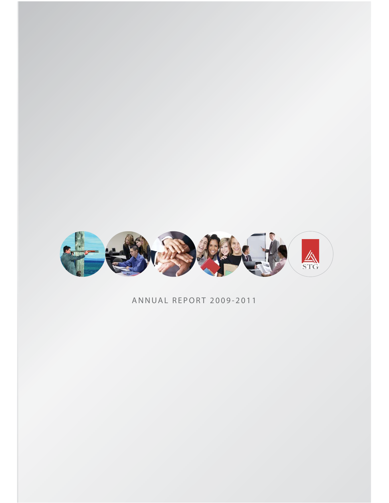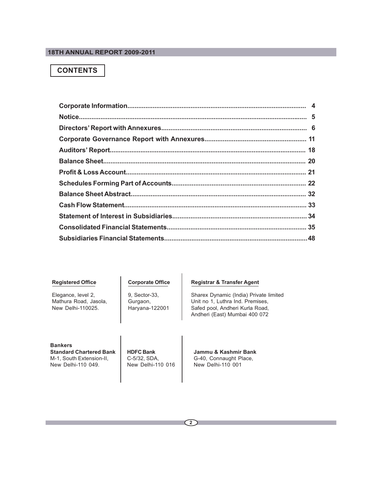## **CONTENTS**

## **Registered Office**

Elegance, level 2, Mathura Road, Jasola, New Delhi-110025.

**Corporate Office**

9, Sector-33, Gurgaon, Haryana-122001

## **Registrar & Transfer Agent**

Sharex Dynamic (India) Private limited Unit no 1, Luthra Ind. Premises, Safed pool, Andheri Kurla Road, Andheri (East) Mumbai 400 072

**Bankers Standard Chartered Bank** M-1, South Extension-II, New Delhi-110 049.

**HDFC Bank** C-5/32, SDA, New Delhi-110 016 **Jammu & Kashmir Bank** G-40, Connaught Place, New Delhi-110 001

**2**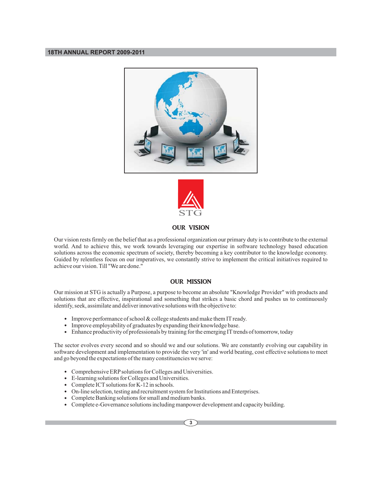



## OUR VISION

Our vision rests firmly on the belief that as a professional organization our primary duty is to contribute to the external world. And to achieve this, we work towards leveraging our expertise in software technology based education solutions across the economic spectrum of society, thereby becoming a key contributor to the knowledge economy. Guided by relentless focus on our imperatives, we constantly strive to implement the critical initiatives required to achieve our vision. Till "We are done."

## OUR MISSION

Our mission at STG is actually a Purpose, a purpose to become an absolute "Knowledge Provider" with products and solutions that are effective, inspirational and something that strikes a basic chord and pushes us to continuously identify, seek, assimilate and deliver innovative solutions with the objective to:

- Improve performance of school & college students and make them IT ready.
- $\bullet$ Improve employability of graduates by expanding their knowledge base.
- Enhance productivity of professionals by training for the emerging IT trends of tomorrow, today

The sector evolves every second and so should we and our solutions. We are constantly evolving our capability in software development and implementation to provide the very 'in' and world beating, cost effective solutions to meet and go beyond the expectations of the many constituencies we serve:

- Comprehensive ERP solutions for Colleges and Universities.
- E-learning solutions for Colleges and Universities.
- Complete ICT solutions for K-12 in schools.
- On-line selection, testing and recruitment system for Institutions and Enterprises.
- Complete Banking solutions for small and medium banks.
- Complete e-Governance solutions including manpower development and capacity building.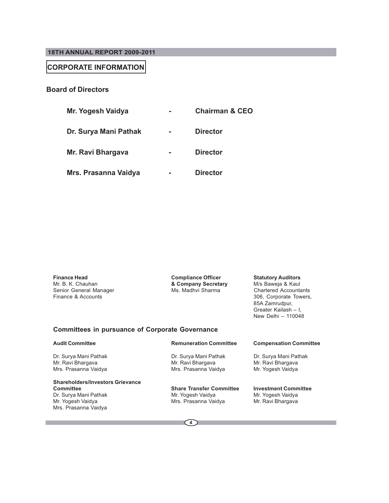## **CORPORATE INFORMATION**

## **Board of Directors**

| Mr. Yogesh Vaidya     | <b>Chairman &amp; CEO</b> |
|-----------------------|---------------------------|
| Dr. Surya Mani Pathak | <b>Director</b>           |
| Mr. Ravi Bhargava     | <b>Director</b>           |
| Mrs. Prasanna Vaidya  | <b>Director</b>           |

**Finance Head Compliance Officer Statutory Auditors**<br> **Company Secretary** M/s Baweja & Kaul<br> **Company Secretary** M/s Baweja & Kaul Senior General Manager<br>Finance & Accounts

Mr. B. K. Chauhan **& Company Secretary** M/s Baweja & Kaul

306, Corporate Towers, 85A Zamrudpur, Greater Kailash – I, New Delhi – 110048

## **Committees in pursuance of Corporate Governance**

# **Shareholders/Investors Grievance Committee Share Transfer Committee Investment Committee** Dr. Surya Mani Pathak Mr. Yogesh Vaidya Mr. Yogesh Vaidya

Mrs. Prasanna Vaidya

### **Audit Committee Remuneration Committee Compensation Committee**

Dr. Surya Mani Pathak Dr. Surya Mani Pathak Dr. Surya Mani Pathak Mr. Ravi Bhargava Mr. Ravi Bhargava Mr. Ravi Bhargava Mrs. Prasanna Vaidya

Mrs. Prasanna Vaidya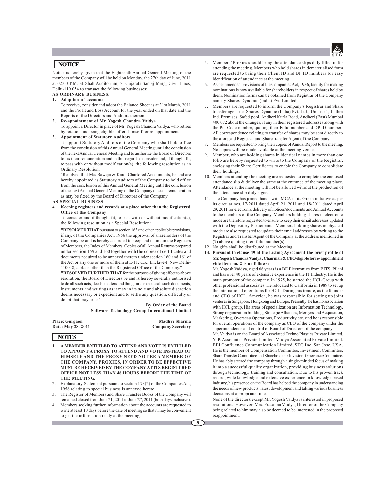

## **NOTICE**

Notice is hereby given that the Eighteenth Annual General Meeting of the members of the Company will be held on Monday, the 27th day of June, 2011 at 02:00 P.M. at Shah Auditorium, 2, Gujarati Samaj Marg, Civil Lines, Delhi-110 054 to transact the following businesses:

## **AS ORDINARY BUSINESS:**

**1. Adoption of accounts**

To receive, consider and adopt the Balance Sheet as at 31st March, 2011 and the Profit and Loss Account for the year ended on that date and the Reports of the Directors and Auditors thereon.

**2. Re-appointment of Mr. Yogesh Chandra Vaidya**

To appoint a Director in place of Mr. Yogesh Chandra Vaidya, who retires by rotation and being eligible, offers himself for re- appointment.

**3. Appointment of Statutory Auditors**

To appoint Statutory Auditors of the Company who shall hold office from the conclusion of this Annual General Meeting until the conclusion of the next Annual General Meeting and to authorize the Board of Directors to fix their remuneration and in this regard to consider and, if thought fit, to pass with or without modification(s), the following resolution as an Ordinary Resolution:

"Resolved that M/s Baweja & Kaul, Chartered Accountants, be and are hereby appointed as Statutory Auditors of the Company to hold office from the conclusion of this Annual General Meeting until the conclusion of the next Annual General Meeting of the Company on such remuneration as may be fixed by the Board of Directors of the Company."

**AS SPECIAL BUSINESS:**

### **4 Keeping registers and records at a place other than the Registered Office of the Company:**

To consider and if thought fit, to pass with or without modification(s), the following resolution as a Special Resolution:

**"RESOLVED THAT** pursuant to section 163 and other applicable provisions, if any, of the Companies Act, 1956 the approval of shareholders of the Company be and is hereby accorded to keep and maintain the Registers of Members, the Index of Members, Copies of all Annual Returns prepared under section 159 and 160 together with the copies of certificates and documents required to be annexed thereto under section 160 and 161 of the Act or any one or more of them at E-11, G.K. Enclave-I, New Delhi-110048, a place other than the Registered Office of the Company."

**"RESOLVED FURTHER THAT** for the purpose of giving effect to above resolution, the Board of Directors be and is hereby severally authorised to do all such acts, deeds, matters and things and execute all such documents, instruments and writings as it may in its sole and absolute discretion deems necessary or expedient and to settle any question, difficulty or doubt that may arise"

> **By Order of the Board Software Technology Group International Limited**

Place: Gurgaon **Madhvi Sharma**<br>
Date: May 28, 2011 **Company Secretary Company Secretary** 

## **NOTES**

- **1. A MEMBER ENTITLED TO ATTEND AND VOTE IS ENTITLED TO APPOINT A PROXY TO ATTEND AND VOTE INSTEAD OF HIMSELF AND THE PROXY NEED NOT BE A MEMBER OF THE COMPANY. PROXIES, IN ORDER TO BE EFFECTIVE MUST BE RECEIVED BY THE COMPANY AT ITS REGISTERED OFFICE NOT LESS THAN 48 HOURS BEFORE THE TIME OF THE MEETING.**
- 2. Explanatory Statement pursuant to section 173(2) of the Companies Act, 1956 relating to special business is annexed hereto.
- The Register of Members and Share Transfer Books of the Company will remained closed from June 21, 2011 to June 27, 2011 (both days inclusive).
- 4. Members seeking further information about the accounts are requested to write at least 10 days before the date of meeting so that it may be convenient to get the information ready at the meeting.
- 5. Members/ Proxies should bring the attendance slips duly filled in for attending the meeting. Members who hold shares in dematerialised form are requested to bring their Client ID and DP ID numbers for easy identification of attendance at the meeting.
- 6. As per amended provisions of the Companies Act, 1956, facility for making nominations is now available for shareholders in respect of shares held by them. Nomination forms can be obtained from Registrar of the Company namely Sharex Dynamic (India) Pvt. Limited.
- 7. Members are requested to inform the Company's Registrar and Share transfer agent i.e. Sharex Dynamic (India) Pvt. Ltd., Unit no 1, Luthra Ind. Premises, Safed pool, Andheri Kurla Road, Andheri (East) Mumbai 400 072 about the changes, if any in their registered addresses along with the Pin Code number, quoting their Folio number and DP ID number. All correspondence relating to transfer of shares may be sent directly to the aforesaid Registrar and Share transfer Agent of the Company.
- 8. Members are requested to bring their copies of Annual Report to the meeting. No copies will be made available at the meeting venue.
- 9. Member, who are holding shares in identical names in more than one folio are hereby requested to write to the Company or the Registrar, enclosing their Share Certificates to enable the Company to consolidate their holdings.
- 10. Members attending the meeting are requested to complete the enclosed attendance slip & deliver the same at the entrance of the meeting place. Attendance at the meeting will not be allowed without the production of the attendance slip duly signed.
- 11. The Company has joined hands with MCA in its Green initiative as per its circular nos. 17/2011 dated April 21, 2011 and 18/2011 dated April 29, 2011 for electronic delivery of notices/documents and Annual Accounts to the members of the Company. Members holding shares in electronic mode are therefore requested to ensure to keep their email addresses updated with the Depository Participants. Members holding shares in physical mode are also requested to update their email addresses by writing to the Registrar and Transfer Agent of the Company at the address mentioned in (7) above quoting their folio number(s).
- 12. No gifts shall be distributed at the Meeting.
- **13. Pursuant to clause 49 of the Listing Agreement the brief profile of Mr. Yogesh Chandra Vaidya , Chairman & CEO eligible for re- appointment vide item no. 2 is as follows:**

Mr. Yogesh Vaidya, aged 66 years is a BE Electronics from BITS, Pilani and has over 40 years of extensive experience in the IT Industry. He is the main promoter of the company. In 1975, he started the HCL Group with other professional associates. He relocated to California in 1989 to set up the international operations for HCL. During his tenure, as the founder and CEO of HCL, America, he was responsible for setting up joint ventures in Singapore, Hongkong and Europe. Presently, he has no association with HCL group. His areas of specialization are Information Technology, Strong organization building, Strategic Alliances, Mergers and Acquisition, Marketing, Overseas Operations, Productivity etc. and he is responsible for overall operations of the company as CEO of the company under the superintendence and control of Board of Directors of the company.

Mr. Vaidya is on the Board of Associated Techno Plastics Private Limited, Y. P. Associates Private Limited. Vaidya Associated Private Limited. BEI Confluence Communication Limited, STG Inc. San Jose, USA. He is the member of Compensation Committee, Investment Committee, Share Transfer Committee and Shareholders / Investors Grievance Committee. He has ably steered the company through a single-minded focus of making it into a successful quality organization, providing business solutions through technology, training and consultation. Due to his proven track record, wide knowledge and extensive experience in knowledge based industry, his presence on the Board has helped the company in understanding the needs of new products, latest development and taking various business decisions at appropriate time.

None of the directors except Mr. Yogesh Vaidya is interested in proposed resolutions. However, Mrs. Prasanna Vaidya, Director of the Company being related to him may also be deemed to be interested in the proposed reappointment.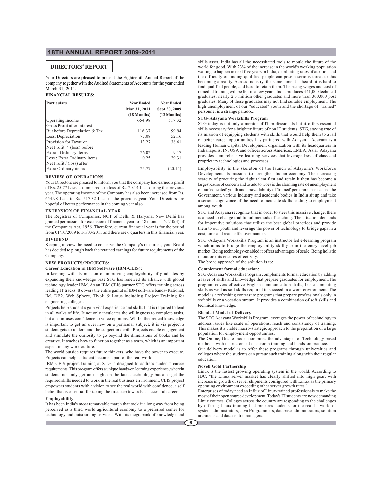## **DIRECTORS' REPORT**

Your Directors are pleased to present the Eighteenth Annual Report of the company together with the Audited Statements of Accounts for the year ended March 31, 2011.

### **FINANCIAL RESULTS:**

| Particulars                   | <b>Year Ended</b> | <b>Year Ended</b> |
|-------------------------------|-------------------|-------------------|
|                               | Mar 31, 2011      | Sept 30, 2009     |
|                               | $(18$ Months)     | $(12$ Months)     |
| Operating Income              | 654.98            | 517.32            |
| Gross Profit after Interest   |                   |                   |
| But before Depreciation & Tax | 116.37            | 99.94             |
| Less: Depreciation            | 77.08             | 52.16             |
| Provision for Taxation        | 13.27             | 38.61             |
| Net Profit / (loss) before    |                   |                   |
| Extra - Ordinary items        | 26.02             | 9.17              |
| Less: Extra Ordinary items    | 0.25              | 29.31             |
| Net Profit / (loss) after     |                   |                   |
| Extra Ordinary items          | 25.77             | (20.14)           |

### **REVIEW OF OPERATIONS**

Your Directors are pleased to inform you that the company had earned a profit of Rs. 25.77 Lacs as compared to a loss of Rs. 20.14 Lacs during the previous year. The operating income of the Company has also been increased from Rs. 654.98 Lacs to Rs. 517.32 Lacs in the previous year. Your Directors are hopeful of better performance in the coming year also.

### **EXTENSION OF FINANCIAL YEAR**

The Registrar of Companies, NCT of Delhi & Haryana, New Delhi has granted permission for extension of financial year for 18 months u/s 210(4) of the Companies Act, 1956. Therefore, current financial year is for the period from 01/10/2009 to 31/03/2011 and there are 6 quarters in this financial year.

### **DIVIDEND**

Keeping in view the need to conserve the Company's resources, your Board has decided to plough back the retained earnings for future requirements of the Company.

#### **NEW PRODUCTS/PROJECTS:**

### **Career Education in IBM Software (IBM-CEIS):**

In keeping with its mission of improving employability of graduates by expanding their knowledge base STG has renewed its alliance with global technology leader IBM. As an IBM CEIS partner STG offers training across leading IT tracks. It covers the entire gamut of IBM software bands- Rational, IM, DB2, Web Sphere, Tivoli & Lotus including Project Training for engineering colleges.

Projects help student's gain vital experience and skills that is required to lead in all walks of life. It not only inculcates the willingness to complete tasks, but also infuses confidence to voice opinions. While, theoretical knowledge is important to get an overview on a particular subject, it is via project a student gets to understand the subject in depth. Projects enable engagement and stimulate the curiosity to go beyond the dimensions of books and be creative. It teaches how to function together as a team, which is an important aspect in any work culture.

The world outside requires future thinkers, who have the power to execute. Projects can help a student become a part of the real world.

IBM CEIS project training at STG is designed to address student's career requirements. This program offers a unique hands-on learning experience, wherein students not only get an insight on the latest technology but also get the required skills needed to work in the real business environment. CEIS project empowers students with a vision to see the real world with confidence, a self belief that is essential for taking the first step towards a successful career.

### **Employability**

It has been India's most remarkable march that took it a long way from being perceived as a third world agricultural economy to a preferred center for technology and outsourcing services. With its mega bank of knowledge and

skills asset, India has all the necessitated tools to mould the future of the world for good. With 23% of the increase in the world's working population waiting to happen in next five years in India, debilitating rates of attrition and the difficulty of finding qualified people can pose a serious threat to this becoming a reality. Across industry, the same lament is heard: it is hard to find qualified people, and hard to retain them. The rising wages and cost of remedial training will be felt in a few years. India produces 441,000 technical graduates, nearly 2.3 million other graduates and more than 300,000 post graduates. Many of these graduates may not find suitable employment. The high unemployment of our "educated" youth and the shortage of "trained" personnel is a strange paradox.

### **STG- Adayana Workskills Program**

STG today is not only a mentor of IT professionals but it offers essential skills necessary for a brighter future of non IT students. STG, staying true of its mission of equipping students with skills that would help them to avail of better career opportunities has partnered with Adayana. Adayana is a leading Human Capital Development organization with its headquarters in Indianapolis, IN, USA and offices across Americas, EMEA, Asia. Adayana provides comprehensive learning services that leverage best-of-class and proprietary technologies and processes.

Employability is the skeleton of the launch of Adayana's Workforce Development, its mission- to strengthen Indian economy. The increasing scarcity of procuring the right talent first and retain it then has become a largest cause of concern and to add to woes is the alarming rate of unemployment of our 'educated' youth and unavailability of 'trained' personnel has caused the Government, various industry and academic bodies in India sit up and take a serious cognizance of the need to inculcate skills leading to employment among youth.

STG and Adayana recognize that in order to steer this massive change, there is a need to change traditional methods of teaching. The situation demands for imperative solutions that utilize the best global practices and provide them to our youth and leverage the power of technology to bridge gaps in a cost, time and reach effective manner.

STG -Adayana Workskills Program is an instructor led e-learning program which aims to bridge the employability skill gap in the entry level job market. Being technology-enabled it offers advantages of scale. Being holistic in outlook its ensures effectivity.

The broad approach of the solution is to:

## **Complement formal education:**

STG-Adayana Workskills Program complements formal education by adding a layer of skills and knowledge that prepare graduates for employment.The program covers effective English communication skills, basic computing skills as well as soft skills required to succeed in a work environment. The model is a refreshing contrast to programs that prepare professionals only in soft skills or a vocation stream. It provides a combination of soft skills and technical knowledge.

### **Blended Model of Delivery**

The STG Adayana Workskills Program leverages the power of technology to address issues like scale of operations, reach and consistency of training. This makes it a viable macro-strategic approach to the preparation of a large population for employment opportunities.

The Online, Onsite model combines the advantages of Technology-based methods, with instructor-led classroom training and hands-on practice.

Our delivery model is to offer these programs through universities and colleges where the students can pursue such training along with their regular education.

### **Novell Gold Partnership**

Linux is the fastest growing operating system in the world. According to IDC, "the Linux server market has clearly shifted into high gear, with increase in growth of server shipments configured with Linux as the primary operating environment exceeding other server growth rates"

Enterprises of today need an influx of Linux-trained professionals to make the most of their open source development. Today's IT students are now demanding Linux courses. Colleges across the country are responding to the challenges by offering Linux training that prepares students for the real IT world of system administrators, Java Programmers, database administrators, solution architects and data centre managers.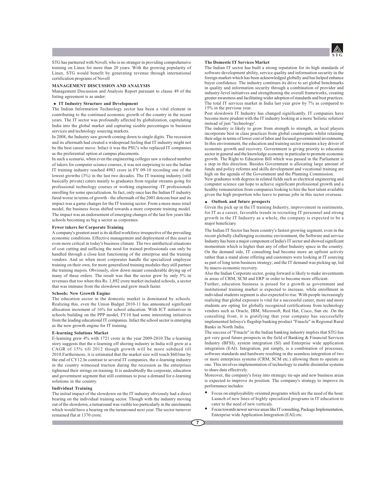

STG has partnered with Novell, who is no stranger in providing comprehensive training on Linux for more than 20 years. With the growing popularity of Linux, STG would benefit by generating revenue through international certification programs of Novell

### **MANAGEMENT DISCUSSION AND ANALYSIS**

Management Discussion and Analysis Report pursuant to clause 49 of the listing agreement is as under:

### **IT Industry Structure and Development**

The Indian Information Technology sector has been a vital element in contributing to the continued economic growth of the country in the recent years. The IT sector was profoundly affected by globalization, capitulating India into the global market and capturing sizable percentages in business services and technology sourcing markets.

In 2008, the Industry saw growth coming down to single digits. The recession and its aftermath had created a widespread feeling that IT industry might not be the best career move. Infact it was the PSU's who replaced IT companies as the preferential option at campus placements.

In such a scenario, when even the engineering colleges saw a reduced number of takers for computer science courses, it was not surprising to see the Indian IT training industry reached 4983 crore in FY 09-10 recording one of the lowest growths (3%) in the last two decades. The IT training industry (still basically private) caters mainly to graduates from regular streams going for professional technology courses or working engineering /IT professionals enrolling for some specialization. In fact, only once has the Indian IT industry fared worse in terms of growth - the aftermath of the 2001 dotcom bust and its impact was a game changer for the IT training sector. From a more mass retail model, the business focus shifted towards a more corporate training model. The impact was an endorsement of emerging changes of the last few years like schools becoming as big a sector as corporates.

#### **Fewer takers for Corporate Training**

A company's greatest asset is its skilled workforce irrespective of the prevailing economic conditions. Effective management and deployment of this asset is even more critical in today's business climate. The two antithetical situations of cost cutting and sufficing the need for trained professionals can only be handled through a close knit functioning of the enterprise and the training vendors. And so when most corporates handle the specialized employee training on their own, for more generalized training modules they still partner the training majors. Obviously, slow down meant considerable drying up of many of these orders. The result was that the sector grew by only 5% in revenues that too when this Rs. 1,892 crore market included schools, a sector that was immune from the slowdown and grew much faster.

### **Schools: New Growth Engine**

The education sector in the domestic market is dominated by schools. Realizing this, even the Union Budget 2010-11 has announced significant allocation increment of 16% for school education. With ICT initiatives in schools building on the PPP model, FY10 had some interesting initiatives from the leading educational IT companies. Infact the school sector is emerging as the new growth engine for IT training.

### **E-learning Solutions Market**

E-learning grew 4% with 1721 crore in the year 2009-2010.The e-learning story suggests that the e-learning off shoring industry in India will grow at a CAGR of 15% till 2012 though growth will be more subdued till 2010.Furthermore, it is estimated that the market size will touch \$603mn by the end of CY12.In contrast to several IT companies, the e-learning industry in the country witnessed traction during the recession as the enterprises tightened their strings on training. It is undoubtedly the corporate, education and government segment that still continues to pose a demand for e-learning solutions in the country.

### **Individual Training**

The initial impact of the slowdown on the IT industry obviously had a direct bearing on the individual training sector. Though with the industry moving out of the slowdown, a turnaround was visible too particularly in the enrolments which would have a bearing on the turnaround next year. The sector turnover remained flat at 1370 crore.

### **The Domestic IT Services Market**

The Indian IT sector has built a strong reputation for its high standards of software development ability, service quality and information security in the foreign market-which has been acknowledged globally and has helped enhance buyer confidence. The industry continues its drive to set global benchmarks in quality and information security through a combination of provider and industry-level initiatives and strengthening the overall frameworks, creating greater awareness and facilitating wider adoption of standards and best practices. The total IT services market in India last year grew by 7% as compared to 15% in the previous year.

Post slowdown IT Industry has changed significantly. IT companies have become more prudent with the IT industry looking at a more 'holistic solution' instead of just "technology'.

The industry is likely to grow from strength to strength, as local players incorporate best in class practices from global counterparts whilst retaining their edge in terms of lower cost of labor and focused governmental investments. In this environment, the education and training sector remains a key driver of economic growth and recovery. Government is giving priority to education sector in general and the knowledge economy in particular to promote economic growth. The Right to Education Bill which was passed in the Parliament is a step in this direction. Besides Government is allocating large amount of funds and policy reforms and skills development and vocational training are high on the agenda of the Government and the Planning Commission.

New graduates with degrees in related fields such as electrical engineering and computer science can hope to achieve significant professional growth and a healthy remuneration from companies looking to hire the best talent available given the high proportion who leave to pursue jobs in this sector overseas.

### **Outlook and future prospects**

Given the pick up in the IT training Industry, improvement in sentiments, for IT as a career, favorable trends in recruiting IT personnel and strong growth in the IT Industry as a whole, the company is expected to be a major beneficiary.

The Indian IT Sector has been country's fastest growing segment, even in the recent globally challenging economic environment, the Software and service Industry has been a major component of India's IT sector and showed significant momentum which is higher than any of other Industry space in the country. On the demand side, IT consulting had become more an upfront activity rather than a stand alone offering and customers were looking at IT sourcing as part of long term business strategy; and the IT demand was picking up, led by macro-economic recovery.

Also the Indian Corporate sector, going forward is likely to make investments in areas of CRM, SCM and ERP in order to become more efficient.

Further, education business is poised for a growth as government and institutional training market is expected to increase, while enrollment in individual students segment is also expected to rise. With people increasingly realizing that global exposure is vital for a successful career, more and more students are opting for globally recognized certifications from technology vendors such as Oracle, IBM, Microsoft, Red Hat, Cisco, Sun etc .On the consulting front, it is gratifying that your company has successfully implemented Infosys's flagship banking product "Finacle" in Regional Rural Banks in North India.

The success of "Finacle" in the Indian banking industry implies that STG has got very good future prospects in the field of Banking & Financial Services Industry (BFSI), system integration (SI) and Enterprise wide application integration (EAI). Integration, put simply, is a combination of processes, software standards and hardware resulting in the seamless integration of two or more enterprises systems (CRM, SCM etc.) allowing them to operate as one. This involves implementation of technology to enable dissimilar systems to share data effectively.

Moreover, the company's foray into strategic tie-ups and new business areas is expected to improve its position. The company's strategy to improve its performance includes:

- Focus on employability oriented programs which are the need of the hour. Launch of new lines of highly specialized programs in IT education to cater to the need of new verticals.
- Focus towards newer service areas like IT consulting, Package Implementation, Enterprise wide Application Integration (EAI) etc.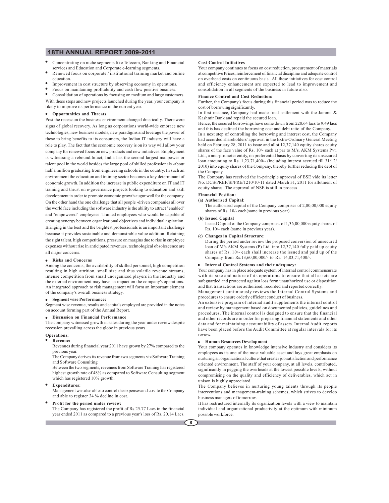- Concentrating on niche segments like Telecom, Banking and Financial services and Education and Corporate e-learning segments.
- Renewed focus on corporate / institutional training market and online education.
- Improvement in cost structure by observing economy in operations.
- Focus on maintaining profitability and cash flow positive business.

Consolidation of operations by focusing on medium and large customers. With these steps and new projects launched during the year, your company is likely to improve its performance in the current year.

#### **Opportunities and Threats**

Post the recession the business environment changed drastically. There were signs of global recovery. As long as corporations world-wide embrace new technologies, new business models, new paradigms and leverage the power of these to bring benefits to its consumers, the Indian IT industry will have a role to play. The fact that the economic recovery is on its way will allow your company for renewed focus on new products and new initiatives. Employment is witnessing a rebound.Infact; India has the second largest manpower or talent pool in the world besides the large pool of skilled professionals -about half a million graduating from engineering schools in the country. In such an environment the education and training sector becomes a key determinant of economic growth. In addition the increase in public expenditure on IT and IT training and thrust on e-governance projects looking to education and skill development in order to promote economic growth augur well for the company. On the other hand the one challenge that all people -driven companies all over the world face including the software industry is the ability to attract "enabled" and "empowered" employees .Trained employees who would be capable of creating synergy between organizational objectives and individual aspiration. Bringing in the best and the brightest professionals is an important challenge because it provides sustainable and demonstrable value addition. Retaining the right talent, high competitions, pressure on margins due to rise in employee expenses without rise in anticipated revenues, technological obsolescence are all major concerns.

### **Risks and Concerns**

Among the concerns, the availability of skilled personnel, high competition resulting in high attrition, small size and thus volatile revenue streams, intense competition from small unorganized players in the Industry and the external environment may have an impact on the company's operations. An integrated approach to risk management will form an important element of the company's overall business strategy.

### **Segment wise Performance:**

Segment wise revenue, results and capitals employed are provided in the notes on account forming part of the Annual Report.

### **Discussion on Financial Performance**

The company witnessed growth in sales during the year under review despite recession prevailing across the globe in previous years.

### **Operations: Revenue:**

Revenues during financial year 2011 have grown by 27% compared to the previous year.

The Company derives its revenue from two segments viz Software Training and Software Consulting

Between the two segments, revenues from Software Training has registered highest growth rate of 48% as compared to Software Consulting segment which has registered 10% growth.

### **Expenditures:**

Management was also able to control the expenses and cost to the Company and able to register 34 % decline in cost.

### **Profit for the period under review:**

The Company has registered the profit of Rs.25.77 Lacs in the financial year ended 2011 as compared to a previous year's loss of Rs. 20.14 Lacs.

### **Cost Control Initiatives**

Your company continues to focus on cost reduction, procurement of materials at competitive Prices, reinforcement of financial discipline and adequate control on overhead costs on continuous basis. All these initiatives for cost control and efficiency enhancement are expected to lead to improvement and consolidation in all segments of the business in future also.

### **Finance Control and Cost Reduction:**

Further, the Company's focus during this financial period was to reduce the cost of borrowing significantly.

In first instance, Company had made final settlement with the Jammu & Kashmir Bank and repaid the secured loan.

Hence, the secured borrowings have come down from 228.64 lacs to 9.49 lacs and this has declined the borrowing cost and debt ratio of the Company.

In a next step of controlling the borrowing and interest cost, the Company had accorded shareholders' approval in the Extra-Ordinary General Meeting held on February 28, 2011 to issue and allot 12,37,140 equity shares equity shares of the face value of Rs. 10/- each at par to M/s. AKM Systems Pvt. Ltd., a non-promoter entity, on preferential basis by converting its unsecured loan amounting to Rs. 1,23,71,400/- (including interest accrued till 31/12/ 2010) into equity shares of the Company, thereby further reducing the debt of the Company.

The Company has received the in-principle approval of BSE vide its letter No. DCS/PREF/SI/PRE/1210/10-11 dated March 31, 2011 for allotment of equity shares. The approval of NSE is still in process

### **Financial Position:**

### **(a) Authorised Capital:**

The authorised capital of the Company comprises of 2,00,00,000 equity shares of Rs. 10/- each(same in previous year).

#### **(b) Issued Capital**

Issued Capital of the Company comprises of 1,36,00,000 equity shares of Rs. 10/- each (same in previous year).

#### **(c) Changes in Capital Structure:**

During the period under review the proposed conversion of unsecured loan of M/s AKM Systems (P) Ltd. into 12,37,140 fully paid up equity shares of Rs. 10/- each shall increase the issued and paid up of the Company from Rs.13,60,00,000/- to Rs. 14,83,71,400/-.

### **Internal Control Systems and their adequacy:**

Your company has in place adequate system of internal control commensurate with its size and nature of its operations to ensure that all assets are safeguarded and protected against loss form unauthorized use or disposition and that transactions are authorised, recorded and reported correctly.

Management continuously reviews the Internal Control Systems and procedures to ensure orderly efficient conduct of business.

An extensive program of internal audit supplements the internal control and review by management based on documented policies, guidelines and procedures. The internal control is designed to ensure that the financial and other records are in order for preparing financial statements and other data and for maintaining accountability of assets. Internal Audit reports have been placed before the Audit Committee at regular intervals for its review.

### **Human Resources Development**

Your company operates in knowledge intensive industry and considers its employees as its one of the most valuable asset and lays great emphasis on nurturing an organizational culture that creates job satisfaction and performance oriented environment. The staff of your company, at all levels, contributed, significantly in pegging the overheads at the lowest possible levels, without compromising on the quality and efficiency of deliverables, which act in unison is highly appreciated.

The Company believes in nurturing young talents through its people interventions and management-training schemes, which strives to develop business managers of tomorrow.

It has restructured internally its organization levels with a view to maintain individual and organizational productivity at the optimum with minimum possible workforce.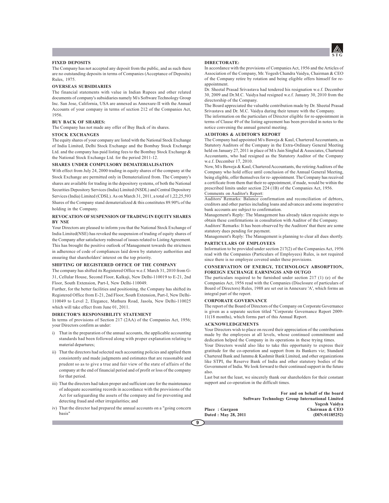

### **FIXED DEPOSITS**

The Company has not accepted any deposit from the public, and as such there are no outstanding deposits in terms of Companies (Acceptance of Deposits) Rules, 1975.

### **OVERSEAS SUBSIDIARIES**

The financial statements with value in Indian Rupees and other related documents of company's subsidiaries namely M/s Software Technology Group Inc. San Jose, California, USA are annexed as Annexure-II with the Annual Accounts of your company in terms of section 212 of the Companies Act, 1956.

### **BUY BACK OF SHARES:**

The Company has not made any offer of Buy Back of its shares.

### **STOCK EXCHANGES**

The equity shares of your company are listed with the National Stock Exchange of India Limited, Delhi Stock Exchange and the Bombay Stock Exchange Ltd. and the company has paid listing fees to the Bombay Stock Exchange & the National Stock Exchange Ltd. for the period 2011-12.

### **SHARES UNDER COMPULSORY DEMATERIALISATION**

With effect from July 24, 2000 trading in equity shares of the company at the Stock Exchange are permitted only in Dematerialized from. The Company's shares are available for trading in the depository systems, of both the National Securities Depository Services (India) Limited (NSDL) and Central Depository Services (India) Limited (CDSL). As on March 31, 2011, a total of 1,22,25,593 Shares of the Company stand dematerialized & this constitutes 89.90% of the holding in the Company.

### **REVOCATION OF SUSPENSION OF TRADING IN EQUITY SHARES BY NSE**

Your Directors are pleased to inform you that the National Stock Exchange of India Limited(NSE) has revoked the suspension of trading of equity shares of the Company after satisfactory redressal of issues related to Listing Agreement. This has brought the positive outlook of Management towards the strictness in adherence of code of compliances laid down by statutory authorities and ensuring that shareholders' interest on the top priority.

### **SHIFTING OF REGISTERED OFFICE OF THE COMPANY**

The company has shifted its Registered Office w.e.f. March 31, 2010 from G-31, Cellular House, Second Floor, Kalkaji, New Delhi-110019 to E-21, 2nd Floor, South Extension, Part-I, New Delhi-110049.

Further, for the better facilities and positioning, the Company has shifted its Registered Office from E-21, 2nd Floor, South Extension, Part-I, New Delhi-110049 to Level 2, Elegance, Mathura Road, Jasola, New Delhi-110025 which will take effect from June 01, 2011.

### **DIRECTOR'S RESPONSIBILITY STATEMENT**

In terms of provisions of Section 217 (2AA) of the Companies Act, 1956; your Directors confirm as under:

- i) That in the preparation of the annual accounts, the applicable accounting standards had been followed along with proper explanation relating to material departures;
- ii) That the directors had selected such accounting policies and applied them consistently and made judgments and estimates that are reasonable and prudent so as to give a true and fair view of the state of affairs of the company at the end of financial period and of profit or loss of the company for that period.
- iii) That the directors had taken proper and sufficient care for the maintenance of adequate accounting records in accordance with the provisions of the Act for safeguarding the assets of the company and for preventing and detecting fraud and other irregularities; and
- iv) That the director had prepared the annual accounts on a "going concern basis"

### **DIRECTORATE:**

In accordance with the provisions of Companies Act, 1956 and the Articles of Association of the Company, Mr. Yogesh Chandra Vaidya, Chairman & CEO of the Company retire by rotation and being eligible offers himself for reappointment.

Dr. Sheetal Prasad Srivastava had tendered his resignation w.e.f. December 30, 2009 and Dr.M.C. Vaidya had resigned w.e.f. January 30, 2010 from the directorship of the Company.

The Board appreciated the valuable contribution made by Dr. Sheetal Prasad Srivastava and Dr. M.C. Vaidya during their tenure with the Company.

The information on the particulars of Director eligible for re-appointment in terms of Clause 49 of the listing agreement has been provided in notes to the notice convening the annual general meeting.

### **AUDITORS & AUDITOR'S REPORT**

The Company had appointed M/s Baweja & Kaul, Chartered Accountants, as Statutory Auditors of the Company in the Extra-Ordinary General Meeting held on January 27, 2011 in place of M/s Jain Singhal & Associates, Chartered Accountants, who had resigned as the Statutory Auditor of the Company w.e.f. December 17, 2010.

Now, M/s Baweja & Kaul, Chartered Accountants, the retiring Auditors of the Company who hold office until conclusion of the Annual General Meeting, being eligible, offer themselves for re- appointment. The Company has received a certificate from them that their re-appointment, if made, would be within the prescribed limits under section 224 (1B) of the Companies Act, 1956. Comments on Auditor's Report:

Auditors' Remarks: Balance confirmation and reconciliation of debtors, creditors and other parties including loans and advances and some inoperative bank accounts are subject to confirmation.

Management's Reply: The Management has already taken requisite steps to obtain these confirmations in consultation with Auditor of the Company. Auditors' Remarks: It has been observed by the Auditors' that there are some statutory dues pending for payment.

Management's Reply: The Management is planning to clear all dues shortly.

### **PARTICULARS OF EMPLOYEES**

Information to be provided under section 217(2) of the Companies Act, 1956 read with the Companies (Particulars of Employees) Rules, is not required since there is no employee covered under these provisions.

### **CONSERVATION OF ENERGY, TECHNOLOGY ABSORPTION, FOREIGN EXCHANGE EARNINGSS AND OUTGO**

The particulars required to be furnished under section 217 (1) (e) of the Companies Act, 1956 read with the Companies (Disclosure of particulars of Board of Directors) Rules, 1988 are set out in Annexure 'A', which forms an integral part of the report.

### **CORPORATE GOVERNANCE**

The report of the Board of Directors of the Company on Corporate Governance is given as a separate section titled "Corporate Governance Report 2009- 11(18 months), which forms part of this Annual Report.

### **ACKNOWLEDGEMENTS**

Your Directors wish to place on record their appreciation of the contributions made by the employees at all levels, whose continued commitment and dedication helped the Company in its operations in these trying times.

Your Directors would also like to take this opportunity to express their gratitude for the co-operation and support from its Bankers viz; Standard Chartered Bank and Jammu & Kashmir Bank Limited, and other organizations like STPI, the Reserve Bank of India and other statutory bodies of the Government of India. We look forward to their continued support in the future also.

Last but not the least, we sincerely thank our shareholders for their constant support and co-operation in the difficult times.

**For and on behalf of the board Software Technology Group International Limited Yogesh Vaidya** Place : Gurgaon **Chairman & CEO**<br>
Dated : May 28, 2011 (DIN:01185252)  $Dated: May 28, 2011$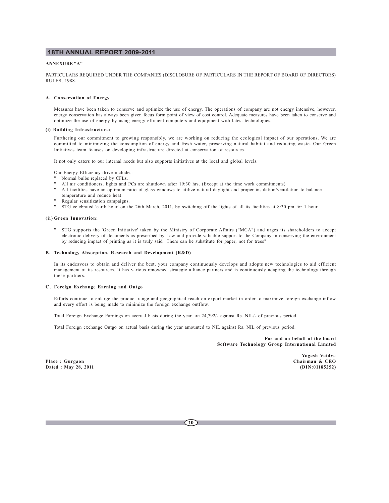### **ANNEXURE "A"**

PARTICULARS REQUIRED UNDER THE COMPANIES (DISCLOSURE OF PARTICULARS IN THE REPORT OF BOARD OF DIRECTORS) RULES, 1988.

### **A. Conservation of Energy**

Measures have been taken to conserve and optimize the use of energy. The operations of company are not energy intensive, however, energy conservation has always been given focus form point of view of cost control. Adequate measures have been taken to conserve and optimize the use of energy by using energy efficient computers and equipment with latest technologies.

### **(i) Building Infrastructure:**

Furthering our commitment to growing responsibly, we are working on reducing the ecological impact of our operations. We are committed to minimizing the consumption of energy and fresh water, preserving natural habitat and reducing waste. Our Green Initiatives team focuses on developing infrastructure directed at conservation of resources.

It not only caters to our internal needs but also supports initiatives at the local and global levels.

Our Energy Efficiency drive includes:

- Normal bulbs replaced by CFLs.
- All air conditioners, lights and PCs are shutdown after 19:30 hrs. (Except at the time work commitments)
- All facilities have an optimum ratio of glass windows to utilize natural daylight and proper insulation/ventilation to balance temperature and reduce heat.
- Regular sensitization campaigns.
- STG celebrated 'earth hour' on the 26th March, 2011, by switching off the lights of all its facilities at 8:30 pm for 1 hour.

### **(ii) Green Innovation:**

" STG supports the 'Green Initiative' taken by the Ministry of Corporate Affairs ("MCA") and urges its shareholders to accept electronic delivery of documents as prescribed by Law and provide valuable support to the Company in conserving the environment by reducing impact of printing as it is truly said "There can be substitute for paper, not for trees"

### **B. Technology Absorption, Research and Development (R&D)**

In its endeavors to obtain and deliver the best, your company continuously develops and adopts new technologies to aid efficient management of its resources. It has various renowned strategic alliance partners and is continuously adapting the technology through these partners.

### **C. Foreign Exchange Earning and Outgo**

Efforts continue to enlarge the product range and geographical reach on export market in order to maximize foreign exchange inflow and every effort is being made to minimize the foreign exchange outflow.

Total Foreign Exchange Earnings on accrual basis during the year are 24,792/- against Rs. NIL/- of previous period.

Total Foreign exchange Outgo on actual basis during the year amounted to NIL against Rs. NIL of previous period.

**For and on behalf of the board Software Technology Group International Limited**

**Place : Gurgaon Chairman & CEO**  $Dated: May 28, 2011$ 

**Yogesh Vaidya**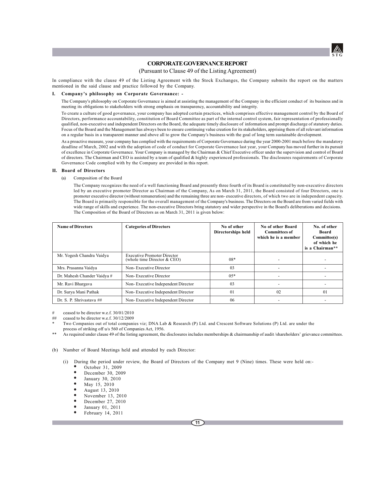

## **CORPORATE GOVERNANCE REPORT**

## (Pursuant to Clause 49 of the Listing Agreement)

In compliance with the clause 49 of the Listing Agreement with the Stock Exchanges, the Company submits the report on the matters mentioned in the said clause and practice followed by the Company.

### **I. Company's philosophy on Corporate Governance: -**

The Company's philosophy on Corporate Governance is aimed at assisting the management of the Company in the efficient conduct of its business and in meeting its obligations to stakeholders with strong emphasis on transparency, accountability and integrity.

To create a culture of good governance, your company has adopted certain practices, which comprises effective management control by the Board of Directors, performance accountability, constitution of Board Committee as part of the internal control system, fair representation of professionally qualified, non-executive and independent Directors on the Board, the adequate timely disclosure of information and prompt discharge of statutory duties. Focus of the Board and the Management has always been to ensure continuing value creation for its stakeholders, apprising them of all relevant information on a regular basis in a transparent manner and above all to grow the Company's business with the goal of long term sustainable development.

As a proactive measure, your company has complied with the requirements of Corporate Governance during the year 2000-2001 much before the mandatory deadline of March, 2002 and with the adoption of code of conduct for Corporate Governance last year, your Company has moved further in its pursuit of excellence in Corporate Governance. Your Company is managed by the Chairman & Chief Executive officer under the supervision and control of Board of directors. The Chairman and CEO is assisted by a team of qualified & highly experienced professionals. The disclosures requirements of Corporate Governance Code complied with by the Company are provided in this report.

### **II. Board of Directors**

(a) Composition of the Board

The Company recognizes the need of a well functioning Board and presently three fourth of its Board is constituted by non-executive directors led by an executive promoter Director as Chairman of the Company, As on March 31, 2011, the Board consisted of four Directors, one is promoter executive director (without remuneration) and the remaining three are non- executive directors, of which two are in independent capacity. The Board is primarily responsible for the overall management of the Company's business. The Directors on the Board are from varied fields with wide range of skills and experience. The non-executive Directors bring statutory and wider perspective in the Board's deliberations and decisions. The Composition of the Board of Directors as on March 31, 2011 is given below:

| <b>Name of Directors</b>    | <b>Categories of Directors</b>                                    | No of other<br><b>Directorships held</b> | No of other Board<br><b>Committees of</b><br>which he is a member | No. of other<br><b>Board</b><br>Committee(s)<br>of which he<br>is a Chairman** |
|-----------------------------|-------------------------------------------------------------------|------------------------------------------|-------------------------------------------------------------------|--------------------------------------------------------------------------------|
| Mr. Yogesh Chandra Vaidya   | <b>Executive Promoter Director</b><br>(whole time Director & CEO) | $08*$                                    |                                                                   |                                                                                |
| Mrs. Prasanna Vaidya        | Non-Executive Director                                            | 03                                       | $\overline{\phantom{0}}$                                          |                                                                                |
| Dr. Mahesh Chander Vaidya # | Non-Executive Director                                            | $0.5*$                                   |                                                                   |                                                                                |
| Mr. Ravi Bhargava           | Non-Executive Independent Director                                | 03                                       |                                                                   |                                                                                |
| Dr. Surya Mani Pathak       | Non-Executive Independent Director                                | 01                                       | 02                                                                | 01                                                                             |
| Dr. S. P. Shrivastava ##    | Non-Executive Independent Director                                | 06                                       | $\overline{\phantom{0}}$                                          |                                                                                |

# ceased to be director w.e.f. 30/01/2010

## ceased to be director w.e.f. 30/12/2009

As required under clause 49 of the listing agreement, the disclosures includes memberships & chairmanship of audit /shareholders' grievance committees.

(b) Number of Board Meetings held and attended by each Director:

- (i) During the period under review, the Board of Directors of the Company met 9 (Nine) times. These were held on:-
	- October 31, 2009
	- December 30, 2009
	- January 30, 2010
	- May 15, 2010
	- August 13, 2010
	- November 13, 2010
	- December 27, 2010
	- January 01, 2011
	- February 14, 2011

Two Companies out of total companies viz; DNA Lab & Research (P) Ltd. and Crescent Software Solutions (P) Ltd. are under the process of striking off u/s 560 of Companies Act, 1956.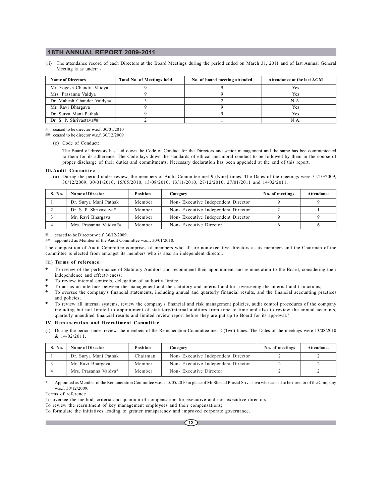(ii) The attendance record of each Directors at the Board Meetings during the period ended on March 31, 2011 and of last Annual General Meeting is as under: -

| <b>Name of Directors</b>   | <b>Total No. of Meetings held</b> | No. of board meeting attended | Attendance at the last AGM |
|----------------------------|-----------------------------------|-------------------------------|----------------------------|
| Mr. Yogesh Chandra Vaidya  |                                   |                               | Yes                        |
| Mrs. Prasanna Vaidya       |                                   |                               | Yes                        |
| Dr. Mahesh Chander Vaidya# |                                   |                               | N.A.                       |
| Mr. Ravi Bhargava          |                                   |                               | Yes                        |
| Dr. Surya Mani Pathak      |                                   |                               | <b>Yes</b>                 |
| Dr. S. P. Shrivastava##    |                                   |                               | N.A                        |

# ceased to be director w.e.f. 30/01/2010

## ceased to be director w.e.f. 30/12/2009

(c) Code of Conduct:

The Board of directors has laid down the Code of Conduct for the Directors and senior management and the same has bee communicated to them for its adherence. The Code lays down the standards of ethical and moral conduct to be followed by them in the course of proper discharge of their duties and commitments. Necessary declaration has been appended at the end of this report.

### **III. Audit Committee**

(a) During the period under review, the members of Audit Committee met 9 (Nine) times. The Dates of the meetings were 31/10/2009, 30/12/2009, 30/01/2010, 15/05/2010, 13/08/2010, 13/11/2010, 27/12/2010, 27/01/2011 and 14/02/2011.

| S. No. | Name of Director       | <b>Position</b> | Category                           | No. of meetings | Attendance |
|--------|------------------------|-----------------|------------------------------------|-----------------|------------|
| .,     | Dr. Surya Mani Pathak  | Member          | Non-Executive Independent Director |                 |            |
|        | Dr. S. P. Shrivastava# | Member          | Non-Executive Independent Director |                 |            |
|        | Mr. Ravi Bhargava      | Member          | Non-Executive Independent Director |                 |            |
|        | Mrs. Prasanna Vaidya## | Member          | Non-Executive Director             |                 |            |

ceased to be Director w.e.f. 30/12/2009.

## appointed as Member of the Audit Committee w.e.f. 30/01/2010.

The composition of Audit Committee comprises of members who all are non-executive directors as its members and the Chairman of the committee is elected from amongst its members who is also an independent director.

### **(ii) Terms of reference:**

- To review of the performance of Statutory Auditors and recommend their appointment and remuneration to the Board, considering their independence and effectiveness;
- To review internal controls, delegation of authority limits;
- To act as an interface between the management and the statutory and internal auditors overseeing the internal audit functions;
- " To oversee the company's financial statements, including annual and quarterly financial results, and the financial accounting practices and policies;
- To review all internal systems, review the company's financial and risk management policies, audit control procedures of the company including but not limited to appointment of statutory/internal auditors from time to time and also to review the annual accounts, quarterly unaudited financial results and limited review report before they are put up to Board for its approval."

### **IV. Remuneration and Recruitment Committee**

(i) During the period under review, the members of the Remuneration Committee met 2 (Two) times. The Dates of the meetings were 13/08/2010 & 14/02/2011.

| S. No. | <b>Name of Director</b> | <b>Position</b> | Category                           | No. of meetings | <b>Attendance</b> |
|--------|-------------------------|-----------------|------------------------------------|-----------------|-------------------|
|        | Dr. Surya Mani Pathak   | Chairman        | Non-Executive Independent Director |                 |                   |
|        | Mr. Ravi Bhargava       | Member          | Non-Executive Independent Director |                 |                   |
|        | Mrs. Prasanna Vaidya*   | Member          | Non-Executive Director             |                 |                   |

\* Appointed as Member of the Remuneration Committee w.e.f. 15/05/2010 in place of Mr.Sheetal Prasad Srivastava who ceased to be director of the Company  $w e f. 30/12/2009$ 

Terms of reference

To oversee the method, criteria and quantum of compensation for executive and non executive directors.

To review the recruitment of key management employees and their compensations;

To formulate the initiatives leading to greater transparency and improved corporate governance.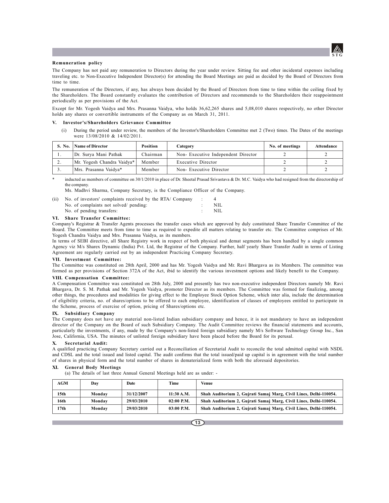

### **Remuneration policy**

The Company has not paid any remuneration to Directors during the year under review. Sitting fee and other incidental expenses including traveling etc. to Non-Executive Independent Director(s) for attending the Board Meetings are paid as decided by the Board of Directors from time to time.

The remuneration of the Directors, if any, has always been decided by the Board of Directors from time to time within the ceiling fixed by the Shareholders. The Board constantly evaluates the contribution of Directors and recommends to the Shareholders their reappointment periodically as per provisions of the Act.

Except for Mr. Yogesh Vaidya and Mrs. Prasanna Vaidya, who holds 36,62,265 shares and 5,08,010 shares respectively, no other Director holds any shares or convertible instruments of the Company as on March 31, 2011.

### **V. Investor's/Shareholders Grievance Committee**

During the period under review, the members of the Investor's/Shareholders Committee met 2 (Two) times. The Dates of the meetings were 13/08/2010 & 14/02/2011.

|          | S. No. Name of Director    | Position | Category                           | No. of meetings | Attendance |
|----------|----------------------------|----------|------------------------------------|-----------------|------------|
| . .      | Dr. Surva Mani Pathak      | Chairman | Non-Executive Independent Director |                 |            |
| <u>.</u> | Mr. Yogesh Chandra Vaidya* | Member   | Executive Director                 |                 |            |
|          | Mrs. Prasanna Vaidva*      | Member   | Non-Executive Director             |                 |            |

inducted as members of committee on 30/1/2010 in place of Dr. Sheetal Prasad Srivastava & Dr. M.C. Vaidya who had resigned from the directorship of the company.

Ms. Madhvi Sharma, Company Secretary, is the Compliance Officer of the Company.

| (ii) | No. of investors' complaints received by the RTA/ Company |     |
|------|-----------------------------------------------------------|-----|
|      | No. of complaints not solved/ pending:                    | NH. |
|      | No. of pending transfers:                                 | NH. |

### **VI. Share Transfer Committee:**

Company's Registrar & Transfer Agents processes the transfer cases which are approved by duly constituted Share Transfer Committee of the Board. The Committee meets from time to time as required to expedite all matters relating to transfer etc. The Committee comprises of Mr. Yogesh Chandra Vaidya and Mrs. Prasanna Vaidya, as its members.

In terms of SEBI directive, all Share Registry work in respect of both physical and demat segments has been handled by a single common Agency viz M/s Sharex Dynamic (India) Pvt. Ltd, the Registrar of the Company. Further, half yearly Share Transfer Audit in terms of Listing Agreement are regularly carried out by an independent Practicing Company Secretary.

### **VII. Investment Committee:**

The Committee was constituted on 28th April, 2000 and has Mr. Yogesh Vaidya and Mr. Ravi Bhargava as its Members. The committee was formed as per provisions of Section 372A of the Act, ibid to identify the various investment options and likely benefit to the Company.

### **VIII. Compensation Committee:**

A Compensation Committee was constituted on 28th July, 2000 and presently has two non-executive independent Directors namely Mr. Ravi Bhargava, Dr. S. M. Pathak and Mr. Yogesh Vaidya, promoter Director as its members. The Committee was formed for finalizing, among other things, the procedures and modalities for giving effect to the Employee Stock Option Scheme, which inter alia, include the determination of eligibility criteria, no. of shares/options to be offered to each employee, identification of classes of employees entitled to participate in the Scheme, process of exercise of option, pricing of Shares/options etc.

### **IX. Subsidiary Company**

The Company does not have any material non-listed Indian subsidiary company and hence, it is not mandatory to have an independent director of the Company on the Board of such Subsidiary Company. The Audit Committee reviews the financial statements and accounts, particularly the investments, if any, made by the Company's non-listed foreign subsidiary namely M/s Software Technology Group Inc., San Jose, California, USA. The minutes of unlisted foreign subsidiary have been placed before the Board for its perusal.

### **X. Secretarial Audit:**

A qualified practicing Company Secretary carried out a Reconciliation of Secretarial Audit to reconcile the total admitted capital with NSDL and CDSL and the total issued and listed capital. The audit confirms that the total issued/paid up capital is in agreement with the total number of shares in physical form and the total number of shares in dematerialized form with both the aforesaid depositories.

### **XI. General Body Meetings**

(a) The details of last three Annual General Meetings held are as under: -

| AGM  | Dav    | Date       | Time         | Venue                                                             |
|------|--------|------------|--------------|-------------------------------------------------------------------|
| 15th | Monday | 31/12/2007 | 11:30 A.M.   | Shah Auditorium 2, Gujrati Samaj Marg, Civil Lines, Delhi-110054. |
| 16th | Monday | 29/03/2010 | $02:00$ P.M. | Shah Auditorium 2, Gujrati Samaj Marg, Civil Lines, Delhi-110054. |
| 17th | Monday | 29/03/2010 | $03:00$ P.M. | Shah Auditorium 2, Gujrati Samaj Marg, Civil Lines, Delhi-110054. |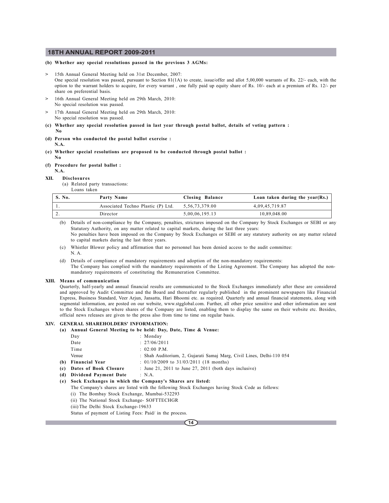### **(b) Whether any special resolutions passed in the previous 3 AGMs:**

- **>** 15th Annual General Meeting held on 31st December, 2007:
- One special resolution was passed, pursuant to Section 81(1A) to create, issue/offer and allot 5,00,000 warrants of Rs. 22/- each, with the option to the warrant holders to acquire, for every warrant , one fully paid up equity share of Rs. 10/- each at a premium of Rs. 12/- per share on preferential basis.
- **>** 16th Annual General Meeting held on 29th March, 2010: No special resolution was passed.
- **>** 17th Annual General Meeting held on 29th March, 2010: No special resolution was passed.
- **(c) Whether any special resolution passed in last year through postal ballot, details of voting pattern :**
- **No**
- **(d) Person who conducted the postal ballot exercise : N.A.**
- **(e) Whether special resolutions are proposed to be conducted through postal ballot : No**
- **(f) Procedure for postal ballot :**
- **N.A.**

### **XII. Disclosures**

(a) Related party transactions: Loans taken

| <b>S. No.</b> | Party Name                         | Closing Balance   | Loan taken during the year(Rs.) $\vert$ |
|---------------|------------------------------------|-------------------|-----------------------------------------|
|               | Associated Techno Plastic (P) Ltd. | 5, 56, 73, 379.00 | 4,09,45,719.87                          |
| <u>.</u>      | Director                           | 5,00,06,195.13    | 10.89.048.00                            |

(b) Details of non-compliance by the Company, penalties, strictures imposed on the Company by Stock Exchanges or SEBI or any Statutory Authority, on any matter related to capital markets, during the last three years: No penalties have been imposed on the Company by Stock Exchanges or SEBI or any statutory authority on any matter related to capital markets during the last three years.

- (c) Whistler Blower policy and affirmation that no personnel has been denied access to the audit committee: N. A.
- (d) Details of compliance of mandatory requirements and adoption of the non-mandatory requirements: The Company has complied with the mandatory requirements of the Listing Agreement. The Company has adopted the nonmandatory requirements of constituting the Remuneration Committee.

### **XIII. Means of communication**

Quarterly, half-yearly and annual financial results are communicated to the Stock Exchanges immediately after these are considered and approved by Audit Committee and the Board and thereafter regularly published in the prominent newspapers like Financial Express, Business Standard, Veer Arjun, Jansatta, Hari Bhoomi etc. as required. Quarterly and annual financial statements, along with segmental information, are posted on our website, www.stgglobal.com. Further, all other price sensitive and other information are sent to the Stock Exchanges where shares of the Company are listed, enabling them to display the same on their website etc. Besides, official news releases are given to the press also from time to time on regular basis.

## **XIV. GENERAL SHAREHOLDERS' INFORMATION:**

**(a) Annual General Meeting to be held: Day, Date, Time & Venue:**

| Day                       | : Monday                                                              |
|---------------------------|-----------------------------------------------------------------------|
| Date                      | : 27/06/2011                                                          |
| Time                      | $: 02:00$ P.M.                                                        |
| Venue                     | : Shah Auditorium, 2, Gujarati Samaj Marg, Civil Lines, Delhi-110 054 |
| (b) Financial Year        | $: 01/10/2009$ to $31/03/2011$ (18 months)                            |
| (c) Dates of Book Closure | : June 21, 2011 to June 27, 2011 (both days inclusive)                |
|                           |                                                                       |

**(d) Dividend Payment Date** : N.A.

### **(e) Sock Exchanges in which the Company's Shares are listed:**

The Company's shares are listed with the following Stock Exchanges having Stock Code as follows:

- (i) The Bombay Stock Exchange, Mumbai-532293
- (ii) The National Stock Exchange- SOFTTECHGR
- (iii) The Delhi Stock Exchange-19633

Status of payment of Listing Fees: Paid/ in the process.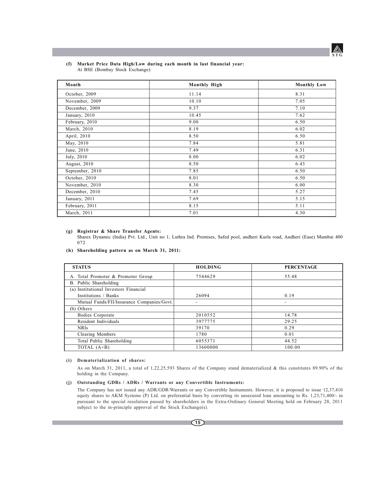

### **(f) Market Price Data High/Low during each month in last financial year:** At BSE (Bombay Stock Exchange):

| Month           | Monthly High | <b>Monthly Low</b> |
|-----------------|--------------|--------------------|
| October, 2009   | 11.14        | 8.31               |
| November, 2009  | 10.10        | 7.05               |
| December, 2009  | 9.37         | 7.10               |
| January, 2010   | 10.45        | 7.62               |
| February, 2010  | 9.00         | 6.50               |
| March, 2010     | 8.19         | 6.02               |
| April, 2010     | 8.50         | 6.50               |
| May, 2010       | 7.84         | 5.81               |
| June, 2010      | 7.49         | 6.31               |
| July, 2010      | 8.00         | 6.02               |
| August, 2010    | 8.50         | 6.43               |
| September, 2010 | 7.85         | 6.50               |
| October, 2010   | 8.01         | 6.50               |
| November, 2010  | 8.30         | 6.00               |
| December, 2010  | 7.45         | 5.27               |
| January, 2011   | 7.69         | 5.15               |
| February, 2011  | 8.15         | 5.11               |
| March, 2011     | 7.01         | 4.30               |

## **(g) Registrar & Share Transfer Agents:**

Sharex Dynamic (India) Pvt. Ltd., Unit no 1, Luthra Ind. Premises, Safed pool, andheri Kurla road, Andheri (Ease) Mumbai 400 072

### **(h) Shareholding pattern as on March 31, 2011:**

| <b>STATUS</b>                              | <b>HOLDING</b> | <b>PERCENTAGE</b>        |
|--------------------------------------------|----------------|--------------------------|
| A. Total Promoter & Promoter Group         | 7544629        | 55.48                    |
| B. Public Shareholding                     |                |                          |
| (a) Institutional Investors Financial      |                |                          |
| Institutions / Banks                       | 26094          | 0.19                     |
| Mutual Funds/FII/Insurance Companies/Govt. |                | $\overline{\phantom{0}}$ |
| (b) Others                                 |                |                          |
| Bodies Corporate                           | 2010552        | 14.78                    |
| Resident Individuals                       | 3977775        | 29.25                    |
| <b>NRIS</b>                                | 39170          | 0.29                     |
| Clearing Members                           | 1780           | 0.01                     |
| Total Public Shareholding                  | 6055371        | 44.52                    |
| TOTAL (A+B)                                | 13600000       | 100.00                   |

### **(i) Dematerialization of shares:**

As on March 31, 2011, a total of 1,22,25,593 Shares of the Company stand dematerialized & this constitutes 89.90% of the holding in the Company.

### **(j) Outstanding GDRs / ADRs / Warrants or any Convertible Instruments:**

The Company has not issued any ADR/GDR/Warrants or any Convertible Instruments. However, it is proposed to issue 12,37,410 equity shares to AKM Systems (P) Ltd. on preferential basis by converting its unsecured loan amounting to Rs. 1,23,71,400/- in pursuant to the special resolution passed by shareholders in the Extra-Ordinary General Meeting held on February 28, 2011 subject to the in-principle approval of the Stock Exchange(s).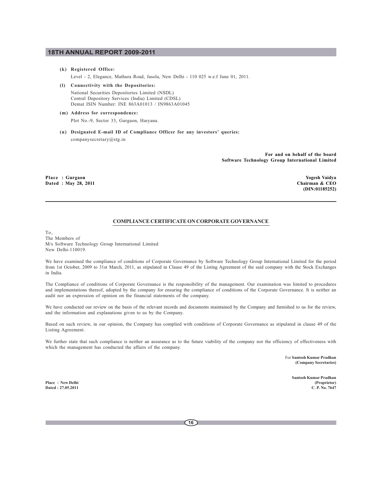### **(k) Registered Office:**

Level - 2, Elegance, Mathura Road, Jasola, New Delhi - 110 025 w.e.f June 01, 2011.

- **(l) Connectivity with the Depositories:** National Securities Depositories Limited (NSDL) Central Depository Services (India) Limited (CDSL)
	- Demat ISIN Number: INE 863A01013 / IN9863A01045
- **(m) Address for correspondence:** Plot No.-9, Sector 33, Gurgaon, Haryana.
- **(n) Designated E-mail ID of Compliance Officer for any investors' queries:** companysecretary@stg.in

**For and on behalf of the board Software Technology Group International Limited**

Place : Gurgaon Yogesh Vaidya<br>
Pated : May 28, 2011 **Yogesh Vaidya**<br>
Dated : May 28, 2011 **Yogesh Vaidya Dated : May 28, 2011** 

 **(DIN:01185252)**

## **COMPLIANCE CERTIFICATE ON CORPORATE GOVERNANCE**

To, The Members of M/s Software Technology Group International Limited New Delhi-110019.

We have examined the compliance of conditions of Corporate Governance by Software Technology Group International Limited for the period from 1st October, 2009 to 31st March, 2011, as stipulated in Clause 49 of the Listing Agreement of the said company with the Stock Exchanges in India.

The Compliance of conditions of Corporate Governance is the responsibility of the management. Our examination was limited to procedures and implementations thereof, adopted by the company for ensuring the compliance of conditions of the Corporate Governance. It is neither an audit nor an expression of opinion on the financial statements of the company.

We have conducted our review on the basis of the relevant records and documents maintained by the Company and furnished to us for the review, and the information and explanations given to us by the Company.

Based on such review, in our opinion, the Company has complied with conditions of Corporate Governance as stipulated in clause 49 of the Listing Agreement.

We further state that such compliance is neither an assurance as to the future viability of the company nor the efficiency of effectiveness with which the management has conducted the affairs of the company.

> For **Santosh Kumar Pradhan (Company Secretaries)**

**Santosh Kumar Pradhan Place : New Delhi (Proprietor) Dated : 27.05.2011 C. P. No. 7647**

**16**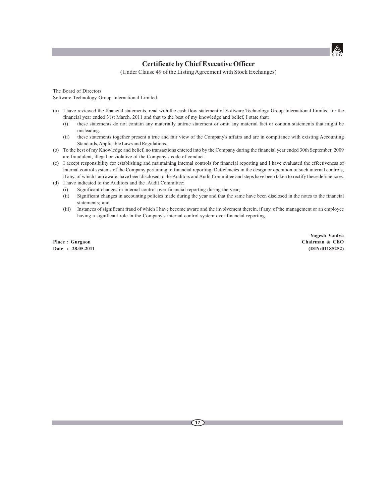

## **Certificate by Chief Executive Officer**

(Under Clause 49 of the Listing Agreement with Stock Exchanges)

The Board of Directors Software Technology Group International Limited.

- (a) I have reviewed the financial statements, read with the cash flow statement of Software Technology Group International Limited for the financial year ended 31st March, 2011 and that to the best of my knowledge and belief, I state that:
	- (i) these statements do not contain any materially untrue statement or omit any material fact or contain statements that might be misleading.
	- (ii) these statements together present a true and fair view of the Company's affairs and are in compliance with existing Accounting Standards, Applicable Laws and Regulations.
- (b) To the best of my Knowledge and belief, no transactions entered into by the Company during the financial year ended 30th September, 2009 are fraudulent, illegal or violative of the Company's code of conduct.
- (c) I accept responsibility for establishing and maintaining internal controls for financial reporting and I have evaluated the effectiveness of internal control systems of the Company pertaining to financial reporting. Deficiencies in the design or operation of such internal controls, if any, of which I am aware, have been disclosed to the Auditors and Audit Committee and steps have been taken to rectify these deficiencies.
- (d) I have indicated to the Auditors and the .Audit Committee:
	- (i) Significant changes in internal control over financial reporting during the year;
	- (ii) Significant changes in accounting policies made during the year and that the same have been disclosed in the notes to the financial statements; and
	- (iii) Instances of significant fraud of which I have become aware and the involvement therein, if any, of the management or an employee having a significant role in the Company's internal control system over financial reporting.

**Date : 28.05.2011** 

**Yogesh Vaidya Place : Gurgaon Chairman & CEO**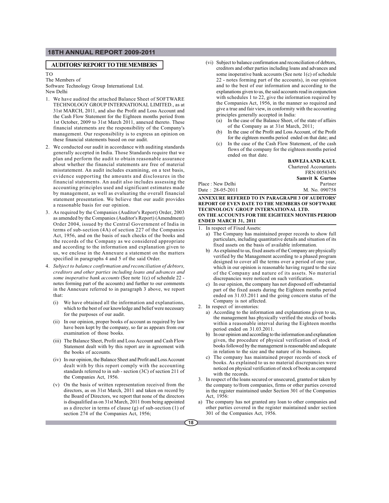### **AUDITORS' REPORT TO THE MEMBERS**

#### TO

The Members of

Software Technology Group International Ltd. New Delhi

- 1. We have audited the attached Balance Sheet of SOFTWARE TECHNOLOGY GROUP INTERNATIONAL LIMITED., as at 31st MARCH, 2011, and also the Profit and Loss Account and the Cash Flow Statement for the Eighteen months period from 1st October, 2009 to 31st March 2011, annexed thereto. These financial statements are the responsibility of the Company's management. Our responsibility is to express an opinion on these financial statements based on our audit.
- 2. We conducted our audit in accordance with auditing standards generally accepted in India. Those Standards require that we plan and perform the audit to obtain reasonable assurance about whether the financial statements are free of material misstatement. An audit includes examining, on a test basis, evidence supporting the amounts and disclosures in the financial statements. An audit also includes assessing the accounting principles used and significant estimates made by management, as well as evaluating the overall financial statement presentation. We believe that our audit provides a reasonable basis for our opinion.
- 3. As required by the Companies (Auditor's Report) Order, 2003 as amended by the Companies (Auditor's Report) (Amendment) Order 2004, issued by the Central Government of India in terms of sub-section (4A) of section 227 of the Companies Act, 1956, and on the basis of such checks of the books and the records of the Company as we considered appropriate and according to the information and explanation given to us, we enclose in the Annexure a statement on the matters specified in paragraphs 4 and 5 of the said Order.
- 4. *Subject to balance confirmation and reconciliation of debtors, creditors and other parties including loans and advances and some inoperative bank accounts* (See note 1(c) of schedule 22 notes forming part of the accounts) and further to our comments in the Annexure referred to in paragraph 3 above, we report that:
	- (i) We have obtained all the information and explanations, which to the best of our knowledge and belief were necessary for the purposes of our audit.
	- (ii) In our opinion, proper books of account as required by law have been kept by the company, so far as appears from our examination of those books.
	- (iii) The Balance Sheet, Profit and Loss Account and Cash Flow Statement dealt with by this report are in agreement with the books of accounts.
	- (iv) In our opinion, the Balance Sheet and Profit and Loss Account dealt with by this report comply with the accounting standards referred to in sub - section (3C) of section 211 of the Companies Act, 1956.
	- (v) On the basis of written representation received from the directors, as on 31st March, 2011 and taken on record by the Board of Directors, we report that none of the directors is disqualified as on 31st March, 2011 from being appointed as a director in terms of clause (g) of sub-section (1) of section 274 of the Companies Act, 1956;
- (vi) Subject to balance confirmation and reconciliation of debtors, creditors and other parties including loans and advances and some inoperative bank accounts (See note 1(c) of schedule 22 - notes forming part of the accounts), in our opinion and to the best of our information and according to the explanations given to us, the said accounts read in conjunction with schedules 1 to 22, give the information required by the Companies Act, 1956, in the manner so required and give a true and fair view, in conformity with the accounting principles generally accepted in India:
	- (a) In the case of the Balance Sheet, of the state of affairs of the Company as at 31st March, 2011;
	- In the case of the Profit and Loss Account, of the Profit for the eighteen months period ended on that date; and
	- In the case of the Cash Flow Statement, of the cash flows of the company for the eighteen months period ended on that date.

|                   | <b>BAWEJA AND KAUL</b>       |
|-------------------|------------------------------|
|                   | <b>Chartered Accountants</b> |
|                   | FRN:005834N                  |
|                   | <b>Samvit K Gurtoo</b>       |
| Place : New Delhi | Partner                      |
| Date: 28-05-2011  | M. No. 090758                |
|                   |                              |

**ANNEXURE REFERED TO IN PARAGRAPH 3 OF AUDITORS' REPORT OF EVEN DATE TO THE MEMBERS OF SOFTWARE TECHNOLOGY GROUP INTERNATIONAL LTD. ON THE ACCOUNTS FOR THE EIGHTEEN MONTHS PERIOD ENDED MARCH 31, 2011**

- 1. In respect of Fixed Assets:
	- a) The Company has maintained proper records to show full particulars, including quantitative details and situation of its fixed assets on the basis of available information.
	- b) As explained to us, fixed assets of the Company are physically verified by the Management according to a phased program designed to cover all the terms over a period of one year, which in our opinion is reasonable having regard to the size of the Company and nature of its assets. No material discrepancies were noticed on such verification.
	- c) In our opinion, the company has not disposed off substantial part of the fixed assets during the Eighteen months period ended on 31.03.2011 and the going concern status of the Company is not affected.
- 2. In respect of inventories:
	- a) According to the information and explanations given to us, the management has physically verified the stocks of books within a reasonable interval during the Eighteen months period ended on 31.03.2011.
	- b) In our opinion and according to the information and explanation given, the procedure of physical verification of stock of books followed by the management is reasonable and adequate in relation to the size and the nature of its business.
	- c) The company has maintained proper records of stock of books. As explained to us no material discrepancies were noticed on physical verification of stock of books as compared with the records.
- 3. In respect of the loans secured or unsecured, granted or taken by the company to/from companies, firms or other parties covered in the register maintained under Section 301 of the Companies Act, 1956:
- a) The company has not granted any loan to other companies and other parties covered in the register maintained under section 301 of the Companies Act, 1956.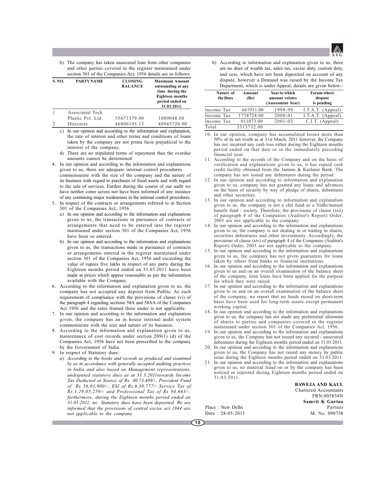

b) The company has taken unsecured loan from other companies and other parties covered in the register maintained under section 301 of the Companies Act, 1956 details are as follows:

| <b>S. NO.</b> | <b>PARTY NAME</b> | <b>CLOSING</b><br><b>BALANCE</b> | <b>Maximum Amount</b><br>outstanding at any<br>time during the<br><b>Eighteen months</b><br>period ended on<br>31.03.2011. |
|---------------|-------------------|----------------------------------|----------------------------------------------------------------------------------------------------------------------------|
|               | Associated Tech   |                                  |                                                                                                                            |
|               | Plastic Pyt. Ltd. | 55673379.00                      | 1089048.00                                                                                                                 |
|               | Directors         | 46806195.13                      | 40945720.00                                                                                                                |

c) In our opinion and according to the information and explanation, the rate of interest and other terms and conditions of loans taken by the company are not prima facie prejudicial to the interest of the company.

- d) There are no stipulated terms of repayment thus the overdue amounts cannot be determined.
- 4. In our opinion and according to the information and explanations given to us, there are adequate internal control procedures commensurate with the size of the company and the nature of its business with regard to purchases of fixed assets and with regard to the sale of services. Further during the course of our audit we have neither come across nor have been informed of any instance of any continuing major weaknesses in the internal control procedures.
- 5. In respect of the contracts or arrangements referred to in Section 301 of the Companies Act, 1956.
	- a) In our opinion and according to the information and explanations given to us, the transactions in pursuance of contracts or arrangements that need to be entered into the register maintained under section 301 of the Companies Act, 1956 have been so entered.
	- b) In our opinion and according to the information and explanations given to us, the transactions made in pursuance of contracts or arrangements entered in the register maintained under section 301 of the Companies Act, 1956 and exceeding the value of rupees five lakhs in respect of any party during the Eighteen months period ended on 31.03.2011 have been made at prices which appear reasonable as per the information available with the Company.
- 6. According to the information and explanation given to us, the company has not accepted any deposit from Public. As such requirement of compliance with the provisions of clause (vi) of the paragraph 4 regarding sections 58A and 58AA of the Companies Act 1956 and the rules framed there under is not applicable.
- 7. In our opinion and according to the information and explanation given, the company has an in house internal audit system commensurate with the size and nature of its business.
- 8. According to the information and explanation given to us, maintenance of cost records under section 209(1) (d) of the Companies Act, 1956 have not been prescribed to the company by the Government of India.
- 9. In respect of Statutory dues:
	- a) *According to the books and records as produced and examined by us in accordance with generally accepted auditing practices in India and also based on Management representations, undisputed statutory dues as at 31.3.2011towards Income Tax Deducted at Source of Rs. 40,73,489/-, Provident Fund of Rs 56,93,900/-, ESI of Rs.6,30,777/- Service Tax of Rs.1,29,05,259/- and Professional Tax of Rs 94,663/-, furthermore, during the Eighteen months period ended on 31.03.2011, no Statutory dues have been deposited. We are informed that the provisions of central excise act 1944 are not applicable to the company.*

b) According to information and explanation given to us, there are no dues of wealth tax, sales tax, excise duty, custom duty, and cess, which have not been deposited on account of any dispute, however a Demand was raised by the Income Tax Department, which is under Appeal, details are given below:-

| Nature of<br>the Dues | Amount<br>(Rs) | Year to which<br>amount relates<br>(Assessment Year) | <b>Forum where</b><br>dispute<br>is pending |
|-----------------------|----------------|------------------------------------------------------|---------------------------------------------|
| Income Tax            | 667931.00      | 1998-99                                              | I.T.A.T. (Appeal)                           |
| Income Tax            | 1734728.00     | $2000 - 01$                                          | I.T.A.T. (Appeal)                           |
| Income Tax            | 911073.00      | $2001 - 02$                                          | C.I.T. (Appeal)                             |
| Total                 | 3313732.00     |                                                      |                                             |

- 10. In our opinion, company has accumulated losses more than 50% of its net worth as at 31st March, 2011 however, the Company has not incurred any cash loss either during the Eighteen months period ended on that date or in the immediately preceding financial year.
- 11. According to the records of the Company and on the basis of verification and explanations given to us, it has repaid cash credit facility obtained from the Jammu & Kashmir Bank. The company has not issued any debentures during the period.
- 12. In our opinion and according to information and explanation given to us, company has not granted any loans and advances on the basis of security by way of pledge of shares, debentures and other securities.
- 13. In our opinion and according to information and explanation given to us, the company is not a chit fund or a Nidhi/mutual benefit fund / society. Therefore, the provisions of clause (xiii) of paragraph 4 of the Companies (Auditor's Report) Order, 2003 are not applicable to the company.
- 14. In our opinion and according to the information and explanations given to us, the company is not dealing in or trading in shares, securities debentures and other investments. Accordingly, the provisions of clause (xiv) of paragraph 4 of the Companies (Auditor's Report) Order, 2003 are not applicable to the company.
- 15. In our opinion and according to the information and explanations given to us, the company has not given guarantees for loans taken by others from banks or financial institutions.
- 16. In our opinion and according to the information and explanations given to us and on an overall examination of the balance sheet of the company, term loans have been applied for the purpose for which they were raised.
- 17. In our opinion and according to the information and explanations given to us and on an overall examination of the balance sheet of the company, we report that no funds raised on short-term basis have been used for long-term assets except permanent working capital.
- 18. In our opinion and according to the information and explanations given to us, the company has not made any preferential allotment of shares to parties and companies covered in the register maintained under section 301 of the Companies Act, 1956.
- 19. In our opinion and according to the information and explanations given to us, the Company has not issued any secured / unsecured debentures during the Eighteen months period ended on 31.03.2011.
- 20. In our opinion and according to the information and explanations given to us, the Company has not raised any money by public issue during the Eighteen months period ended on 31.03.2011.
- 21. In our opinion and according to the information and explanations given to us, no material fraud on or by the company has been noticed or reported during Eighteen months period ended on 31.03.2011.

**BAWEJA AND KAUL** Chartered Accountants FRN:005834N **Samvit K Gurtoo** Place : New Delhi Partner<br>Date : 28-05-2011 M. No. 090758

Date: 28-05-2011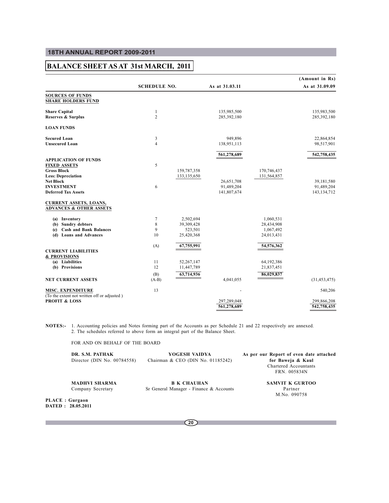## **BALANCE SHEET AS AT 31st MARCH, 2011**

|                                                                                                       |                     |                                                  |                                         |                                                    | (Amount in Rs)                            |
|-------------------------------------------------------------------------------------------------------|---------------------|--------------------------------------------------|-----------------------------------------|----------------------------------------------------|-------------------------------------------|
|                                                                                                       | <b>SCHEDULE NO.</b> |                                                  | As at 31.03.11                          |                                                    | As at 31.09.09                            |
| <b>SOURCES OF FUNDS</b><br><b>SHARE HOLDERS FUND</b>                                                  |                     |                                                  |                                         |                                                    |                                           |
| <b>Share Capital</b><br><b>Reserves &amp; Surplus</b>                                                 | 1<br>$\overline{c}$ |                                                  | 135,985,500<br>285,392,180              |                                                    | 135,983,500<br>285,392,180                |
| <b>LOAN FUNDS</b>                                                                                     |                     |                                                  |                                         |                                                    |                                           |
| <b>Secured Loan</b><br><b>Unsecured Loan</b>                                                          | 3<br>$\overline{4}$ |                                                  | 949.896<br>138,951,113                  |                                                    | 22,864,854<br>98,517,901                  |
| <b>APPLICATION OF FUNDS</b>                                                                           |                     |                                                  | 561,278,689                             |                                                    | 542,758,435                               |
| <b>FIXED ASSETS</b><br><b>Gross Block</b><br><b>Less: Depreciation</b>                                | 5                   | 159,787,358<br>133, 135, 650                     |                                         | 170,746,437<br>131,564,857                         |                                           |
| <b>Net Block</b><br><b>INVESTMENT</b><br><b>Deferred Tax Assets</b>                                   | 6                   |                                                  | 26,651,708<br>91,489,204<br>141,807,674 |                                                    | 39,181,580<br>91,489,204<br>143, 134, 712 |
| <b>CURRENT ASSETS, LOANS,</b><br><b>ADVANCES &amp; OTHER ASSETS</b>                                   |                     |                                                  |                                         |                                                    |                                           |
| (a) Inventory<br>(b) Sundry debtors<br><b>Cash and Bank Balances</b><br>(c)<br>(d) Loans and Advances | 7<br>8<br>9<br>10   | 2,502,694<br>39,309,428<br>523,501<br>25,420,368 |                                         | 1,060,531<br>28,434,908<br>1,067,492<br>24,013,431 |                                           |
| <b>CURRENT LIABILITIES</b><br>& PROVISIONS                                                            | (A)                 | 67,755,991                                       |                                         | 54,576,362                                         |                                           |
| (a) Liabilities<br>(b) Provisions                                                                     | 11<br>12<br>(B)     | 52,267,147<br>11,447,789<br>63,714,936           |                                         | 64,192,386<br>21,837,451<br>86,029,837             |                                           |
| <b>NET CURRENT ASSETS</b>                                                                             | $(A-B)$             |                                                  | 4,041,055                               |                                                    | (31, 453, 475)                            |
| <b>MISC. EXPENDITURE</b>                                                                              | 13                  |                                                  |                                         |                                                    | 540,206                                   |
| (To the extent not written off or adjusted)<br><b>PROFIT &amp; LOSS</b>                               |                     |                                                  | 297,289,048<br>561,278,689              |                                                    | 299,866,208<br>542,758,435                |

**NOTES:-** 1. Accounting policies and Notes forming part of the Accounts as per Schedule 21 and 22 respectively are annexed. 2. The schedules referred to above form an integral part of the Balance Sheet.

FOR AND ON BEHALF OF THE BOARD

| DR. S.M. PATHAK<br>Director (DIN No. $00784558$ ) | YOGESH VAIDYA<br>Chairman & CEO (DIN No. 01185242) | As per our Report of even date attached<br>for Baweja & Kaul<br>Chartered Accountants<br>FRN. 005834N |
|---------------------------------------------------|----------------------------------------------------|-------------------------------------------------------------------------------------------------------|
| <b>MADHVI SHARMA</b>                              | <b>B K CHAUHAN</b>                                 | SAMVIT K GURTOO                                                                                       |

Company Secretary Sr General Manager - Finance & Accounts Partner

M.No. 090758

**PLACE : Gurgaon DATED : 28.05.2011**

**20**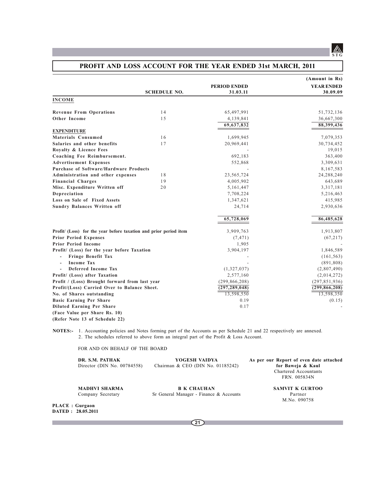## **PROFIT AND LOSS ACCOUNT FOR THE YEAR ENDED 31st MARCH, 2011**

|                                                                   |                     |                 | (Amount in Rs)    |
|-------------------------------------------------------------------|---------------------|-----------------|-------------------|
|                                                                   |                     | PERIOD ENDED    | <b>YEAR ENDED</b> |
|                                                                   | <b>SCHEDULE NO.</b> | 31.03.11        | 30.09.09          |
| <b>INCOME</b>                                                     |                     |                 |                   |
| <b>Revenue From Operations</b>                                    | 14                  | 65,497,991      | 51,732,136        |
| <b>Other Income</b>                                               | 1.5                 | 4,139,841       | 36,667,300        |
|                                                                   |                     | 69,637,832      | 88,399,436        |
| <b>EXPENDITURE</b>                                                |                     |                 |                   |
| Materials Consumed                                                | 16                  | 1,699,945       | 7,079,353         |
| Salaries and other benefits                                       | 17                  | 20,969,441      | 30,734,452        |
| Royalty & Licence Fees                                            |                     |                 | 19,015            |
| Coaching Fee Reimbursement.                                       |                     | 692,183         | 363,400           |
| <b>Advertisement Expenses</b>                                     |                     | 552,868         | 3,309,631         |
| Purchase of Software/Hardware Products                            |                     |                 | 8,167,583         |
| Administration and other expenses                                 | 18                  | 23,565,724      | 24,288,240        |
| <b>Financial Charges</b>                                          | 19                  | 4,005,902       | 643,689           |
| Misc. Expenditure Written off                                     | 20                  | 5,161,447       | 3,317,181         |
| Depreciation                                                      |                     | 7,708,224       | 5,216,463         |
| Loss on Sale of Fixed Assets                                      |                     | 1,347,621       | 415,985           |
| <b>Sundry Balances Written off</b>                                |                     | 24,714          | 2,930,636         |
|                                                                   |                     | 65,728,069      | 86,485,628        |
| Profit/ (Loss) for the year before taxation and prior period item |                     | 3,909,763       | 1,913,807         |
| <b>Prior Period Expenses</b>                                      |                     | (7, 471)        | (67,217)          |
| <b>Prior Period Income</b>                                        |                     | 1,905           |                   |
| Profit/ (Loss) for the year before Taxation                       |                     | 3,904,197       | 1,846,589         |
| Fringe Benefit Tax<br>$\overline{\phantom{a}}$                    |                     |                 | (161, 563)        |
| <b>Income Tax</b>                                                 |                     |                 | (891, 808)        |
| Deferred Income Tax                                               |                     | (1,327,037)     | (2,807,490)       |
| Profit/ (Loss) after Taxation                                     |                     | 2,577,160       | (2,014,272)       |
| Profit / (Loss) Brought forward from last year                    |                     | (299, 866, 208) | (297, 851, 936)   |
| Profit/(Loss) Carried Over to Balance Sheet.                      |                     | (297, 289, 048) | (299, 866, 208)   |
| No. of Shares outstanding                                         |                     | 13,598,550      | 13,598,350        |
| <b>Basic Earning Per Share</b>                                    |                     | 0.19            | (0.15)            |
| <b>Diluted Earning Per Share</b>                                  |                     | 0.17            |                   |
| (Face Value per Share Rs. 10)                                     |                     |                 |                   |
| (Refer Note 13 of Schedule 22)                                    |                     |                 |                   |
|                                                                   |                     |                 |                   |

**NOTES:-** 1. Accounting policies and Notes forming part of the Accounts as per Schedule 21 and 22 respectively are annexed. 2. The schedules referred to above form an integral part of the Profit & Loss Account.

FOR AND ON BEHALF OF THE BOARD

PLACE : DATED :

 $\mathcal{L}^{\text{max}}$ 

| DR. S.M. PATHAK<br>Director (DIN No. 00784558) | YOGESH VAIDYA<br>Chairman & CEO (DIN No. 01185242)            | As per our Report of even date attached<br>for Baweja & Kaul<br>Chartered Accountants<br>FRN. 005834N |
|------------------------------------------------|---------------------------------------------------------------|-------------------------------------------------------------------------------------------------------|
| <b>MADHVI SHARMA</b><br>Company Secretary      | <b>B K CHAUHAN</b><br>Sr General Manager - Finance & Accounts | <b>SAMVIT K GURTOO</b><br>Partner<br>M.No. 090758                                                     |
| Gurgaon<br>28.05.2011                          |                                                               |                                                                                                       |
|                                                | 21                                                            |                                                                                                       |

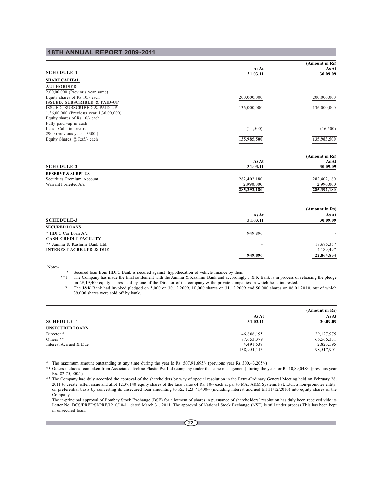|                                         |             | (Amount in Rs) |
|-----------------------------------------|-------------|----------------|
|                                         | As At       | As At          |
| <b>SCHEDULE-1</b>                       | 31.03.11    | 30.09.09       |
| <b>SHARE CAPITAL</b>                    |             |                |
| <b>AUTHORISED</b>                       |             |                |
| $2,00,00,000$ (Previous year same)      |             |                |
| Equity shares of Rs.10/- each           | 200,000,000 | 200,000,000    |
| <b>ISSUED, SUBSCRIBED &amp; PAID-UP</b> |             |                |
| <b>ISSUED, SUBSCRIBED &amp; PAID-UP</b> | 136,000,000 | 136,000,000    |
| 1,36,00,000 (Previous year 1,36,00,000) |             |                |
| Equity shares of Rs.10/- each           |             |                |
| Fully paid -up in cash                  |             |                |
| Less: Calls in arrears                  | (14,500)    | (16,500)       |
| 2900 (previous year - 3300)             |             |                |
| Equity Shares @ Rs5/- each              | 135,985,500 | 135,983,500    |
|                                         |             |                |
|                                         |             | (Amount in Rs) |
|                                         | As At       | <b>As At</b>   |
| <b>SCHEDULE-2</b>                       | 31.03.11    | 30.09.09       |
| <b>RESERVE &amp; SURPLUS</b>            |             |                |
| Securities Premium Account              | 282,402,180 | 282,402,180    |
| Warrant Forfeited A/c                   | 2,990,000   | 2,990,000      |
|                                         | 285,392,180 | 285,392,180    |
|                                         |             |                |
|                                         |             | (Amount in Rs) |
|                                         | As At       | As At          |
| <b>SCHEDULE-3</b>                       | 31.03.11    | 30.09.09       |
| <b>SECURED LOANS</b>                    |             |                |

| * HDFC Car Loan A/c          | 949.896                  |            |
|------------------------------|--------------------------|------------|
| CASH CREDIT FACILITY         |                          |            |
| ** Jammu & Kashmir Bank Ltd. | $\overline{\phantom{a}}$ | 18,675,357 |
| INTEREST ACRRUED & DUE       | $\overline{\phantom{a}}$ | 4.189.497  |
|                              | 949.896                  | 22,864,854 |
|                              |                          |            |

Note:-

\* Secured loan from HDFC Bank is secured against hypothecation of vehicle finance by them.

\*\*1. The Company has made the final settlement with the Jammu & Kashmir Bank and accordingly J & K Bank is in process of releasing the pledge on 28,19,400 equity shares held by one of the Director of the company & the private companies in which he is interested. 2. The J&K Bank had invoked pledged on 5,000 on 30.12.2009, 10,000 shares on 31.12.2009 and 50,000 shares on 06.01.2010, out of which

39,006 shares were sold off by bank.

|                        |                          | (Amount in Rs)    |
|------------------------|--------------------------|-------------------|
| <b>SCHEDULE-4</b>      | <b>As At</b><br>31.03.11 | As At<br>30.09.09 |
| <b>UNSECURED LOANS</b> |                          |                   |
| Director *             | 46,806,195               | 29,127,975        |
| Others $**$            | 87,653,379               | 66,566,331        |
| Interest Acrrued & Due | 4,491,539                | 2,823,595         |
|                        | 138,951,113              | 98,517,901        |

\* The maximum amount outstanding at any time during the year is Rs. 507,91,695/- (previous year Rs 300,43,205/-)

\*\* Others includes loan taken from Associated Teckno Plastic Pvt Ltd (company under the same management) during the year for Rs 10,89,048/- (previous year Rs. 82,75,000/-)

\*\* The Company had duly accorded the approval of the shareholders by way of special resolution in the Extra-Ordinary General Meeting held on February 28, 2011 to create, offer, issue and allot 12,37,140 equity shares of the face value of Rs. 10/- each at par to M/s. AKM Systems Pvt. Ltd., a non-promoter entity, on preferential basis by converting its unsecured loan amounting to Rs. 1,23,71,400/- (including interest accrued till 31/12/2010) into equity shares of the Company.

The in-principal approval of Bombay Stock Exchange (BSE) for allotment of shares in pursuance of shareholders' resolution has duly been received vide its Letter No. DCS/PREF/SI/PRE/1210/10-11 dated March 31, 2011. The approval of National Stock Exchange (NSE) is still under process.This has been kept in unsecured loan.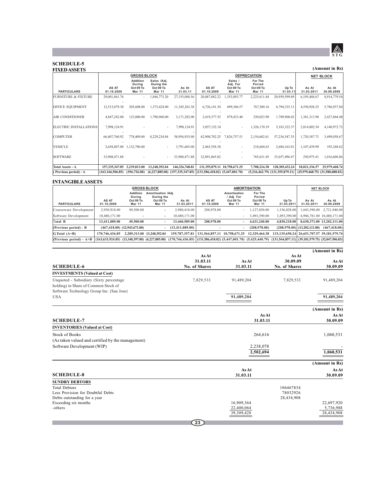

## **(Amount in Rs)**

## **SCHEDULE-5**

| <b>FIXED ASSETS</b>            |                     |                                                         |                                                         |                                                        |                              |                                            |                                          |                                     |                     | (Amount in Rs)                      |
|--------------------------------|---------------------|---------------------------------------------------------|---------------------------------------------------------|--------------------------------------------------------|------------------------------|--------------------------------------------|------------------------------------------|-------------------------------------|---------------------|-------------------------------------|
|                                |                     | <b>GROSS BLOCK</b>                                      |                                                         |                                                        |                              |                                            | <b>DEPRECIATION</b>                      |                                     |                     | <b>NET BLOCK</b>                    |
| <b>PARTICULARS</b>             | AS AT<br>01.10.2009 | <b>Addition</b><br>Durina<br>Oct 09 To<br><b>Mar 11</b> | Sales /Adj.<br>During the<br>Oct 09 To<br><b>Mar 11</b> | As At<br>31.03.11                                      | AS AT<br>01.10.2009          | Sales /<br>Adj. For<br>Oct 09 To<br>Mar 11 | For The<br>Period<br>Oct 09 To<br>Mar 11 | Up To<br>31.03.11                   | As At<br>31.03.2011 | As At<br>30.09.2009                 |
| <b>FURNITURE &amp; FIXTURE</b> | 29,001,861.76       |                                                         | ,846,773.20                                             | 27,155,088.56                                          | 20,087,082.22                | 1,353,093.77                               | 2,225,611.44                             | 20,959,599.89                       | 6,195,488.67        | 8,914,779.54                        |
| OFFICE EQUIPMENT               | 12,513,079.38       | 205,608.00                                              | 1,373,424.00                                            | 11,345,263.38                                          | 6,726,141.54                 | 699,386.57                                 | 767,580.16                               | 6,794,335.13                        | 4,550,928.25        | 5,786,937.84                        |
| <b>AIR CONDITIONER</b>         | 4,847,242.00        | 123,000.00                                              | 1,798,960.00                                            | 3,171,282.00                                           | 2,419,377.52                 | 879,433.40                                 | 250,023.90                               | 1,789,968.02                        | 1,381,313.98        | 2,427,864.48                        |
| ELECTRIC INSTALLATIONS         | 7,998,124.91        |                                                         |                                                         | 7,998,124.91                                           | 3,857,152.18                 | ٠                                          | 1,326,170.19                             | 5,183,322.37                        | 2,814,802.54        | 4,140,972.73                        |
| <b>COMPUTER</b>                | 66,407,760.92       | 778,409.00                                              | 8,229,234.84                                            | 58,956,935.08                                          | 62,908,702.25                | 7,826,757.51                               | 2,154,602.61                             | 57,236,547.35                       | 1,720,387.73        | 3,499,058.67                        |
| <b>VEHICLE</b>                 | 2,658,807.00        | 1,132,796.00                                            |                                                         | 3,791,603.00                                           | 2,465,558.38                 |                                            | 218,604.63                               | 2,684,163.01                        | 1,107,439.99        | 193,248.62                          |
| <b>SOFTWARE</b>                | 33,908,471.88       |                                                         |                                                         | 33,908,471.88                                          | 32,891,865.02                |                                            | 765,631.45                               | 33,657,496.47                       | 250,975.41          | 1,016,606.86                        |
|                                |                     |                                                         |                                                         |                                                        |                              |                                            |                                          |                                     |                     |                                     |
| <b>Total Assets - A</b>        | 157, 335, 347, 85   | 2,239,813.00                                            | 13,248,392.04                                           | 146,326,768.81                                         | 131.355.879.11 10.758.671.25 |                                            | 7,708,224.38                             | 128,305,432.24                      | 18,021,336.57       | 25,979,468.74                       |
| (Previous period) - A          | (163, 166, 506.85)  | (396, 726.00)                                           | (6,227,885.00)                                          | $(157,335,347.85)$ $(131,586,418.02)$ $(5,447,001.70)$ |                              |                                            |                                          | $(5,216,462.79)$ $(131,355,879.11)$ |                     | $(25,979,468.75)$ $(31,580,088.83)$ |

## **INTANGIBLE ASSETS**

|                           | <b>GROSS BLOCK</b>  |                                                         |                                                         | <b>AMORTISATION</b>                                                                                                                                              |                              |                                                          |                                                 | <b>NET BLOCK</b>                                    |                                  |                            |
|---------------------------|---------------------|---------------------------------------------------------|---------------------------------------------------------|------------------------------------------------------------------------------------------------------------------------------------------------------------------|------------------------------|----------------------------------------------------------|-------------------------------------------------|-----------------------------------------------------|----------------------------------|----------------------------|
| <b>PARTICULARS</b>        | AS AT<br>01.10.2009 | <b>Addition</b><br>During<br>Oct 09 To<br><b>Mar 11</b> | Amortisation /Adj.<br>During the<br>Oct 09 To<br>Mar 11 | As At<br>31.03.2011                                                                                                                                              | AS AT<br>01.10.2009          | Amortisation<br>/ Adj. For<br>Oct 09 To<br><b>Mar 11</b> | For The<br>Period<br>Oct 09 To<br><b>Mar 11</b> | Up To<br>31.03.2011                                 | As At<br>31.03.2011              | As At<br>30.09.2009        |
| Courseware Development    | 2,930,918.00        | 49,500.00                                               |                                                         | 2.980,418.00                                                                                                                                                     | 208,978.00                   | $\sim$                                                   | 1,127,850.00                                    | 1,336,828.00                                        | 1,643,590.00                     | 2,721,940.00               |
| Software Development      | 10,480,171.00       |                                                         | $\overline{\phantom{a}}$                                | 10,480,171.00                                                                                                                                                    |                              | $\overline{\phantom{a}}$                                 | 3.493.390.00                                    | 3.493.390.00                                        |                                  | 6.986.781.00 10.480.171.00 |
| Total B                   | 13,411,089.00       | 49,500.00                                               |                                                         | 13,460,589.00                                                                                                                                                    | 208,978.00                   |                                                          | 4,621,240.00                                    | 4,830,218.00                                        |                                  | 8.630.371.00 13.202.111.00 |
| (Previous period) - B     |                     | $(467, 418.00)$ $(12, 943, 671.00)$                     | -                                                       | (13, 411, 089, 00)                                                                                                                                               |                              |                                                          | (208.978.00)                                    |                                                     | $(208.978.00)$ $(13.202.111.00)$ | (467, 418, 00)             |
| $G$ Total $(A+B)$         | 170,746,436.85      |                                                         | 2,289,313.00 13,248,392.04                              | 159, 787, 357, 81                                                                                                                                                | 131.564.857.11 10.758.671.25 |                                                          | 12,329,464.38                                   | 133, 135, 650, 24 26, 651, 707, 57 39, 181, 579, 74 |                                  |                            |
| (Previous period) - $A+B$ |                     |                                                         |                                                         | (163,633,924.85) (13,340,397.00) (6,227,885.00) (170,746,436.85) (131,586,418.02) (5,447,001.70) (5,425,440.79) (131,564,857.11) (39,181,579.75) (32,047,506.83) |                              |                                                          |                                                 |                                                     |                                  |                            |

|                                                   |                      |                          |               | (Amount in Rs)          |
|---------------------------------------------------|----------------------|--------------------------|---------------|-------------------------|
|                                                   | As At                |                          | As At         |                         |
|                                                   | 31.03.11             | As At                    | 30.09.09      | As At                   |
| <b>SCHEDULE-6</b>                                 | <b>No. of Shares</b> | 31.03.11                 | No. of Shares | 30.09.09                |
| <b>INVESTMENTS (Valued at Cost)</b>               |                      |                          |               |                         |
| Unquoted - Subsidiary (Sixty percentage)          | 7,829,533            | 91,489,204               | 7,829,533     | 91,489,204              |
| holding) in Share of Common Stock of              |                      |                          |               |                         |
| Software Technology Group Inc. (San Jose)         |                      |                          |               |                         |
| <b>USA</b>                                        |                      | 91,489,204               |               | 91,489,204              |
|                                                   |                      |                          |               | (Amount in Rs)          |
|                                                   |                      |                          | As At         | As At                   |
| <b>SCHEDULE-7</b>                                 |                      | 31.03.11                 |               | 30.09.09                |
| <b>INVENTORIES</b> (Valued at Cost)               |                      |                          |               |                         |
| Stock of Books                                    |                      | 264,616                  |               | 1,060,531               |
| (As taken valued and certified by the management) |                      |                          |               |                         |
| Software Development (WIP)                        |                      | 2,238,078                |               |                         |
|                                                   |                      | 2,502,694                |               | 1,060,531               |
|                                                   |                      |                          |               | (Amount in Rs)          |
|                                                   |                      | As At                    |               | As At                   |
| <b>SCHEDULE-8</b>                                 |                      | 31.03.11                 |               | 30.09.09                |
| <b>SUNDRY DEBTORS</b>                             |                      |                          |               |                         |
| <b>Total Debtors</b>                              |                      |                          | 106467834     |                         |
| Less Provision for Doubtful Debts                 |                      |                          | 78032926      |                         |
| Debts outstanding for a year                      |                      |                          | 28,434,908    |                         |
| Exceeding six months                              |                      | 16,909,364               |               | 22,697,920              |
| -others                                           |                      | 22,400,064<br>39,309,428 |               | 5,736,988<br>28,434,908 |
|                                                   |                      |                          |               |                         |
|                                                   | $\left[23\right]$    |                          |               |                         |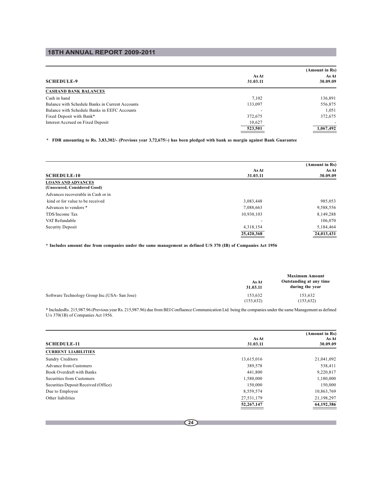**Ta** 

|                                                 |                   | (Amount in Rs)    |
|-------------------------------------------------|-------------------|-------------------|
| <b>SCHEDULE-9</b>                               | As At<br>31.03.11 | As At<br>30.09.09 |
| <b>CASHAND BANK BALANCES</b>                    |                   |                   |
| Cash in hand                                    | 7.102             | 136,891           |
| Balance with Schedule Banks in Current Accounts | 133,097           | 556,875           |
| Balance with Schedule Banks in EEFC Accounts    |                   | 1,051             |
| Fixed Deposit with Bank*                        | 372,675           | 372,675           |
| Interest Accrued on Fixed Deposit               | 10,627            |                   |
|                                                 | 523,501           | 1,067,492         |

**\* FDR amounting to Rs. 3,83,302/- (Previous year 3,72,675/-) has been pledged with bank as margin against Bank Guarantee**

|                                    |            | (Amount in Rs) |
|------------------------------------|------------|----------------|
|                                    | As At      | As At          |
| <b>SCHEDULE-10</b>                 | 31.03.11   | 30.09.09       |
| <b>LOANS AND ADVANCES</b>          |            |                |
| (Unsecured, Considered Good)       |            |                |
| Advances recoverable in Cash or in |            |                |
| kind or for value to be received   | 3,083,448  | 985,053        |
| Advances to vendors *              | 7,088,663  | 9,588,556      |
| TDS/Income Tax                     | 10,930,103 | 8,149,288      |
| VAT Refundable                     |            | 106,070        |
| Security Deposit                   | 4,318,154  | 5,184,464      |
|                                    | 25,420,368 | 24,013,431     |

**\* Includes amount due from companies under the same management as defined U/S 370 (IB) of Companies Act 1956**

|                                               | As At<br>31.03.11    | <b>Maximum Amount</b><br>Outstanding at any time<br>during the year |
|-----------------------------------------------|----------------------|---------------------------------------------------------------------|
| Software Technology Group Inc. (USA-San Jose) | 153.632<br>(153.632) | 153.632<br>(153, 632)                                               |

\* IncludesRs. 215,987.96 (Previous year Rs. 215,987.96) due from BEI Confluence Communication Ltd. being the companies under the same Management as defined U/s 370(1B) of Companies Act 1956.

|                                      |            | (Amount in Rs) |  |
|--------------------------------------|------------|----------------|--|
|                                      | As At      | As At          |  |
| <b>SCHEDULE-11</b>                   | 31.03.11   | 30.09.09       |  |
| <b>CURRENT LIABILITIES</b>           |            |                |  |
| Sundry Creditors                     | 13,615,016 | 21,041,092     |  |
| <b>Advance from Customers</b>        | 389,578    | 538,411        |  |
| Book Overdraft with Banks            | 441,800    | 9,220,817      |  |
| Securities from Customers            | 1,580,000  | 1,180,000      |  |
| Securities Deposit Received (Office) | 150,000    | 150,000        |  |
| Due to Employee                      | 8,559,574  | 10,863,769     |  |
| Other liabilities                    | 27,531,179 | 21,198,297     |  |
|                                      | 52,267,147 | 64,192,386     |  |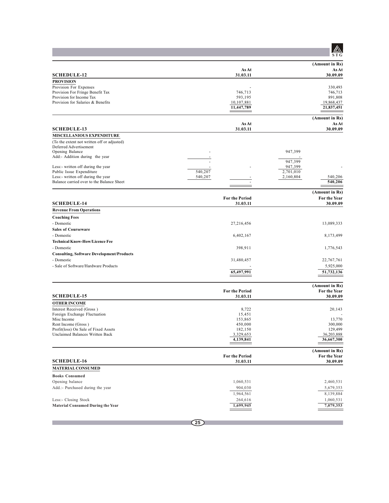|                                                                |                                   | ST G                     |
|----------------------------------------------------------------|-----------------------------------|--------------------------|
|                                                                |                                   | (Amount in Rs)           |
| <b>SCHEDULE-12</b>                                             | <b>As At</b><br>31.03.11          | As At<br>30.09.09        |
| <b>PROVISION</b>                                               |                                   |                          |
| Provision For Expenses                                         |                                   | 330,493                  |
| Provision For Fringe Benefit Tax                               | 746,713                           | 746,713                  |
| Provision for Income Tax                                       | 593,195                           | 891,808                  |
| Provision for Salaries & Benefits                              | 10,107,881                        | 19,868,437               |
|                                                                | 11,447,789                        | 21,837,451               |
|                                                                |                                   | (Amount in Rs)           |
| <b>SCHEDULE-13</b>                                             | As At<br>31.03.11                 | As At<br>30.09.09        |
| MISCELLANIOUS EXPENDITURE                                      |                                   |                          |
| (To the extent not written off or adjusted)                    |                                   |                          |
| Deferred Advertisement                                         |                                   |                          |
| Opening Balance                                                |                                   | 947,399                  |
| Add:- Addition during the year                                 |                                   |                          |
|                                                                |                                   | 947,399                  |
| Less:- written off during the year<br>Public Issue Expenditure | 540,207                           | 947,399<br>2,701,010     |
| Less:- written off during the year                             | 540,207                           | 2,160,804<br>540,206     |
| Balance carried over to the Balance Sheet                      |                                   | 540,206                  |
|                                                                |                                   |                          |
|                                                                |                                   | (Amount in Rs)           |
| <b>SCHEDULE-14</b>                                             | <b>For the Period</b><br>31.03.11 | For the Year<br>30.09.09 |
| <b>Revenue From Operations</b>                                 |                                   |                          |
| <b>Coaching Fees</b>                                           |                                   |                          |
| - Domestic                                                     | 27,216,456                        | 13,089,333               |
| <b>Sales of Courseware</b>                                     |                                   |                          |
| - Domestic                                                     | 6,402,167                         | 8,173,499                |
| <b>Technical Know-How/Licence Fee</b>                          |                                   |                          |
| - Domestic                                                     | 398,911                           | 1,776,543                |
|                                                                |                                   |                          |
| <b>Consulting, Software Development/Products</b><br>- Domestic |                                   |                          |
|                                                                | 31,480,457                        | 22,767,761               |
| - Sale of Software/Hardware Products                           |                                   | 5,925,000                |
|                                                                | 65,497,991                        | 51,732,136               |
|                                                                |                                   | (Amount in Rs)           |
|                                                                | <b>For the Period</b>             | For the Year             |
| <b>SCHEDULE-15</b>                                             | 31.03.11                          | 30.09.09                 |
| <b>OTHER INCOME</b>                                            |                                   |                          |
| Interest Received (Gross)                                      | 8,722                             | 20,143                   |
| Foreign Exchange Fluctuation                                   | 15,451                            |                          |
| Misc Income<br>Rent Income (Gross)                             | 153,865<br>450,000                | 13,770<br>300,000        |
| Profit(loss) On Sale of Fixed Assets                           | 182,150                           | 129,499                  |
| Unclaimed Balances Written Back                                | 3,329,653                         | 36,203,888               |
|                                                                | 4,139,841                         | 36,667,300               |
|                                                                |                                   |                          |
|                                                                |                                   | (Amount in Rs)           |
| <b>SCHEDULE-16</b>                                             | <b>For the Period</b>             | <b>For the Year</b>      |
| <b>MATERIAL CONSUMED</b>                                       | 31.03.11                          | 30.09.09                 |
|                                                                |                                   |                          |
| <b>Books Consumed</b>                                          |                                   |                          |
| Opening balance                                                | 1,060,531                         | 2,460,531                |
| Add.:- Purchased during the year                               | 904,030                           | 5,679,353                |
|                                                                | 1,964,561                         | 8,139,884                |
| Less:- Closing Stock                                           | 264,616                           | 1,060,531                |
| <b>Material Consumed During the Year</b>                       | 1,699,945                         | 7,079,353                |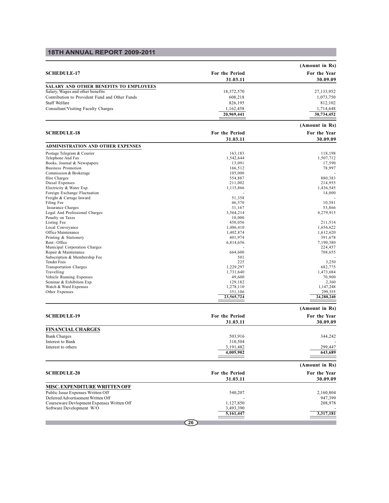|                                                |                       | (Amount in Rs)                 |
|------------------------------------------------|-----------------------|--------------------------------|
| <b>SCHEDULE-17</b>                             | For the Period        | For the Year                   |
|                                                | 31.03.11              | 30.09.09                       |
| SALARY AND OTHER BENEFITS TO EMPLOYEES         |                       |                                |
| Salary, Wages and other benefits               | 18,372,570            | 27,133,952                     |
| Contribution to Provident Fund and Other Funds | 608,218               | 1,073,750                      |
| Staff Welfare                                  | 826,195               | 812,102                        |
| Consultant/Visiting Faculty Charges            | 1,162,458             | 1,714,648                      |
|                                                | 20,969,441            | 30,734,452                     |
|                                                |                       | (Amount in Rs)                 |
| <b>SCHEDULE-18</b>                             | For the Period        | For the Year                   |
|                                                | 31.03.11              | 30.09.09                       |
| <b>ADMINISTRATION AND OTHER EXPENSES</b>       |                       |                                |
| Postage Telegram & Courier                     | 163,183               | 118,198                        |
| Telephone And Fax                              | 1,542,644             | 1,507,712                      |
| Books, Journal & Newspapers                    | 13,091                | 17,590                         |
| <b>Business Promotion</b>                      | 166,512               | 78,997                         |
| Commission & Brokerage                         | 105,000               |                                |
| Hire Charges                                   | 554,887               | 880,383                        |
| Diesal Expenses                                | 211,002               | 214,955                        |
| Electricity & Water Exp.                       | 1,115,866             | 1,436,545                      |
| Foreign Exchange Fluctuation                   |                       | 14,000                         |
| Freight & Cartage Inward                       | 51,358                |                                |
| Filing Fee                                     | 46,570                | 10,581                         |
| Insurance Charges                              | 31,167                | 53,866                         |
| Legal And Professional Charges                 | 3,564,214             | 4,279,915                      |
| Penalty on Taxes                               | 10,000                |                                |
| Listing Fee                                    | 450,056               | 211,514                        |
| Local Conveyance                               | 1,486,410             | 1,656,622                      |
| Office Maintenance                             | 1,402,874             | 1,612,620                      |
| Printing & Stationery                          | 401,974               | 391,678                        |
| Rent - Office                                  | 6,814,656             | 7,190,380                      |
| Municipal Corporation Charges                  |                       | 224,457                        |
| Repair & Maintenance                           | 664,600               | 708,655                        |
| Subscription & Membership Fee                  | 501                   |                                |
| <b>Tender Fees</b>                             | 225                   | 3,250                          |
| <b>Transportation Charges</b>                  | 1,229,297             | 682,775                        |
| Travelling                                     | 1,731,640             | 1,473,684                      |
| Vehicle Running Expenses                       | 49,600                | 70,900                         |
| Seminar & Exhibition Exp.                      | 129,182               | 2,360                          |
| Watch & Ward Expenses                          | 1,278,110             | 1,147,248                      |
| Other Expenses                                 | 351,106<br>23,565,724 | 299,355<br>24,288,240          |
|                                                |                       |                                |
| <b>SCHEDULE-19</b>                             | For the Period        | (Amount in Rs)<br>For the Year |
|                                                | 31.03.11              | 30.09.09                       |
| <b>FINANCIAL CHARGES</b>                       |                       |                                |
| <b>Bank Charges</b>                            | 503,916               | 344,242                        |
| Interest to Bank                               | 310,504               |                                |
| Interest to others                             | 3,191,482             | 299.447                        |
|                                                | 4,005,902             | 643,689                        |
|                                                |                       |                                |
|                                                |                       | (Amount in Rs)                 |
| <b>SCHEDULE-20</b>                             | <b>For the Period</b> | For the Year                   |

|                                            | 31.03.11  | 30.09.09  |
|--------------------------------------------|-----------|-----------|
| <b>MISC. EXPENDITURE WRITTEN OFF</b>       |           |           |
| Public Issue Expenses Written Off          | 540,207   | 2,160,804 |
| Deferred Advertisement Written Off         |           | 947,399   |
| Courseware Devlopment Expenses Written Off | 1.127.850 | 208,978   |
| Software Development W/O                   | 3,493,390 |           |
|                                            | 5,161,447 | 3,317,181 |
|                                            |           |           |
|                                            | 26        |           |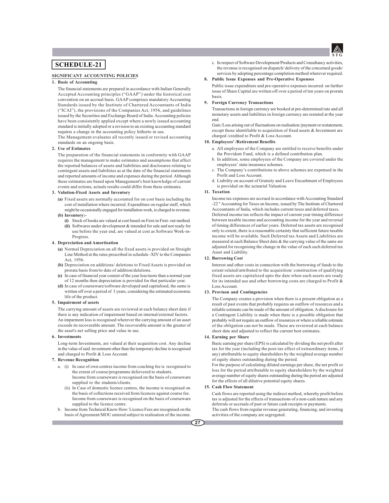

## **SCHEDULE-21**

### **SIGNIFICANT ACCOUNTING POLICIES**

### **1. Basis of Accounting**

The financial statements are prepared in accordance with Indian Generally Accepted Accounting principles ("GAAP") under the historical cost convention on an accrual basis. GAAP comprises mandatory Accounting Standards issued by the Institute of Chartered Accountants of India ("ICAI"), the provisions of the Companies Act, 1956, and guidelines issued by the Securities and Exchange Board of India. Accounting policies have been consistently applied except where a newly issued accounting standard is initially adopted or a revision to an existing accounting standard requires a change in the accounting policy hitherto in use.

The Management evaluates all recently issued or revised accounting standards on an ongoing basis.

#### **2. Use of Estimates**

The preparation of the financial statements in conformity with GAAP requires the management to make estimates and assumptions that affect the reported balances of assets and liabilities and disclosures relating to contingent assets and liabilities as at the date of the financial statements and reported amounts of income and expenses during the period. Although these estimates are based upon Management's best knowledge of current events and ections, actuals results could differ from these estimates.

### **3. Valution-Fixed Assets and Inventory**

- **(a)** Fixed assets are normally accounted for on cost basis including the cost of installation where incurred. Expenditure on regular staff, which might be occasionally engaged for installation work, is charged to revenue. **(b) Inventory:-**
	- **(i)** Stock of books are valued at cost based on First-in First- out method. **(ii)** Softwares under development & intended for sale and not ready for use before the year end, are valued at cost as Software Work-in-Progress.

#### **4. Depreciation and Amortisation**

- **(a)** Normal Depreciation on all the fixed assets is provided on Straight Line Method at the rates prescribed in schedule -XIV to the Companies Act, 1956.
- **(b)** Depreciation on additions/ deletions to Fixed Assets is provided on prorata basis from/to date of addition/deletions.
- **(c)** In case of financial year consist of the year less/more than a normal year of 12 months then depreciation is provided for that particular year.
- **(d)** In case of courseware/software developed and capitalised, the same is written off over a period of 3 years, considering the estimated economic life of the product.

### **5. Impairment of assets**

The carrying amount of assets are reviewed at each balance sheet date if there is any indication of impairment based on internal/external factors. An imparment loss is recognised wherever the carrying amount of an asset exceeds its recoverable amount. The recoverable amount is the greater of the asset's net selling price and value in use.

#### **6. Investments**

Long-term Investments, are valued at their acquisition cost. Any decline in the value of said investment other than the temporary decline is recognised and charged to Profit & Loss Account.

#### **7. Revenue Recognition**

- a. (i) In case of own centres income from coaching fee is recognised to the extent of course/programme delievered to students. Income from courseware is recognised on the basis of courseware supplied to the students/clients.
	- (ii) In Case of domestic licence centres, the income is recognised on the basis of collections received from licencee against course fee. Income from courseware is recognised on the basis of courseware supplied to the licence centre.
- b. Income from Technical Know How/ Licence Fees are recognised on the basis of Agreement/MOU entered subject to realisation of the income.

c. In respect of Software Development/Products and Consultancy activities, the revenue is recognised on dispatch/ delivery of the concerned goods/ services by adopting percentage completion method wherever required.

### **8. Public Issue Expenses and Pre-Operative Expenses**

Public issue expenditure and pre-operative expenses incurred on further issue of Share Capital are written off over a period of ten years on prorata basis.

### **9. Foreign Currency Transactions**

Transactions in foreign currency are booked at pre-determined rate and all monetary assets and liabilities in foreign currency are restated at the year end.

Gain /Loss arising out of fluctuations on realisation /payment or restatement, except those identifiable to acquisition of fixed assets & Investment are charged /credited to Profit & Loss Account.

### **10. Employees' /Retirement Benefits**

- a. All employees of the Company are entitled to receive benefits under the Provident Fund, which is a defined contribution plan.
- b. In addition, some employees of the Company are covered under the employees' state insurance schemes.
- c. The Company's contributions to above schemes are expensed in the Profit and Loss Account.
- d. Liability on account of Gratuity and Leave Encashment of Employees is provided on the actuarial Valuation.

#### **11. Taxation**

Income tax expenses are accrued in accordance with Accounting Standard -22 " Accounting for Taxes on Income, issued by The Institute of Chartered Accountants of India, which includes current taxes and deferred taxes. Deferred income tax reflects the impact of current year timing difference between taxable income and accounting income for the year and reversal of timing differences of earlier years. Deferred tax assets are recognised only to extent, there is a reasonable certainty that sufficient future taxable income will be available. Such Deferred tax Assets and Liabilities are measured at each Balance Sheet date & the carrying value of the same are adjusted for recognising the change in the value of each such deferred tax Asset and Liability.

### **12. Borrowing Cost**

Interest and other costs in connection with the borrowing of funds to the extent related/attributed to the acquisition/ construction of qualifying fixed assets are capitalized upto the date when such assets are ready for its intended use and other borrowing costs are charged to Profit & Loss Account.

### **13. Provison and Contingencies**

The Company creates a provision when there is a present obligation as a result of past events that probably requires an outflow of resources and a reliable estimate can be made of the amount of obligation. A disclosure for a Contingent Liability is made when there is a possible obligation that probably will not require an outflow of resources or where a reliable estimate of the obligation can not be made. These are reviewed at each balance sheet date and adjusted to reflect the current best estimates.

### **14. Earning per Share**

Basic earning per share (EPS) is calculated by dividing the net profit after tax for the year (including the post-tax effect of extraordinary items, if any) attributable to equity shareholders by the weighted average number of equity shares outstanding during the period.

For the purpose of calculating diluted earnings per share, the net profit or loss for the period attributable to equity shareholders by the weighted average number of equity shares outstanding during the period are adjusted for the effects of all dilutive potential equity shares.

### **15. Cash Flow Statement**

Cash flows are reported using the indirect method, whereby profit before tax is adjusted for the effects of transactions of a non-cash nature and any deferrals or accruals of past or future cash receipts or payments.

The cash flows from regular revenue generating, financing, and investing activities of the company are segregated.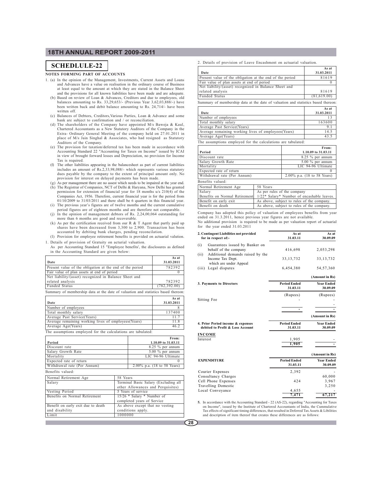### **NOTES FORMING PART OF ACCOUNTS**

- 1. (a) In the opinion of the Management, Investments, Current Assets and Loans and Advances have a value on realisation in the ordinary course of Business at least equal to the amount at which they are stated in the Balance Sheet and the provisions for all known liabilities have been made and are adequate.
	- (b) Based on review of Loan & Advances, Creditors and due to employees, old balances amounting to Rs. 33,29,653/- (Previous Year 3,62,03,888/-) have been written back and debit balance amounting to Rs. 24,714/- have been written off.
	- (c) Balances of Debtors, Creditors,Various Parties, Loan & Advance and some
	- bank are subject to confirmation and / or reconciliation. (d) The shareholders of the Company have appointed M/s Baweja & Kaul, Chartered Accountants as a New Statutory Auditors of the Company in the Extra- Ordinary General Meeting of the company held on 27.01.2011 in place of M/s Jain Singhal & Associates, who had resigned as Statutory Auditors of the Company.
	- (e) The provision for taxation/deferred tax has been made in accordance with Accounting Standard 22 "Accounting for Taxes on Income" issued by ICAI in view of brought forward losses and Depreciation, no provision for Income Tax is required.
	- (f) The other liabilities appearing in the balancesheet as part of current liabilities includes an amount of Rs.2,33,98,088/- which represents various statutory dues payable by the company to the extent of principal amount only. No provision for interest on delayed payments has been made. (g) As per management there are no assest which needs to be impaired at the year end.
	- (h) The Registrar of Companies, NCT of Delhi & Haryana, New Delhi has granted permission for extension of financial year for 18 months u/s 210(4) of the Companies Act, 1956. Therefore, current financial year is for the period from 01/10/2009 to 31/03/2011 and there shall be 6 quarters in this financial year.
	- (i) The previous year's figures are of twelve months and the current cumulative period figures are of eighteen months and are therefore not comparable.
	- (j) In the opinion of management debtors of Rs. 2,24,00,064 outstanding for more than 6 months are good and recoverable.
	- (k) As per the certification received from our R & T Agent that partly paid up shares have been decreased from 3,300 to 2,900. Transaction has been accounted by debiting bank charges, pending reconcilation. (l) Provision for employee retirement benefits is provided on actuarial valution.
	-
- 

1. Details of provision of Gratuity on acturial valuation. As per Accounting Standard 15 "Employee benefits', the disclosures as defined in the Accounting Standard are given below:

|                                                                                   | As at         |
|-----------------------------------------------------------------------------------|---------------|
| Date                                                                              | 31.03.2011    |
| Present value of the obligation at the end of the period                          | 782392        |
| Fair value of plan assets at end of period                                        |               |
| Net liability/(asset) recognized in Balance Sheet and                             |               |
| related analysis                                                                  | 782392        |
| Funded Status                                                                     | (782, 392.00) |
| Summary of membership data at the date of valuation and statistics based thereon: |               |

|                                                      | As at      |
|------------------------------------------------------|------------|
| Date                                                 | 31.03.2011 |
| Number of employees                                  |            |
| Total monthly salary                                 | 137400     |
| Average Past Service(Years)                          | 11.7       |
| Average remaining working lives of employees (Years) | 11.8       |
| Average Age(Years)                                   | 462        |

The assumptions employed for the calculations are tabulated:

|                                     |                                 | From:                                |  |
|-------------------------------------|---------------------------------|--------------------------------------|--|
| Period                              |                                 | 1.10.09 to 31.03.11                  |  |
| Discount rate                       |                                 | $8.25 \%$ per annum                  |  |
| Salary Growth Rate                  |                                 | $5.00 \%$ per annum                  |  |
| Mortality                           |                                 | LIC 94-96 Ultimate                   |  |
| Expected rate of return             |                                 | 0                                    |  |
| Withdrawal rate (Per Annum)         |                                 | 2.00% p.a. (18 to 58 Years)          |  |
| Benefits valued:                    |                                 |                                      |  |
| Normal Retirement Age               | 58 Years                        |                                      |  |
| Salary                              |                                 | Terminal Basic Salary (Excluding all |  |
|                                     |                                 | other Allowances and Perquisites)    |  |
| Vesting Period                      | 5 Years of service              |                                      |  |
| Benefits on Normal Retirement       |                                 | 15/26 * Salary * Number of           |  |
|                                     |                                 | completed years of Service           |  |
| Benefit on early exit due to death  | As above except that no vesting |                                      |  |
| and disability<br>conditions apply. |                                 |                                      |  |
| Limit                               | 1000000                         |                                      |  |
|                                     |                                 |                                      |  |

**SCHEDLULE-22** 2. Details of provision of Leave Encashment on actuarial valuation.

|                                                                                                                                                                                                                                           | As at       |
|-------------------------------------------------------------------------------------------------------------------------------------------------------------------------------------------------------------------------------------------|-------------|
| Date                                                                                                                                                                                                                                      | 31.03.2011  |
| Present value of the obligation at the end of the period                                                                                                                                                                                  | 81619       |
| Fair value of plan assets at end of period                                                                                                                                                                                                |             |
| Net liability/(asset) recognized in Balance Sheet and                                                                                                                                                                                     |             |
| related analysis                                                                                                                                                                                                                          | 81619       |
| Funded Status                                                                                                                                                                                                                             | (81,619.00) |
| $\alpha$ . The second contract $\alpha$ is a second contract of the second contract of the second contract of the second contract of the second contract of the second contract of the second contract of the second contract of the<br>- |             |

Summary of membership data at the date of valuation and statistics based thereon: **As at**

|                                                      | .          |
|------------------------------------------------------|------------|
| Date                                                 | 31.03.2011 |
| Number of employees                                  |            |
| Total monthly salary                                 | 163600     |
| Average Past Service(Years)                          |            |
| Average remaining working lives of employees (Years) | 14.5       |
| Average Age(Years)                                   | 43.5       |

The assumptions employed for the calculations are tabulated:

|                             | From:                       |
|-----------------------------|-----------------------------|
| Period                      | 1.10.09 to 31.03.11         |
| Discount rate               | $8.25 \%$ per annum         |
| Salary Growth Rate          | $5.00 \%$ per annum         |
| Mortality                   | LIC 94-96 Ultimate          |
| Expected rate of return     |                             |
| Withdrawal rate (Per Annum) | 2.00% p.a. (18 to 58 Years) |

Benefits valued:

| Normal Retirement Age         | 58 Years                                   |
|-------------------------------|--------------------------------------------|
| Salary                        | As per rules of the company                |
| Benefits on Normal Retirement | 1/22* Salary* Number of encashable leaves. |
| Benefit on early exit         | As above, subject to rules of the company. |
| Benefit on death              | As above, subject to rules of the company. |

Company has adopted this policy of valuation of employees benefits from year ended on 31.3.2011, hence previous year figures are not available.

No additional provision is required to be made as per valuation report of actuarial for the year ended 31.03.2011

| 2. Contingent Liabilities not provided<br>for in respect of:- | As at<br>31.03.11               | As at<br>30.09.09             |
|---------------------------------------------------------------|---------------------------------|-------------------------------|
| (i)<br>Guarantees issued by Banker on                         |                                 |                               |
| behalf of the company                                         | 416,698                         | 2,053,298                     |
| Additional demands raised by the<br>(ii)                      |                                 |                               |
| Income Tax Dept.<br>which are under Appeal                    | 33, 13, 732                     | 33, 13, 732                   |
| Legal disputes<br>(iii)                                       | 6,454,380                       | 54, 57, 360                   |
|                                                               |                                 |                               |
|                                                               |                                 | (Amount in Rs)                |
| 3. Payments to Directors                                      | <b>Period Ended</b><br>31.03.11 | <b>Year Ended</b><br>30.09.09 |
|                                                               | (Rupees)                        | (Rupees)                      |
| Sitting Fee                                                   |                                 |                               |
|                                                               |                                 |                               |
|                                                               |                                 |                               |
|                                                               |                                 | (Amount in Rs)                |
| 4. Prior Period income & expenses                             | <b>Period Ended</b>             | <b>Year Ended</b>             |
| debited to Profit & Loss Account                              | 31.03.11                        | 30.09.09                      |
| <b>INCOME</b>                                                 |                                 |                               |
| Interest                                                      | 1,905                           |                               |
|                                                               | 1,905                           |                               |
|                                                               |                                 | (Amount in Rs)                |
| <b>EXPENDITURE</b>                                            | <b>Period Ended</b>             | <b>Year Ended</b>             |
|                                                               | 31.03.11                        | 30.09.09                      |
| Courier Expenses                                              | 2,392                           |                               |
| Consultancy Charges                                           |                                 | 60,000                        |
| Cell Phone Expenses                                           | 424                             | 3,967                         |
| <b>Travelling Domestic</b>                                    |                                 | 3,250                         |
| Local Conveyance                                              | 4,655                           |                               |
|                                                               | 7,471                           | 67,217                        |

**5.** In accordance with the Accounting Standard - 22 (AS-22), regarding "Accounting for Taxes on Income", issued by the Institute of Chartered Accountants of India, the Cummulative Tax effects of significant timing differences, that resulted in Deferred Tax Assets & Libilities and description of item thereof that creates these differences are as follows: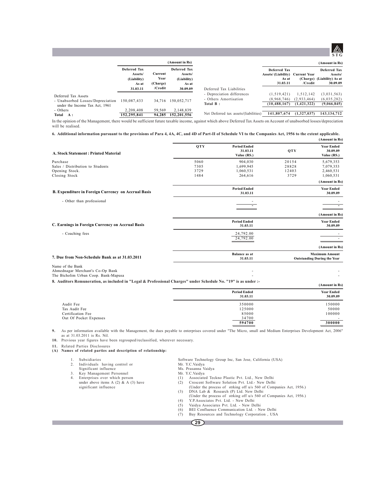

|                                                                                           |                                                        |                             | (Amount in Rs)                                         |                                                                 |                                                                             |                                           | (Amount in Rs)                                                           |
|-------------------------------------------------------------------------------------------|--------------------------------------------------------|-----------------------------|--------------------------------------------------------|-----------------------------------------------------------------|-----------------------------------------------------------------------------|-------------------------------------------|--------------------------------------------------------------------------|
|                                                                                           | <b>Deferred Tax</b><br>Assets/<br>(Liability)<br>As at | Current<br>Year<br>(Charge) | <b>Deferred Tax</b><br>Assets/<br>(Liability)<br>As at |                                                                 | <b>Deferred Tax</b><br>Assets/(Liability) Current Year<br>As at<br>31.03.11 | /Credit                                   | <b>Deferred Tax</b><br>Assets/<br>(Charge) (Liability) As at<br>30.09.09 |
|                                                                                           | 31.03.11                                               | /Credit                     | 30.09.09                                               | Deferred Tax Liabilities                                        |                                                                             |                                           |                                                                          |
| Deferred Tax Assets<br>- Unabsorbed Losses/Depreciation<br>under the Income Tax Act, 1961 | 150.087.433                                            | 34.716                      | 150.052.717                                            | - Depreciation differences<br>- Others Amortisation<br>Total B: | (1.519.421)<br>(8.968.746)<br>(10.488.167)                                  | 1.512.142<br>(2,933,464)<br>(1, 421, 322) | (3,031,563)<br>(6,035,282)<br>(9,066,845)                                |
| - Others<br>Total<br><b>A:</b>                                                            | 2.208.408<br>152,295,841                               | 59.569<br>94.285            | 2,148,839<br>152,201,556                               | Net Deferred tax assets/(liabilities)                           | 141,807,674                                                                 | (1,327,037)                               | 143, 134, 712                                                            |

In the opinion of the Management, there would be sufficient future taxable income, against which above Deferred Tax Assets on Account of unabsorbed losses/depreciation will be realised.

**6. Additional information pursuant to the provisions of Para 4, 4A, 4C, and 4D of Part-II of Schedule VI to the Companies Act, 1956 to the extent applicable.**

|                                                                                              |            |                                                |       | (Amount in Rs)                                              |
|----------------------------------------------------------------------------------------------|------------|------------------------------------------------|-------|-------------------------------------------------------------|
| <b>A. Stock Statement: Printed Material</b>                                                  | <b>OTY</b> | <b>Period Ended</b><br>31.03.11<br>Value (RS.) | QTY   | <b>Year Ended</b><br>30.09.09<br>Value (RS.)                |
| Purchase                                                                                     | 5060       | 904.030                                        | 20154 | 5,679,353                                                   |
| Sales / Distribution to Students                                                             | 7305       | 1,699,945                                      | 28828 | 7,079,353                                                   |
| Opening Stock.                                                                               | 3729       | 1,060,531                                      | 12403 | 2,460,531                                                   |
| Closing Stock                                                                                | 1484       | 264,616                                        | 3729  | 1,060,531                                                   |
|                                                                                              |            |                                                |       | (Amount in Rs)                                              |
| B. Expenditure in Foreign Currency on Accrual Basis                                          |            | <b>Period Ended</b><br>31.03.11                |       | <b>Year Ended</b><br>30.09.09                               |
| - Other than professional                                                                    |            |                                                |       |                                                             |
|                                                                                              |            |                                                |       | (Amount in Rs)                                              |
| C. Earnings in Foreign Currency on Accrual Basis                                             |            | <b>Period Ended</b><br>31.03.11                |       | <b>Year Ended</b><br>30.09.09                               |
| - Coaching fees                                                                              |            | 24,792.00<br>24,792.00                         |       |                                                             |
|                                                                                              |            |                                                |       | (Amount in Rs)                                              |
| 7. Due from Non-Schedule Bank as at 31.03.2011                                               |            | <b>Balance</b> as at<br>31.03.11               |       | <b>Maximum Amount</b><br><b>Outstanding During the Year</b> |
| Name of the Bank<br>Ahmednagar Merchant's Co-Op Bank<br>The Bicholim Urban Coop. Bank-Mapusa |            |                                                |       |                                                             |

**8. Auditors Remuneration, as included in "Legal & Professional Charges" under Schedule No. "19" is as under :-**

| aditors remuneration, as included in Legal & Froressional Charges - under schedule ivo. [19] is as under :- |                                 | (Amount in Rs)                |
|-------------------------------------------------------------------------------------------------------------|---------------------------------|-------------------------------|
|                                                                                                             | <b>Period Ended</b><br>31.03.11 | <b>Year Ended</b><br>30.09.09 |
| Audit Fee                                                                                                   | 350000                          | 150000                        |
| Tax Audit Fee                                                                                               | 125000                          | 50000                         |
| Certification Fee                                                                                           | 85000                           | 100000                        |
| Out Of Pocket Expenses                                                                                      | 34700                           |                               |
|                                                                                                             | 594700                          | 300000                        |

**9.** As per information available with the Management, the dues payable to enterprises covered under "The Micro, small and Medium Enterprises Development Act, 2006" as at 31.03.2011 is Rs. Nil.

**10.** Previous year figures have been regrouped/reclassified, wherever necessary.

**11.** Related Parties Disclosures **(A) Names of related parties and description of relationship:**

3. Key Management Personnel<br>4. Enterprises over which person<br>under above items A (2) & A (3) have

2. Individuals having control or Mr. Y.C.Vaidya Significant influence Ms. Prasanna Vaidya

1. Subsidiaries Software Technology Group Inc, San Jose, California (USA)

4. Enterprises over which person (1)<br>4. Enterprises over which person (1) Associated Teckno Plastic Pvt. Ltd., New Delhi<br>4. Click person Control of the Colution Pvt. Ltd. - New Delhi

- under above items A (2) & A (3) have (2) Crescent Software Solution Pvt. Ltd.- New Delhi significant influence (2) Crescent Software Solution Pvt. Ltd.- New Delhi
	- (Under the process of strking off u/s 560 of Companies Act, 1956.)<br>
	(3) DNA Lab & Research (P) Ltd. New Delhi (3) DNA Lab & Research (P) Ltd. New Delhi<br>
	(Under the process of strking off u/s 560 of Companies Act, 1956.)<br>
	(4) Y.P.Associates Pvt. Ltd. - New Delhi<br>
	(5) Vaidya Associates Pvt. Ltd. - New Delhi<br>
	(6) BEI Confluence Commu
	-
	-
	-
	- - - **29**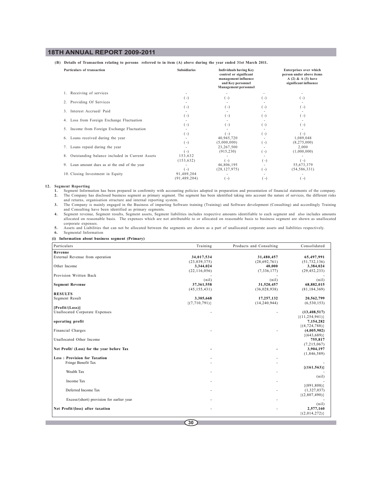**(B) Details of Transaction relating to persons referred to in item (A) above during the year ended 31st March 2011.**

| Particulars of transaction                           | <b>Subsidiaries</b> | <b>Individuals having Key</b><br>control or significant<br>management influence<br>and Key personnel<br><b>Management personnel</b> |                | Enterprises over which<br>person under above items<br>A $(2)$ & A $(3)$ have<br>significant influence |
|------------------------------------------------------|---------------------|-------------------------------------------------------------------------------------------------------------------------------------|----------------|-------------------------------------------------------------------------------------------------------|
| 1. Receiving of services                             |                     |                                                                                                                                     |                |                                                                                                       |
|                                                      | ( -)                | $(-)$                                                                                                                               | ( -)           | $(\ -)$                                                                                               |
| Providing Of Services<br>2.                          |                     |                                                                                                                                     |                |                                                                                                       |
|                                                      | ( -)                | 〔-)                                                                                                                                 | ( -)           | $(-)$                                                                                                 |
| Interest Accrued/ Paid<br>3.                         |                     |                                                                                                                                     |                |                                                                                                       |
|                                                      | ( -)                | 〔-)                                                                                                                                 | ( -)           | $(-)$                                                                                                 |
| 4. Loss from Foreign Exchange Fluctuation            |                     |                                                                                                                                     |                |                                                                                                       |
|                                                      | ( -)                | 〔-)                                                                                                                                 | ( -)           | $\left( -\right)$                                                                                     |
| 5. Income from Foreign Exchange Fluctuation          |                     |                                                                                                                                     |                |                                                                                                       |
|                                                      | ( -)                | $(-)$                                                                                                                               | $(\mathbf{-})$ | $(\mathsf{-})$                                                                                        |
| 6. Loans received during the year                    |                     | 40,945,720                                                                                                                          |                | 1,089,048                                                                                             |
|                                                      | ( -)                | (5,000,000)                                                                                                                         | ( -)           | (8,275,000)                                                                                           |
| 7. Loans repaid during the year                      |                     | 23,267,500                                                                                                                          |                | 2,000                                                                                                 |
|                                                      | $(-)$               | (915, 230)                                                                                                                          | ( - )          | (1,000,000)                                                                                           |
| Outstanding balance included in Current Assets<br>8. | 153,632             |                                                                                                                                     |                |                                                                                                       |
|                                                      | (153, 632)          | $(-)$                                                                                                                               | $(\mathbf{-})$ | $-1$                                                                                                  |
| Loan amount dues as at the end of the year<br>9.     |                     | 46,806,195                                                                                                                          |                | 55,673,379                                                                                            |
|                                                      | $(-)$               | (28, 127, 975)                                                                                                                      | $(-)$          | (54, 586, 331)                                                                                        |
| 10. Closing Investment in Equity                     | 91,489,204          |                                                                                                                                     |                |                                                                                                       |
|                                                      | (91, 489, 204)      | $(-)$                                                                                                                               | $(\mathbf{-})$ | $-$                                                                                                   |

12. Segment Reporting<br>1. Segment Information has been prepared in confirmity with accounting policies adopted in preparation and presentation of financial statements of the company. 1. Segment Information has been prepared in confirmity with accounting policies adopted in preparation and presentation of financial statements of the company.<br>2. The Company has disclosed business segment as primary segme

and returns, organisation structure and internal reporting system.

**3.** The Company is mainly engaged in the Business of imparting Software training (Training) and Software development (Consulting) and accordingly Training and Consulting have been identified as primary segments.

**4.** Segment revenue, Segment results, Segment assets, Segment liabilities includes respective amounts identifiable to each segment and also includes amounts allocated on reasonable basis. The expenses which are not attributable to or allocated on reasonable basis to business segment are shown as unallocated

corporate expenses. **5.** Assets and Liabilities that can not be allocated between the segments are shown as a part of unallocated corporate assets and liabilities respectively. **6.** Segmental Information

### **(i) Information about business segment (Primary)**

| Particulars                                | Training          | Products and Consulting | Consolidated         |
|--------------------------------------------|-------------------|-------------------------|----------------------|
| Revenue                                    |                   |                         |                      |
| External Revenue from operation            | 34,017,534        | 31,480,457              | 65,497,991           |
|                                            | (23,039,375)      | (28,692,761)            | (51, 732, 136)       |
| Other Income                               | 3,344,024         | 40,000                  | 3,384,024            |
|                                            | (22, 116, 056)    | (7, 336, 177)           | (29, 452, 233)       |
| Provision Written Back                     |                   |                         |                      |
|                                            | (nil)             | (nil)                   | (nil)                |
| <b>Segment Revenue</b>                     | 37,361,558        | 31,520,457              | 68,882,015           |
|                                            | (45, 155, 431)    | (36,028,938)            | (81, 184, 369)       |
| <b>RESULTS</b>                             |                   |                         |                      |
| Segment Result                             | 3,305,668         | 17,257,132              | 20,562,799           |
|                                            | $\{(7,710,791)\}$ | (14, 240, 944)          | (6, 530, 153)        |
| [Profit/(Loss)]                            |                   |                         |                      |
| Unallocated Corporate Expenses             |                   |                         | (13, 408, 517)       |
|                                            |                   |                         | $\{(11, 254, 941)\}$ |
| operating profit                           |                   |                         | 7,154,282            |
|                                            |                   |                         | $\{(4,724,788)\}$    |
| Financial Charges                          |                   |                         | (4,005,902)          |
|                                            |                   |                         | $\{(643,689)\}$      |
| Unallocated Other Income                   |                   |                         | 755,817              |
|                                            |                   |                         | (7,215,067)          |
| Net Profit/ (Loss) for the year before Tax |                   |                         | 3,904,197            |
|                                            |                   |                         | (1,846,589)          |
| <b>Less: Provision for Taxation</b>        |                   |                         |                      |
| Fringe Benefit Tax                         |                   |                         |                      |
|                                            |                   |                         | $\{(161, 563)\}$     |
| Wealth Tax                                 |                   |                         |                      |
|                                            |                   |                         | (nil)                |
| Income Tax                                 |                   |                         |                      |
|                                            |                   |                         | $\{(891,808)\}$      |
| Deferred Income Tax                        |                   |                         | (1,327,037)          |
|                                            |                   |                         | $\{(2,807,490)\}$    |
| Excess/(short) provision for earlier year  |                   |                         |                      |
|                                            |                   |                         | (nil)                |
| Net Profit/(loss) after taxation           |                   |                         | 2,577,160            |
|                                            |                   |                         | ${(2,014,272)}$      |
|                                            |                   |                         |                      |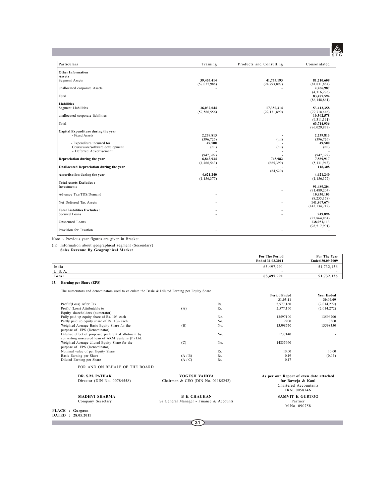# **STG**

| Particulars                              | Training       | Products and Consulting | Consolidated               |
|------------------------------------------|----------------|-------------------------|----------------------------|
| <b>Other Information</b>                 |                |                         |                            |
| <b>Assets</b>                            |                |                         |                            |
| Segment Assets                           | 39.455.414     | 41,755,193              | 81.210.608                 |
|                                          | (57,037,988)   | (24, 793, 897)          | (81, 831, 884)             |
| unallocated corporate Assets             |                |                         | 2,266,987                  |
|                                          |                |                         | (4,316,976)                |
| <b>Total</b>                             |                |                         | 83,477,594                 |
|                                          |                |                         | (86, 148, 861)             |
| <b>Liabilities</b>                       |                |                         |                            |
| <b>Segment Liabilities</b>               | 36.032.044     | 17,380,314              | 53,412,358                 |
|                                          | (57, 586, 556) | (22, 131, 890)          | (79, 718, 446)             |
| unallocated corporate liabilities        |                |                         | 10,302,578<br>(6,311,391)  |
| <b>Total</b>                             |                |                         | 63,714,936                 |
|                                          |                |                         | (86,029,837)               |
| Capital Expenditure during the year      |                |                         |                            |
| - Fixed Assets                           | 2,239,813      |                         | 2,239,813                  |
|                                          | (396, 726)     | (nil)                   | (396, 726)                 |
| - Expenditure incurred for               | 49.500         |                         | 49,500                     |
| Courseware/software development          | (nil)          | (nil)                   | (nil)                      |
| - Deferred Advertisement                 |                |                         |                            |
|                                          | (947, 399)     |                         | (947, 399)                 |
| Depreciation during the year             | 6,843,934      | 745.982                 | 7,589,917                  |
|                                          | (4,466,543)    | (665, 399)              | (5, 131, 943)              |
| Unallocated Depreciation during the year |                |                         | 118,308                    |
|                                          |                | (84, 520)               |                            |
| Amortisation during the year             | 4.621.240      |                         | 4.621.240                  |
|                                          | (1, 156, 377)  |                         | (1, 156, 377)              |
| <b>Total Assets Excludes:</b>            |                |                         |                            |
| Investments                              |                |                         | 91,489,204                 |
|                                          |                |                         | (91, 489, 204)             |
| Advance Tax/TDS/Demand                   |                |                         | 10,930,103                 |
| Net Deferred Tax Assets                  |                |                         | (8,255,358)<br>141,807,674 |
|                                          |                |                         | (143, 134, 712)            |
| <b>Total Liabilities Excludes:</b>       |                |                         |                            |
| Secured Loans                            |                |                         | 949,896                    |
|                                          |                |                         | (22,864,854)               |
| Unsecured Loans                          |                |                         | 138,951,113                |
|                                          |                |                         | (98, 517, 901)             |
| Provision for Taxation                   |                |                         |                            |
|                                          |                |                         |                            |

Note :- Previous year figures are given in Bracket.

<sup>(</sup>ii) Information about geographical segment (Secondary) **Sales Revenue By Geographical Market**

|        | <b>For The Period</b><br>Ended 31.03.2011 | For The Year<br>Ended 30.09.2009 |
|--------|-------------------------------------------|----------------------------------|
| India  | 65,497,991                                | 51,732,136                       |
| U.S.A. | -                                         |                                  |
| Total  | 65,497,991                                | 51,732,136                       |

## **15. Earning per Share (EPS)**

| The numerators and denominators used to calculate the Basic & Diluted Earning per Equity Share |  |  |  |
|------------------------------------------------------------------------------------------------|--|--|--|
|------------------------------------------------------------------------------------------------|--|--|--|

|                                                       |                                         |     | <b>Period Ended</b>                                        | <b>Year Ended</b> |
|-------------------------------------------------------|-----------------------------------------|-----|------------------------------------------------------------|-------------------|
|                                                       |                                         |     | 31.03.11                                                   | 30.09.09          |
| Profit/(Loss) After Tax                               |                                         | Rs. | 2,577,160                                                  | (2,014,272)       |
| Profit/ (Loss) Attributable to                        | (A)                                     | Rs. | 2,577,160                                                  | (2,014,272)       |
| Equity shareholders (numerator)                       |                                         |     |                                                            |                   |
| Fully paid up equity share of Rs. 10/- each           |                                         | No. | 13597100                                                   | 13596700          |
| Partly paid up equity share of Rs. 10/- each          |                                         | No. | 2900                                                       | 3300              |
| Weighted Average Basic Equity Share for the           | (B)                                     | No. | 13598550                                                   | 13598350          |
| purpose of EPS (Denominator)                          |                                         |     |                                                            |                   |
| Dilutive effect of proposed preferential allotment by |                                         | No. | 1237140                                                    |                   |
| converting unsecured loan of AKM Systems (P) Ltd.     |                                         |     |                                                            |                   |
| Weighted Average diluted Equity Share for the         | (C)                                     | No. | 14835690                                                   |                   |
| purpose of EPS (Denominator)                          |                                         |     |                                                            |                   |
| Nominal value of per Equity Share                     |                                         | Rs. | 10.00                                                      | 10.00             |
| Basic Earning per Share                               | (A/B)                                   | Rs. | 0.19                                                       | (0.15)            |
| Diluted Earning per Share                             | (A/C)                                   | Rs. | 0.17                                                       |                   |
| FOR AND ON BEHALF OF THE BOARD                        |                                         |     |                                                            |                   |
| DR. S.M. PATHAK                                       | <b>YOGESH VAIDYA</b>                    |     | As per our Report of even date attached                    |                   |
| Director (DIN No. 00784558)                           | Chairman & CEO (DIN No. 01185242)       |     | for Baweja & Kaul<br>Chartered Accountants<br>FRN. 005834N |                   |
| <b>MADHVI SHARMA</b>                                  | <b>B K CHAUHAN</b>                      |     | <b>SAMVIT K GURTOO</b>                                     |                   |
| Company Secretary                                     | Sr General Manager - Finance & Accounts |     | Partner                                                    |                   |
|                                                       |                                         |     | M.No. 090758                                               |                   |

**PLACE : Gurgaon DATED : 28.05.2011**

П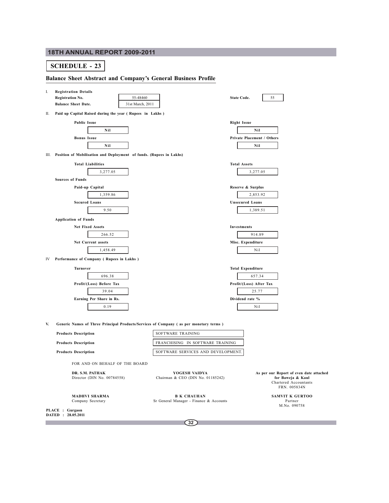## **SCHEDULE - 23**

## **Balance Sheet Abstract and Company's General Business Profile**

| I. | <b>Registration Details</b><br>55-48460<br><b>Registration No.</b><br>31st March, 2011<br><b>Balance Sheet Date.</b> | <b>State Code.</b>                                 | 55                                                                                        |
|----|----------------------------------------------------------------------------------------------------------------------|----------------------------------------------------|-------------------------------------------------------------------------------------------|
| Н. | Paid up Capital Raised during the year (Rupees in Lakhs)                                                             |                                                    |                                                                                           |
|    | <b>Public Issue</b>                                                                                                  |                                                    | <b>Right Issue</b>                                                                        |
|    | Nil                                                                                                                  |                                                    | Nil                                                                                       |
|    | <b>Bonus Issue</b><br>Nil                                                                                            |                                                    | Private Placement / Others<br>Nil                                                         |
|    | III. Position of Mobilisation and Deployment of funds. (Rupees in Lakhs)                                             |                                                    |                                                                                           |
|    |                                                                                                                      |                                                    |                                                                                           |
|    | <b>Total Liabilities</b>                                                                                             |                                                    | <b>Total Assets</b>                                                                       |
|    | 3,277.05                                                                                                             |                                                    | 3,277.05                                                                                  |
|    | <b>Sources of Funds</b>                                                                                              |                                                    |                                                                                           |
|    | Paid-up Capital                                                                                                      |                                                    | Reserve & Surplus                                                                         |
|    | 1,359.86                                                                                                             |                                                    | 2,853.92                                                                                  |
|    | <b>Secured Loans</b><br>9.50                                                                                         |                                                    | <b>Unsecured Loans</b><br>1,389.51                                                        |
|    |                                                                                                                      |                                                    |                                                                                           |
|    | <b>Application of Funds</b>                                                                                          |                                                    |                                                                                           |
|    | Net Fixed Assets                                                                                                     |                                                    | <b>Investments</b>                                                                        |
|    | 266.52                                                                                                               |                                                    | 914.89                                                                                    |
|    | Net Current assets                                                                                                   |                                                    | Misc. Expenditure                                                                         |
|    | 1,458.49                                                                                                             |                                                    | Nil                                                                                       |
| IV | Performance of Company (Rupees in Lakhs)                                                                             |                                                    |                                                                                           |
|    | Turnover                                                                                                             |                                                    | <b>Total Expenditure</b>                                                                  |
|    | 696.38                                                                                                               |                                                    | 657.34                                                                                    |
|    | Profit/(Loss) Before Tax                                                                                             |                                                    | Profit/(Loss) After Tax                                                                   |
|    | 39.04                                                                                                                |                                                    | 25.77                                                                                     |
|    | Earning Per Share in Rs.                                                                                             |                                                    | Dividend rate %                                                                           |
|    | 0.19                                                                                                                 |                                                    | Nil                                                                                       |
| V. | Generic Names of Three Principal Products/Services of Company (as per monetary terms)                                |                                                    |                                                                                           |
|    | <b>Products Description</b>                                                                                          | SOFTWARE TRAINING                                  |                                                                                           |
|    | <b>Products Description</b>                                                                                          | FRANCHISING IN SOFTWARE TRAINING                   |                                                                                           |
|    | <b>Products Description</b>                                                                                          | SOFTWARE SERVICES AND DEVELOPMENT.                 |                                                                                           |
|    | FOR AND ON BEHALF OF THE BOARD                                                                                       |                                                    |                                                                                           |
|    | DR. S.M. PATHAK<br>Director (DIN No. 00784558)                                                                       | YOGESH VAIDYA<br>Chairman & CEO (DIN No. 01185242) | As per our Report of even dat<br>for Baweja & Kaul<br>Chartered Accountan<br>FRN. 005834N |

**PLACE : Gurgaon DATED : 28.05.2011**

Г

Sr General Manager - Finance & Accounts

*<u>even</u>* **date attached** Chartered Accountants FRN. 005834N

**MADHVI SHARMA B K CHAUHAN SAMVIT K GURTOO**<br>Company Secretary **Sexter State Advantager** - Finance & Accounts **SAMVIT K GURTOO**<br>MAL: 000758 Partner<br>M.No. 090758

**32**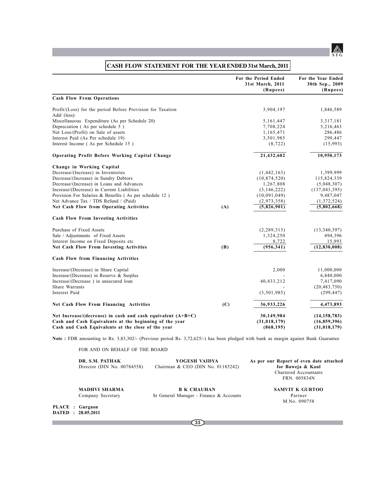

|                                                                              |     | For the Period Ended<br>31st March, 2011<br>(Rupees) | For the Year Ended<br>30th Sep., 2009<br>(Rupees) |
|------------------------------------------------------------------------------|-----|------------------------------------------------------|---------------------------------------------------|
| <b>Cash Flow From Operations</b>                                             |     |                                                      |                                                   |
| Profit/(Loss) for the period Before Provision for Taxation<br>$Add/$ (less): |     | 3,904,197                                            | 1,846,589                                         |
| Miscellaneous Expenditure (As per Schedule 20)                               |     | 5,161,447                                            | 3,317,181                                         |
| Depreciation (As per schedule 5)                                             |     | 7,708,224                                            | 5,216,463                                         |
| Net Loss/(Profit) on Sale of assets                                          |     | 1,165,471                                            | 286,486                                           |
| Interest Paid (As Per schedule 19)                                           |     | 3,501,985                                            | 299,447                                           |
| Interest Income (As per Schedule 15)                                         |     | (8, 722)                                             | (15,993)                                          |
| <b>Operating Profit Before Working Capital Change</b>                        |     | 21,432,602                                           | 10,950,173                                        |
| Change in Working Capital                                                    |     |                                                      |                                                   |
| Decrease/(Increase) in Inventories                                           |     | (1, 442, 163)                                        | 1,399,999                                         |
| Decrease/(Increase) in Sundry Debtors                                        |     | (10, 874, 520)                                       | 115,824,339                                       |
| Decrease/(Increase) in Loans and Advances                                    |     | 1,267,808                                            | (5,048,307)                                       |
| Increase/(Decrease) in Current Liabilities                                   |     | (3, 146, 222)                                        | (137, 043, 395)                                   |
| Provision For Salaries & Benefits (As per schedule 12)                       |     | (10,091,049)                                         | 9,487,047                                         |
| Net Advance Tax / TDS Refund / (Paid)                                        |     | (2,973,358)                                          | (1,372,524)                                       |
| <b>Net Cash Flow from Operating Activities</b>                               | (A) | (5,826,901)                                          | (5,802,668)                                       |
| <b>Cash Flow From Investing Activities</b>                                   |     |                                                      |                                                   |
| Purchase of Fixed Assets                                                     |     | (2, 289, 313)                                        | (13,340,397)                                      |
| Sale / Adjustments of Fixed Assets                                           |     | 1,324,250                                            | 494,396                                           |
| Interest Income on Fixed Deposits etc                                        |     | 8,722                                                | 15,993                                            |
| Net Cash Flow From Investing Activities                                      | (B) | (956, 341)                                           | (12, 830, 008)                                    |
| <b>Cash Flow from Financing Activities</b>                                   |     |                                                      |                                                   |
| Increase/(Decrease) in Share Capital                                         |     | 2,000                                                | 11,000,000                                        |
| Increase/(Decrease) in Reserve & Surplus                                     |     |                                                      | 6,840,000                                         |
| Increase/(Decrease) in unsecured loan                                        |     | 40,433,212                                           | 7,417,090                                         |
| Share Warrants                                                               |     |                                                      | (20, 483, 750)                                    |
| Interest Paid                                                                |     | (3, 501, 985)                                        | (299, 447)                                        |
| Net Cash Flow From Financing Activities                                      | (C) | 36,933,226                                           | 4,473,893                                         |
| Net Increase/(decrease) in cash and cash equivalent $(A+B+C)$                |     | 30,149,984                                           | (14, 158, 783)                                    |
| Cash and Cash Equivalents at the beginning of the year                       |     | (31, 018, 179)                                       | (16, 859, 396)                                    |
| Cash and Cash Equivalents at the close of the year                           |     | (868, 195)                                           | (31, 018, 179)                                    |

# **CASH FLOW STATEMENT FOR THE YEAR ENDED 31st March, 2011**

**Note :** FDR amounting to Rs. 3,83,302/- (Previous period Rs. 3,72,625/-) has been pledged with bank as margin against Bank Guarantee

FOR AND ON BEHALF OF THE BOARD

| DR. S.M. PATHAK<br>Director (DIN No. $00784558$ ) | YOGESH VAIDYA<br>Chairman & CEO (DIN No. 01185242)            | As per our Report of even date attached<br>for Baweja & Kaul<br>Chartered Accountants<br>FRN. 005834N |
|---------------------------------------------------|---------------------------------------------------------------|-------------------------------------------------------------------------------------------------------|
| <b>MADHVI SHARMA</b><br>Company Secretary         | <b>B K CHAUHAN</b><br>Sr General Manager - Finance & Accounts | <b>SAMVIT K GURTOO</b><br>Partner<br>M.No. 090758                                                     |
| PLACE : Gurgaon<br>DATED : 28.05.2011             |                                                               |                                                                                                       |
|                                                   | 33                                                            |                                                                                                       |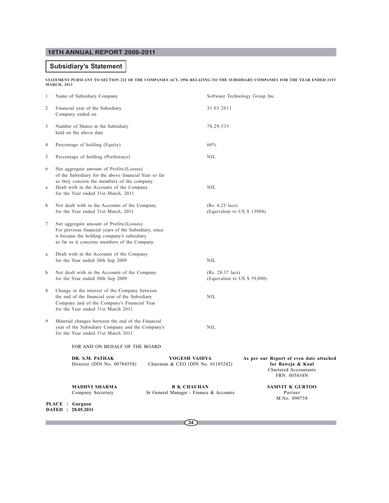## **Subsidiary's Statement**

P.

**STATEMENT PURSUANT TO SECTION 212 OF THE COMPANIES ACT, 1956 RELATING TO THE SUBSIDIARY COMPANIES FOR THE YEAR ENDED 31ST MARCH, 2011**

| $\mathbf{1}$   |                                                                                                                                                                                                  | Name of Subsidiary Company                                                                                                                                                                                                           |                                                               | Software Technology Group Inc                            |                                                                                                       |  |
|----------------|--------------------------------------------------------------------------------------------------------------------------------------------------------------------------------------------------|--------------------------------------------------------------------------------------------------------------------------------------------------------------------------------------------------------------------------------------|---------------------------------------------------------------|----------------------------------------------------------|-------------------------------------------------------------------------------------------------------|--|
| $\overline{c}$ |                                                                                                                                                                                                  | Financial year of the Subsidiary<br>Company ended on                                                                                                                                                                                 |                                                               | 31.03.2011                                               |                                                                                                       |  |
| 3              |                                                                                                                                                                                                  | Number of Shares in the Subsidiary<br>held on the above date                                                                                                                                                                         |                                                               | 78, 29, 533                                              |                                                                                                       |  |
| 4              |                                                                                                                                                                                                  | Percentage of holding (Equity)                                                                                                                                                                                                       |                                                               | 60%                                                      |                                                                                                       |  |
| 5              |                                                                                                                                                                                                  | Percentage of holding (Preference)                                                                                                                                                                                                   |                                                               | <b>NIL</b>                                               |                                                                                                       |  |
| 6<br>a         |                                                                                                                                                                                                  | Net aggregate amount of Profits/(Losses)<br>of the Subsidiary for the above financial Year so far<br>as they concern the members of the company.<br>Dealt with in the Accounts of the Company<br>for the Year ended 31st March, 2011 |                                                               | <b>NIL</b>                                               |                                                                                                       |  |
| b              |                                                                                                                                                                                                  | Not dealt with in the Accounts of the Company<br>for the Year ended 31st March, 2011                                                                                                                                                 |                                                               | $(Rs. 6.23 \text{ lacs})$<br>(Equivalent to US \$ 13904) |                                                                                                       |  |
| 7              | Net aggregate amount of Profits/(Losses)<br>For previous financial years of the Subsidiary, since<br>it became the holding company's subsidiary<br>as far as it concerns members of the Company. |                                                                                                                                                                                                                                      |                                                               |                                                          |                                                                                                       |  |
| $\rm{a}$       |                                                                                                                                                                                                  | Dealt with in the Accounts of the Company<br>for the Year ended 30th Sep 2009                                                                                                                                                        |                                                               | <b>NIL</b>                                               |                                                                                                       |  |
| $\mathbf b$    |                                                                                                                                                                                                  | Not dealt with in the Accounts of the Company<br>for the Year ended 30th Sep 2009                                                                                                                                                    |                                                               | (Rs. 28.37 lacs)<br>(Equivalent to US \$ 59,090)         |                                                                                                       |  |
| 8              |                                                                                                                                                                                                  | Change in the interest of the Company between<br>the end of the financial year of the Subsidiary<br>Company and of the Company's Financial Year<br>for the Year ended 31st March 2011                                                |                                                               | NIL                                                      |                                                                                                       |  |
| 9              |                                                                                                                                                                                                  | Material changes between the end of the Financial<br>year of the Subsidiary Company and the Company's<br>for the Year ended 31st March 2011                                                                                          |                                                               | <b>NIL</b>                                               |                                                                                                       |  |
|                |                                                                                                                                                                                                  | FOR AND ON BEHALF OF THE BOARD                                                                                                                                                                                                       |                                                               |                                                          |                                                                                                       |  |
|                |                                                                                                                                                                                                  | DR. S.M. PATHAK<br>Director (DIN No. 00784558)                                                                                                                                                                                       | YOGESH VAIDYA<br>Chairman & CEO (DIN No. 01185242)            |                                                          | As per our Report of even date attached<br>for Baweja & Kaul<br>Chartered Accountants<br>FRN. 005834N |  |
|                |                                                                                                                                                                                                  | <b>MADHVI SHARMA</b><br>Company Secretary                                                                                                                                                                                            | <b>B K CHAUHAN</b><br>Sr General Manager - Finance & Accounts |                                                          | <b>SAMVIT K GURTOO</b><br>Partner<br>M.No. 090758                                                     |  |
|                |                                                                                                                                                                                                  | PLACE : Gurgaon<br>DATED : 28.05.2011                                                                                                                                                                                                |                                                               |                                                          |                                                                                                       |  |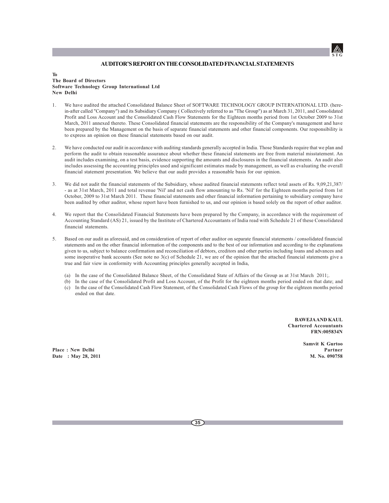## **AUDITOR'S REPORT ON THE CONSOLIDATED FINANCIAL STATEMENTS**

### **To The Board of Directors Software Technology Group International Ltd New Delhi**

- 1. We have audited the attached Consolidated Balance Sheet of SOFTWARE TECHNOLOGY GROUP INTERNATIONAL LTD. (herein-after called "Company") and its Subsidiary Company ( Collectively referred to as "The Group") as at March 31, 2011, and Consolidated Profit and Loss Account and the Consolidated Cash Flow Statements for the Eighteen months period from 1st October 2009 to 31st March, 2011 annexed thereto. These Consolidated financial statements are the responsibility of the Company's management and have been prepared by the Management on the basis of separate financial statements and other financial components. Our responsibility is to express an opinion on these financial statements based on our audit.
- 2. We have conducted our audit in accordance with auditing standards generally accepted in India. Those Standards require that we plan and perform the audit to obtain reasonable assurance about whether these financial statements are free from material misstatement. An audit includes examining, on a test basis, evidence supporting the amounts and disclosures in the financial statements. An audit also includes assessing the accounting principles used and significant estimates made by management, as well as evaluating the overall financial statement presentation. We believe that our audit provides a reasonable basis for our opinion.
- 3. We did not audit the financial statements of the Subsidiary, whose audited financial statements reflect total assets of Rs. 9,09,21,387/ - as at 31st March, 2011 and total revenue 'Nil' and net cash flow amounting to Rs. 'Nil' for the Eighteen months period from 1st October, 2009 to 31st March 2011. These financial statements and other financial information pertaining to subsidiary company have been audited by other auditor, whose report have been furnished to us, and our opinion is based solely on the report of other auditor.
- 4. We report that the Consolidated Financial Statements have been prepared by the Company, in accordance with the requirement of Accounting Standard (AS) 21, issued by the Institute of Chartered Accountants of India read with Schedule 21 of these Consolidated financial statements.
- 5. Based on our audit as aforesaid, and on consideration of report of other auditor on separate financial statements / consolidated financial statements and on the other financial information of the components and to the best of our information and according to the explanations given to us, subject to balance confirmation and reconciliation of debtors, creditors and other parties including loans and advances and some inoperative bank accounts (See note no 3(c) of Schedule 21, we are of the opinion that the attached financial statements give a true and fair view in conformity with Accounting principles generally accepted in India,
	- (a) In the case of the Consolidated Balance Sheet, of the Consolidated State of Affairs of the Group as at 31st March 2011;.
	- (b) In the case of the Consolidated Profit and Loss Account, of the Profit for the eighteen months period ended on that date; and (c) In the case of the Consolidated Cash Flow Statement, of the Consolidated Cash Flows of the group for the eighteen months period ended on that date.

**BAWEJA AND KAUL Chartered Accountants FRN:005834N**

**Samvit K Gurtoo**

**STG**

**Place : New Delhi Partner Date : May 28, 2011 M. No. 090758**

**35**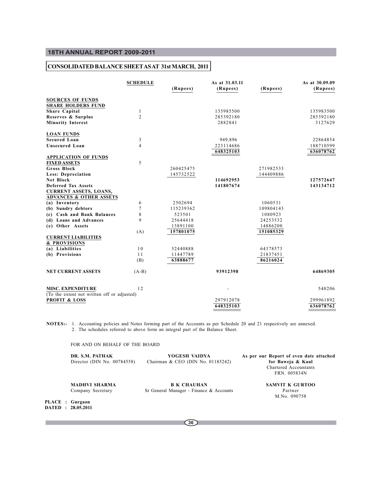## **CONSOLIDATED BALANCE SHEET AS AT 31st MARCH, 2011**

|                                             | <b>SCHEDULE</b> |           | As at 31.03.11 |           | As at 30.09.09 |
|---------------------------------------------|-----------------|-----------|----------------|-----------|----------------|
|                                             |                 | (Rupees)  | (Rupees)       | (Rupees)  | (Rupees)       |
| <b>SOURCES OF FUNDS</b>                     |                 |           |                |           |                |
| <b>SHARE HOLDERS FUND</b>                   |                 |           |                |           |                |
| <b>Share Capital</b>                        | 1               |           | 135985500      |           | 135983500      |
| Reserves & Surplus                          | $\overline{2}$  |           | 285392180      |           | 285392180      |
| <b>Minority Interest</b>                    |                 |           | 2882841        |           | 3127629        |
| <b>LOAN FUNDS</b>                           |                 |           |                |           |                |
| <b>Secured Loan</b>                         | 3               |           | 949,896        |           | 22864854       |
| <b>Unsecured Loan</b>                       | 4               |           | 223114686      |           | 188710599      |
|                                             |                 |           | 648325103      |           | 636078762      |
| <b>APPLICATION OF FUNDS</b>                 |                 |           |                |           |                |
| <b>FIXED ASSETS</b>                         | 5               |           |                |           |                |
| <b>Gross Block</b>                          |                 | 260425475 |                | 271982533 |                |
| Less: Depreciation                          |                 | 145732522 |                | 144409886 |                |
| Net Block                                   |                 |           | 114692953      |           | 127572647      |
| <b>Deferred Tax Assets</b>                  |                 |           | 141807674      |           | 143134712      |
| <b>CURRENT ASSETS, LOANS,</b>               |                 |           |                |           |                |
| <b>ADVANCES &amp; OTHER ASSETS</b>          |                 |           |                |           |                |
| (a) Inventory                               | 6               | 2502694   |                | 1060531   |                |
| (b) Sundry debtors                          | 7               | 115239362 |                | 109804143 |                |
| (c) Cash and Bank Balances                  | 8               | 523501    |                | 1080923   |                |
| (d) Loans and Advances                      | 9               | 25644418  |                | 24253532  |                |
| (e) Other Assets                            |                 | 13891100  |                | 14886200  |                |
|                                             | (A)             | 157801075 |                | 151085329 |                |
| <b>CURRENT LIABILITIES</b>                  |                 |           |                |           |                |
| & PROVISIONS                                |                 |           |                |           |                |
| (a) Liabilities                             | 10              | 52440888  |                | 64378573  |                |
| (b) Provisions                              | 11              | 11447789  |                | 21837451  |                |
|                                             | (B)             | 63888677  |                | 86216024  |                |
| <b>NET CURRENT ASSETS</b>                   | $(A-B)$         |           | 93912398       |           | 64869305       |
| MISC. EXPENDITURE                           | 12              |           |                |           | 540206         |
| (To the extent not written off or adjusted) |                 |           |                |           |                |
| <b>PROFIT &amp; LOSS</b>                    |                 |           | 297912078      |           | 299961892      |
|                                             |                 |           | 648325103      |           | 636078762      |

**NOTES:-** 1. Accounting policies and Notes forming part of the Accounts as per Schedule 20 and 21 respectively are annexed. 2. The schedules referred to above form an integral part of the Balance Sheet.

FOR AND ON BEHALF OF THE BOARD

| DR. S.M. PATHAK<br>Director (DIN No. 00784558) | YOGESH VAIDYA<br>Chairman & CEO (DIN No. 01185242) | As per our Report of even date attached<br>for Baweja & Kaul<br>Chartered Accountants<br>FRN. 005834N |
|------------------------------------------------|----------------------------------------------------|-------------------------------------------------------------------------------------------------------|
| <b>MADHVI SHARMA</b>                           | <b>B K CHAUHAN</b>                                 | <b>SAMVIT K GURTOO</b>                                                                                |
| Company Secretary                              | Sr General Manager - Finance & Accounts            | Partner<br>M.No. 090758                                                                               |
|                                                |                                                    |                                                                                                       |

**PLACE : Gurgaon DATED : 28.05.2011**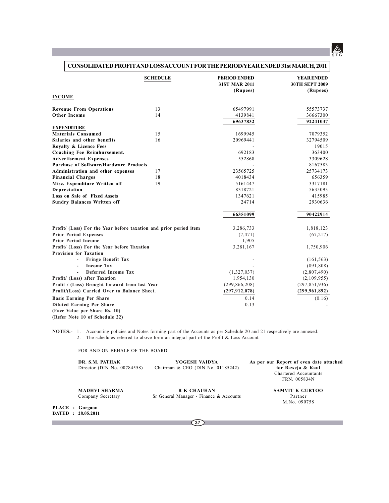

# **CONSOLIDATED PROFIT AND LOSS ACCOUNT FOR THE PERIOD/YEAR ENDED 31st MARCH, 2011**

|                                                                   | <b>SCHEDULE</b> | <b>PERIOD ENDED</b><br><b>31ST MAR 2011</b><br>(Rupees) | <b>YEAR ENDED</b><br><b>30TH SEPT 2009</b><br>(Rupees) |
|-------------------------------------------------------------------|-----------------|---------------------------------------------------------|--------------------------------------------------------|
| <b>INCOME</b>                                                     |                 |                                                         |                                                        |
| <b>Revenue From Operations</b>                                    | 13              | 65497991                                                | 55573737                                               |
| <b>Other Income</b>                                               | 14              | 4139841                                                 | 36667300                                               |
|                                                                   |                 | 69637832                                                | 92241037                                               |
| <b>EXPENDITURE</b>                                                |                 |                                                         |                                                        |
| <b>Materials Consumed</b>                                         | 1.5             | 1699945                                                 | 7079352                                                |
| Salaries and other benefits                                       | 16              | 20969441                                                | 32794509                                               |
| Royalty & Licence Fees                                            |                 |                                                         | 19015                                                  |
| <b>Coaching Fee Reimbursement.</b>                                |                 | 692183                                                  | 363400                                                 |
| <b>Advertisement Expenses</b>                                     |                 | 552868                                                  | 3309628                                                |
| <b>Purchase of Software/Hardware Products</b>                     |                 |                                                         | 8167583                                                |
| Administration and other expenses                                 | 17              | 23565725                                                | 25734173                                               |
| <b>Financial Charges</b>                                          | 18              | 4018434                                                 | 656359                                                 |
| Misc. Expenditure Written off                                     | 19              | 5161447                                                 | 3317181                                                |
| Depreciation                                                      |                 | 8318721                                                 | 5635093                                                |
| Loss on Sale of Fixed Assets                                      |                 | 1347621                                                 | 415985                                                 |
| <b>Sundry Balances Written off</b>                                |                 | 24714                                                   | 2930636                                                |
|                                                                   |                 | 66351099                                                | 90422914                                               |
| Profit/ (Loss) For the Year before taxation and prior period item |                 | 3,286,733                                               | 1,818,123                                              |
| <b>Prior Period Expenses</b>                                      |                 | (7, 471)                                                | (67, 217)                                              |
| <b>Prior Period Income</b>                                        |                 | 1,905                                                   |                                                        |
| Profit/ (Loss) For the Year before Taxation                       |                 | 3,281,167                                               | 1,750,906                                              |
| <b>Provision for Taxation</b>                                     |                 |                                                         |                                                        |
| <b>Fringe Benefit Tax</b>                                         |                 |                                                         | (161, 563)                                             |
| <b>Income Tax</b>                                                 |                 |                                                         | (891, 808)                                             |
| <b>Deferred Income Tax</b>                                        |                 | (1,327,037)                                             | (2,807,490)                                            |
| Profit/ (Loss) after Taxation                                     |                 | 1,954,130                                               | (2,109,955)                                            |
| Profit / (Loss) Brought forward from last Year                    |                 | (299, 866, 208)                                         | (297, 851, 936)                                        |
| Profit/(Loss) Carried Over to Balance Sheet.                      |                 | (297, 912, 078)                                         | (299, 961, 892)                                        |
| <b>Basic Earning Per Share</b>                                    |                 | 0.14                                                    | (0.16)                                                 |
| <b>Diluted Earning Per Share</b>                                  |                 | 0.13                                                    |                                                        |
| (Face Value per Share Rs. 10)                                     |                 |                                                         |                                                        |
| (Refer Note 10 of Schedule 22)                                    |                 |                                                         |                                                        |

**NOTES:-** 1. Accounting policies and Notes forming part of the Accounts as per Schedule 20 and 21 respectively are annexed. 2. The schedules referred to above form an integral part of the Profit & Loss Account.

FOR AND ON BEHALF OF THE BOARD

|                 | DR. S.M. PATHAK<br>Director (DIN No. 00784558) | YOGESH VAIDYA<br>Chairman & CEO (DIN No. 01185242)            | As per our Report of even date attached<br>for Baweja & Kaul<br>Chartered Accountants<br>FRN. 005834N |  |  |
|-----------------|------------------------------------------------|---------------------------------------------------------------|-------------------------------------------------------------------------------------------------------|--|--|
|                 | <b>MADHVI SHARMA</b><br>Company Secretary      | <b>B K CHAUHAN</b><br>Sr General Manager - Finance & Accounts | SAMVIT K GURTOO<br>Partner<br>M.No. 090758                                                            |  |  |
| PLACE : Gurgaon | DATED : 28.05.2011                             |                                                               |                                                                                                       |  |  |
|                 |                                                | 37                                                            |                                                                                                       |  |  |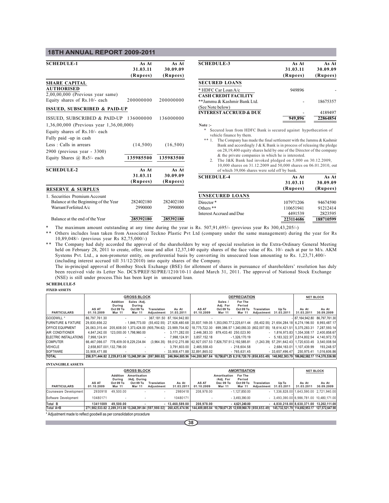| <b>SCHEDULE-1</b>                       | As At     | As At     | <b>SCHEDULE-3</b>                                                                                                               | As At     | As At     |
|-----------------------------------------|-----------|-----------|---------------------------------------------------------------------------------------------------------------------------------|-----------|-----------|
|                                         | 31.03.11  | 30.09.09  |                                                                                                                                 | 31.03.11  | 30.09.09  |
|                                         | (Rupees)  | (Rupees)  |                                                                                                                                 | (Rupees)  | (Rupees)  |
| <b>SHARE CAPITAL</b>                    |           |           | <b>SECURED LOANS</b>                                                                                                            |           |           |
| <b>AUTHORISED</b>                       |           |           | * HDFC Car Loan A/c                                                                                                             | 949896    |           |
| $2,00,00,000$ (Previous year same)      |           |           | <b>CASH CREDIT FACILITY</b>                                                                                                     |           |           |
| Equity shares of Rs.10/- each           | 200000000 | 200000000 | **Jammu & Kashmir Bank Ltd.                                                                                                     |           | 18675357  |
|                                         |           |           | (See Note below)                                                                                                                |           |           |
| <b>ISSUED, SUBSCRIBED &amp; PAID-UP</b> |           |           | <b>INTERESTACCRUED &amp; DUE</b>                                                                                                |           | 4189497   |
| ISSUED, SUBSCRIBED & PAID-UP 136000000  |           | 136000000 |                                                                                                                                 | 949.896   | 22864854  |
| 1,36,00,000 (Previous year 1,36,00,000) |           |           | Note :-                                                                                                                         |           |           |
| Equity shares of Rs.10/- each           |           |           | *<br>Secured loan from HDFC Bank is secured against hypothecation of                                                            |           |           |
|                                         |           |           | vehicle finance by them.                                                                                                        |           |           |
| Fully paid -up in cash                  |           |           | ** 1. The Company has made the final settlement with the Jammu & Kashmin                                                        |           |           |
| Less: Calls in arrears                  | (14,500)  | (16,500)  | Bank and accordingly J & K Bank is in process of releasing the pledge                                                           |           |           |
| 2900 (previous year - 3300)             |           |           | on 28,19,400 equity shares held by one of the Director of the company                                                           |           |           |
| Equity Shares @ Rs5/- each              | 135985500 | 135983500 | & the private companies in which he is interested.                                                                              |           |           |
|                                         |           |           | 2. The J&K Bank had invoked pledged on 5,000 on 30.12.2009,<br>10,000 shares on 31.12.2009 and 50,000 shares on 06.01.2010, out |           |           |
| <b>SCHEDULE-2</b>                       | As At     | As At     | of which 39,006 shares were sold off by bank.                                                                                   |           |           |
|                                         | 31.03.11  | 30.09.09  | <b>SCHEDULE-4</b>                                                                                                               | As At     | As At     |
|                                         | (Rupees)  | (Rupees)  |                                                                                                                                 | 31.03.11  | 30.09.09  |
| <b>RESERVE &amp; SURPLUS</b>            |           |           |                                                                                                                                 | (Rupees)  | (Rupees)  |
| 1. Securities Premium Account           |           |           | <b>UNSECURED LOANS</b>                                                                                                          |           |           |
| Balance at the Beginning of the Year    | 282402180 | 282402180 | Director*                                                                                                                       | 107971206 | 94674590  |
| Warrant Forfeited A/c                   | 2990000   | 2990000   | Others <sup>**</sup>                                                                                                            | 110651941 | 91212414  |
|                                         |           |           | Interest Accrued and Due                                                                                                        | 4491539   | 2823595   |
| Balance at the end of the Year          | 285392180 | 285392180 |                                                                                                                                 | 223114686 | 188710599 |

\* The maximum amount outstanding at any time during the year is Rs. 507,91,695/- (previous year Rs 300,43,205/-)

\*\* Others includes loan taken from Associated Teckno Plastic Pvt Ltd (company under the same management) during the year for Rs 10,89,048/- (previous year Rs 82,75,000/-)

\*\* The Company had duly accorded the approval of the shareholders by way of special resolution in the Extra-Ordinary General Meeting held on February 28, 2011 to create, offer, issue and allot 12,37,140 equity shares of the face value of Rs. 10/- each at par to M/s. AKM Systems Pvt. Ltd., a non-promoter entity, on preferential basis by converting its unsecured loan amounting to Rs. 1,23,71,400/- (including interest accrued till 31/12/2010) into equity shares of the Company.

The in-principal approval of Bombay Stock Exchange (BSE) for allotment of shares in pursuance of shareholders' resolution has duly been received vide its Letter No. DCS/PREF/SI/PRE/1210/10-11 dated March 31, 2011. The approval of National Stock Exchange (NSE) is still under process.This has been kept in unsecured loan.

### **SCHEDLULE-5 FIXED ASSETS**

|                                | <b>GROSS BLOCK</b>                    |                                                         |                                                     |                           | <b>DEPRECIATION</b>                                                                                                                                                       |                     |                                            |                                                 | <b>NET BLOCK</b> |                                                    |                                 |                     |
|--------------------------------|---------------------------------------|---------------------------------------------------------|-----------------------------------------------------|---------------------------|---------------------------------------------------------------------------------------------------------------------------------------------------------------------------|---------------------|--------------------------------------------|-------------------------------------------------|------------------|----------------------------------------------------|---------------------------------|---------------------|
| <b>PARTICULARS</b>             | AS AT<br>01.10.2009                   | <b>Addition</b><br>During<br>Oct 09 To<br><b>Mar 11</b> | Sales /Adi.<br>Durina<br>Oct 09 To<br><b>Mar 11</b> | Translation<br>Adiustment | As At<br>31.03.2011                                                                                                                                                       | AS AT<br>01.10.2009 | Sales /<br>Adj. For<br>Oct 09 To<br>Mar 11 | For The<br>Period<br>Oct 09 To<br><b>Mar 11</b> | Translation      | Up To<br>Adiustment 31.03.2011                     | As At<br>31.03.2011             | As At<br>30.09.2009 |
| <b>GOODWILL</b> *              | 86.797.761.30                         |                                                         |                                                     |                           | $-367.181.5087.164.942.80$                                                                                                                                                |                     |                                            |                                                 |                  |                                                    | $-187.164.942.80$ 86.797.761.30 |                     |
| <b>FURNITURE &amp; FIXTURE</b> | 29.830.656.22                         |                                                         |                                                     |                           | - 1,846,773.00 (55,402.55) 27,928,480.68 20,837,169.05 1,353,093.77 2,225,611.44 (55,402.55) 21,654,284.18 6,274,196.50 8,993,487.17                                      |                     |                                            |                                                 |                  |                                                    |                                 |                     |
| <b>OFFICE EQUIPMENT</b>        |                                       |                                                         |                                                     |                           | 267,593.14 7.287,593.14 7.287,593.14 7.287,593.14 7.287,593.14 7.287,593.14 7.287,593.14 7.287,593.14 7.287,593.14 7.287,593.14 7.287,593.14                              |                     |                                            |                                                 |                  |                                                    |                                 |                     |
| <b>IAIR CONDITIONER</b>        | 4.847.242.00                          |                                                         | 123.000.00 1.798.960.00                             |                           | $-3.171.282.00$ 2.446.383.33 879.433.40 250.023.90                                                                                                                        |                     |                                            |                                                 |                  | $-1,816,973.83$ 1,354,308.17 2,400,858.67          |                                 |                     |
| ELECTRIC INSTALLATIONS         | 7.998.124.91                          |                                                         |                                                     |                           | $-7.998.124.91$                                                                                                                                                           | 3.857.152.18        |                                            | - 1.326.170.19                                  |                  | $-5.183.322.37$   2.814.802.54 4.140.972.73        |                                 |                     |
| <b>ICOMPUTER</b>               | 66.467.066.07 778.409.00 8.229.234.84 |                                                         |                                                     |                           | (3,964.35) 59,012,275.88 62,927,057.53 7,826,757.51 2,192,585.81                                                                                                          |                     |                                            |                                                 |                  | (1,243.39) 57,291,642.43 1,720,633.45 3,540,008.54 |                                 |                     |
| <b>VEHICLE</b>                 | 2.658.807.001.132.796.00              |                                                         |                                                     |                           | $-3.791.603.00$ 2.465.558.43                                                                                                                                              |                     |                                            | $-218.604.58$                                   |                  | $-2.684.163.01$ 1.107.439.99                       |                                 | 193.248.57          |
| <b>SOFTWARE</b>                | 33.908.471.88                         |                                                         |                                                     |                           | $-33.908.471.88$ 32.891.865.02                                                                                                                                            |                     |                                            | - 765.631.45                                    |                  | - 33.657.496.47                                    | 250.975.41                      | 1.016.606.86        |
| <b>TOTAL</b>                   |                                       |                                                         |                                                     |                           | 253.071.444.82 2.239.813.00 13.248.391.84 (597.980.02) 246.964.885.96 144.200.907.84 10.758.671.25 8.318.720.70 (858.653.49) 140.902.303.79 106.062.582.17 114.370.536.98 |                     |                                            |                                                 |                  |                                                    |                                 |                     |

**INTANGIBLE ASSETS**

|                        | <b>GROSS BLOCK</b>                                                   |                                                         |                                                            |                           |                                                                       | <b>AMORTISATION</b>                                     |                                                  |                                                 |                                      |                                              | <b>NET BLOCK</b>                       |                     |
|------------------------|----------------------------------------------------------------------|---------------------------------------------------------|------------------------------------------------------------|---------------------------|-----------------------------------------------------------------------|---------------------------------------------------------|--------------------------------------------------|-------------------------------------------------|--------------------------------------|----------------------------------------------|----------------------------------------|---------------------|
| <b>PARTICULARS</b>     | AS AT<br>01.10.2009                                                  | <b>Addition</b><br>Durina<br>Oct 09 To<br><b>Mar 11</b> | Amortisation<br>/Adi. During<br>Oct 09 To<br><b>Mar 11</b> | Translation<br>Adiustment | As At<br>31.03.2011                                                   | AS AT<br>01.10.2009                                     | Amortisation<br>/Adj. For<br>Dec 09 To<br>Mar 11 | For The<br>Period<br>Oct 09 To<br><b>Mar 11</b> | Translation<br>Adiustment 31.03.2011 | Up To                                        | As At<br>31.03.2011                    | As At<br>30.09.2009 |
| Courseware Development | 2930918                                                              | 49.500.00                                               |                                                            | $\overline{\phantom{a}}$  | 2980418                                                               | 208.978.00                                              |                                                  | $-1.127.850.00$                                 |                                      |                                              | 1.336.828.00 1.643.590.00 2.721.940.00 |                     |
| Software Development   | 10480171                                                             |                                                         |                                                            | ٠                         | 10480171                                                              |                                                         |                                                  | $-3.493.390.00$                                 |                                      | 3.493.390.00 6.986.781.00 10.480.171.00      |                                        |                     |
| Total B                | 13411089                                                             | 49.500.00                                               |                                                            |                           | $-13.460.589.00$                                                      | 208.978.00                                              |                                                  | $-4.621.240.00$                                 |                                      | 4.830.218.00 8.630.371.00 13.202.111.00      |                                        |                     |
| Total A+B              |                                                                      |                                                         |                                                            |                           | 271.982.533.82 2.289.313.00 13.248.391.84 (597.980.02) 260.425.474.96 | 144.409.885.84 10.758.671.25 12.939.960.70 (858.653.49) |                                                  |                                                 |                                      | 145.732.521.79 114.692.953.17 127.572.647.98 |                                        |                     |
|                        | * Adjustment made to reflect goodwill as per consolidation procedure |                                                         |                                                            |                           |                                                                       |                                                         |                                                  |                                                 |                                      |                                              |                                        |                     |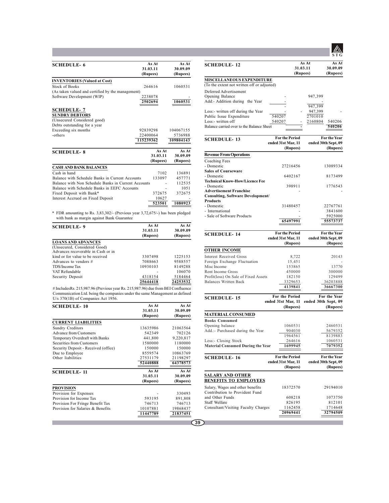| <b>SCHEDULE-6</b>                                   | As At     | As At     |
|-----------------------------------------------------|-----------|-----------|
|                                                     | 31.03.11  | 30.09.09  |
|                                                     | (Rupees)  | (Rupees)  |
| <b>INVENTORIES</b> (Valued at Cost)                 |           |           |
| Stock of Books                                      | 264616    | 1060531   |
| (As taken valued and certified by the management)   |           |           |
| Software Development (WIP)                          | 2238078   |           |
|                                                     | 2502694   | 1060531   |
| <b>SCHEDULE-7</b>                                   |           |           |
| <b>SUNDRY DEBTORS</b>                               |           |           |
| (Unsecured Considered good)                         |           |           |
| Debts outstanding for a year                        |           |           |
| Exceeding six months                                | 92839298  | 104067155 |
| -others                                             | 22400064  | 5736988   |
|                                                     | 115239362 | 109804143 |
| <b>SCHEDULE-8</b>                                   | As At     | As At     |
|                                                     | 31.03.11  | 30.09.09  |
|                                                     | (Rupees)  | (Rupees)  |
| <b>CASH AND BANK BALANCES</b>                       |           |           |
| Cash in hand                                        | 7102      | 136891    |
| Balance with Schedule Banks in Current Accounts     | 133097    | 457771    |
| Balance with Non Schedule Banks in Current Accounts |           | 112535    |
| Balance with Schedule Banks in EEFC Accounts        |           | 1051      |
| Fixed Deposit with Bank*                            | 372675    | 372675    |
| Interest Accrued on Fixed Deposit                   | 10627     |           |
|                                                     | 523501    | 1080923   |

\* FDR amounting to Rs. 3,83,302/- (Previous year 3,72,675/-) has been pledged with bank as margin against Bank Guarantee

| <b>SCHEDULE-9</b>                                                  | As At<br>31.03.11 | As At<br>30.09.09 |  |
|--------------------------------------------------------------------|-------------------|-------------------|--|
|                                                                    | (Rupees)          | (Rupees)          |  |
| <b>LOANS AND ADVANCES</b>                                          |                   |                   |  |
| (Unsecured, Considered Good)<br>Advances recoverable in Cash or in |                   |                   |  |
| kind or for value to be received                                   | 3307498           | 1225153           |  |
| Advances to vendors #                                              | 7088663           | 9588557           |  |
| TDS/Income Tax                                                     | 10930103          | 8149288           |  |
| VAT Refundable                                                     |                   | 106070            |  |
| Security Deposit                                                   | 4318154           | 5184464           |  |
|                                                                    | 25644418          | 24253532          |  |

# IncludesRs. 215,987.96 (Previous year Rs. 215,987.96) due from BEI Confluence Communication Ltd. being the companies under the same Management as defined U/s 370(1B) of Companies Act 1956.

| <b>SCHEDULE-10</b>                   | As At    | As At     |
|--------------------------------------|----------|-----------|
|                                      | 31.03.11 | 30.09.09  |
|                                      | (Rupees) | (Rupees)  |
| <b>CURRENT LIABILITIES</b>           |          |           |
| Sundry Creditors                     | 13635986 | 21063564  |
| <b>Advance from Customers</b>        | 542349   | 702126    |
| Temporary Overdraft with Banks       | 441,800  | 9,220,817 |
| Securities from Customers            | 1580000  | 1180000   |
| Security Deposit - Received (office) | 150000   | 150000    |
| Due to Employee                      | 8559574  | 10863769  |
| Other liabilities                    | 27531179 | 21198297  |
|                                      | 52440888 | 64378573  |
| <b>SCHEDULE-11</b>                   | As At    | As At     |
|                                      | 31.03.11 | 30.09.09  |
|                                      | (Rupees) | (Rupees)  |
| <b>PROVISION</b>                     |          |           |
| Provision for Expenses               |          | 330493    |
| Provision for Income Tax             | 593195   | 891,808   |
| Provision For Fringe Benefit Tax     | 746713   | 746713    |
| Provision for Salaries & Benefits    | 10107881 | 19868437  |
|                                      | 11447789 | 21837451  |

**STG As At As At 31.03.11 30.09.09 (Rupees) (Rupees)** Deferred Advertisement Opening Balance - 947,399 Add:- Addition during the Year 947,399 Less:- written off during the Year Public Issue Expenditure 540207 2701010<br>
Less:- written off 540207 - 2160804 Less:- written off  $\frac{540207}{2160804}$  -  $\frac{2160804}{540206}$ <br>Balance carried over to the Balance Sheet Balance carried over to the Balance She **MISCELLANEOUS EXPENDITURE** (To the extent not written off or adjusted) **For the Period** For the Year<br>ended 31st Mar, 11 ended 30th Sept, 09 **ended 31st Mar, 11 ended 30th Sept, 09 (Rupees) (Rupees)** Coaching Fees - Domestic 27216456 13089334 **Sales of Courseware** - Domestic 6402167 8173499 **Technical Know-How/Licence Fee** - Domestic 398911 1776543 **Advertisement Franchise Consulting, Software Development/ Products** 31480457 22767761<br>3841600 - International - 3841600<br>- Sale of Software Products - 5925000 - Sale of Software Products - 5925000 **65497991 55573737 Revenue From Operations For the Period** For the Year<br>ended 31st Mar, 11 ended 30th Sept, 09 **ended 31st Mar, 11 ended 30th Sept, 09 (Rupees) (Rupees)** Interest Received Gross 8,722 20143<br>
Foreign Exchange Fluctuation 15,451 20143 Foreign Exchange Fluctuation 15,451 -<br>Misc Income 153865 13770 Misc Income 153865 13770<br>
Rent Income Gross 150000 1300000 1300000 Rent Income Gross 450000 450000 300000<br>Profit(loss) On Sale of Fixed Assets 182150 129499 Profit(loss) On Sale of Fixed Assets 182150 129499<br>
Balances Written Back 2329653 36203888 Balances Written Back  $\frac{3329653}{4139841}$ **4139841 36667300 OTHER INCOME For the Period** For the Year<br>ended 31st Mar, 11 ended 30th Sept, 09 **t Mar, 11 • ended 30th Sept, 09**<br>**(Rupees)** (Rupees) **(Rupees) (Rupees) Books Consumed** Opening balance 1060531 2460531<br>Add.:- Purchased during the Year 904030 5679352 Add.:- Purchased during the Year  $\frac{904030}{1964561}$ 964561 8139883<br>264616 1060531 Less:- Closing Stock <br> **Material Consumed During the Year** 1699945 1079352 **Material Consumed During the Year MATERIAL CONSUMED For the Period** For the Year<br>ended 31st Mar, 11 ended 30th Sept, 09 **ended** 30th Sept, 09<br> **(Rupees)** (Rupees) **(Rupees) (Rupees)** Salary, Wages and other benefits 18372570 29194010 Contribution to Provident Fund and Other Funds 608218 1073750<br>Staff Welfare 826195 812101 Staff Welfare 826195 812101<br>Consultant/Visiting Faculty Charges 1162458 1714648 Consultant/Visiting Faculty Charges 1162458 <sup>32794509</sup> **SALARY AND OTHER BENEFITS TO EMPLOYEES SCHEDULE- 12 SCHEDULE- 13 SCHEDULE- 14 SCHEDULE- 15 SCHEDULE- 16**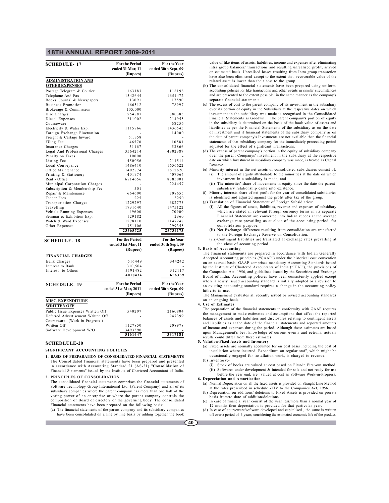| <b>SCHEDULE-17</b>                 | <b>For the Period</b><br>ended 31 Mar, 11 | For the Year<br>ended 30th Sept, 09 |
|------------------------------------|-------------------------------------------|-------------------------------------|
|                                    | (Rupees)                                  | (Rupees)                            |
| <b>ADMINISTRATION AND</b>          |                                           |                                     |
| <b>OTHER EXPENSES</b>              |                                           |                                     |
| Postage Telegram & Courier         | 163183                                    | 118198                              |
| Telephone And Fax                  | 1542644                                   | 1651472                             |
| Books, Journal & Newspapers        | 13091                                     | 17590                               |
| <b>Business Promotion</b>          | 166512                                    | 78997                               |
| Brokerage & Commission             | 105,000                                   |                                     |
| Hire Charges                       | 554887                                    | 880383                              |
| Diesel Expenses                    | 211002                                    | 214955                              |
| Courseware                         |                                           | 68256                               |
| Electricity & Water Exp.           | 1115866                                   | 1436545                             |
| Foreign Exchange Fluctuation       |                                           | 14000                               |
| Freight & Cartage Inward           | 51,358                                    |                                     |
| Filing Fee                         | 46570                                     | 10581                               |
| Insurance Charges                  | 31167                                     | 53866                               |
| Legal And Professional Charges     | 3564214                                   | 4302387                             |
| Penalty on Taxes                   | 10000                                     |                                     |
| Listing Fee                        | 450056                                    | 211514                              |
| Local Conveyance                   | 1486410                                   | 1656622                             |
| Office Maintenance                 | 1402874                                   | 1612620                             |
| Printing & Stationery              | 401974                                    | 407064                              |
| Rent - Office                      | 6814656                                   | 8385001                             |
| Municipal Corporation Charges      |                                           | 224457                              |
| Subscription & Membership Fee      | 501                                       |                                     |
| Repair & Maintenance               | 664600                                    | 708655                              |
| Tender Fees                        | 225                                       | 3250                                |
| Transportation Charges             | 1229297                                   | 682775                              |
| Travelling                         | 1731640                                   | 1475122                             |
| Vehicle Running Expenses           | 49600                                     | 70900                               |
| Seminar & Exhibition Exp.          | 129182                                    | 2360                                |
| Watch & Ward Expenses              | 1278110                                   | 1147248                             |
| Other Expenses                     | 351106                                    | 299355                              |
|                                    | 23565725                                  | 25734173                            |
|                                    | <b>For the Period</b>                     | For the Year                        |
| <b>SCHEDULE-18</b>                 | ended 31st Mar, 11                        | ended 30th Sept, 09                 |
|                                    | (Rupees)                                  | (Rupees)                            |
|                                    |                                           |                                     |
| <b>FINANCIAL CHARGES</b>           |                                           |                                     |
| <b>Bank Charges</b>                | 516449                                    | 344242                              |
| Interest to Bank                   | 310,504                                   |                                     |
| Interest to Others                 | 3191482                                   | 312117                              |
|                                    | 4018434                                   | 656359                              |
| <b>SCHEDULE-19</b>                 | <b>For the Period</b>                     | For the Year                        |
|                                    | ended 31st Mar, 2011                      | ended 30th Sept, 09                 |
|                                    | (Rupees)                                  | (Rupees)                            |
| <b>MISC. EXPENDITURE</b>           |                                           |                                     |
| <b>WRITTEN OFF</b>                 |                                           |                                     |
| Public Issue Expenses Written Off  | 540207                                    | 2160804                             |
| Deferred Advertisement Written Off |                                           | 947399                              |
| Courseware (Work in Progress)      |                                           |                                     |
| Written Off                        | 1127850                                   | 208978                              |
| Software Development W/O           | 3493390                                   |                                     |
|                                    | 5161447                                   | 3317181                             |

### **SCHEDLULE-20**

**SIGNIFICANT ACCOUNTING POLICIES**

**1. BASIS OF PREPARATION OF CONSOLIDATED FINANCIAL STATEMENTS** The Consolidated financial statements have been prepared and presented in accordance with Accounting Standard 21 (AS-21) "Consolidation of Financial Statements" issued by the Institute of Chartered Accountant of India.

**2. PRINCIPLES OF CONSOLIDATION**

The consolidated financial statements comprises the financial statements of Software Technology Group International Ltd. (Parent Company) and all of its subsidiary companies where the parent company has more than one half of the voting power of an enterprise or where the parent company controls the composition of Board of directors or the governing body. The consolidated Financial statements have been prepared on the following basis:

(a) The financial statements of the parent company and its subsidiary companies have been consolidated on a line by line basis by adding together the book

value of like items of assets, liabilities, income and expenses after eliminating intra group balances/ transactions and resulting unrealised profit, arrived on estimated basis. Unrealised losses resulting from Intra group transaction have also been eliminated except to the extent that recoverable value of the related asset is lower than their cost to the group.

- (b) The consolidated financial statements have been prepared using uniform accounting policies for like transactions and other events in similar circumstances and are presented to the extent possible, in the same manner as the company's separate financial statements.
- (c) The excess of cost to the parent company of its investment in the subsidiary over its portion of equity in the Subsidiary at the respective dates on which investment in the subsidiary was made is recognised in the Consolidated Financial Statements as Goodwill. The parent company's portion of equity in the subsidiary is determined on the basis of the book value of assets and liabilities as per the Financial Statements of the subsidiary as on the date of investment and if financial statements of the subsidiary company as on the date of parent company's Investments are not available then the financial statements of that subsidiary company for the immediately preceeding period adjusted for the effect of significant Transactions.
- (d) The excess of parent company's portion in the equity of subsidiary company over the parent Companys' investment in the subsidiary at the respective date on which Investment in subsidiary company was made, is treated as Capital Reserve.
- (e) Minority interest in the net assets of consolidated subsidiaries consist of: (i) The amount of equity attributable to the minorities at the date on which investment in a subsidiary is made, and.
	- (ii) The minorties' share of movements in equity since the date the parentsubsidiary relationship came into existence.
- (f) Minorty interests share of net profit for the year of consolidated subsidiaries is identified and adjusted against the profit after tax of the group.
- (g) Translation of Financial Statement of Foreign Subsidiaries:
	- (i) All the figures of assets, liabilities, revenue and expenses of subsidiary which are stated in relevant foreign currency terms in its separate Financial Statement are converted into Indian rupees at the average exchange rate prevailing as at close of the accounting period, for consolidation purpose.
	- (ii) Net Exchange difference resulting from consolidation are transferred to the Foreign Exchange Reserve on Consolidation.
	- (iii)Contingent liabilities are translated at exchange rates prevailing at the close of accouting period.

#### **3. Basis of Accounting**

The financial statements are prepared in accordance with Indian Generally Accepted Accounting principles ("GAAP") under the historical cost convention on an accrual basis. GAAP comprises mandatory Accounting Standards issued by the Institute of Chartered Accountants of India ("ICAI"), the provisions of the Companies Act, 1956, and guidelines issued by the Securities and Exchange Board of India. Accounting policies have been consistently applied except where a newly issued accounting standard is initially adopted or a revision to an existing accounting standard requires a change in the accounting policy hitherto in use.

The Management evaluates all recently issued or revised accounting standards on an ongoing basis.

### **4. Use of Estimates**

The preparation of the financial statements in conformity with GAAP requires the management to make estimates and assumptions that affect the reported balances of assets and liabilities and disclosures relating to contingent assets and liabilities as at the date of the financial statements and reported amounts of income and expenses during the period. Although these estimates are based upon Management's best knowledge of current events and ections, actuals results could differ from these estimates.

### **5. Valution-Fixed Assets and Inventory**

(a) Fixed assets are normally accounted for on cost basis including the cost of installation where incurred. Expenditure on regular staff, which might be occasionally engaged for installation work, is charged to revenue. (b) Inventory:

- 
- (i) Stock of books are valued at cost based on First-in First-out method. (ii) Softwares under development & intended for sale and not ready for use before the year end, are valued at cost as Software Work-in-Progress.
- **6. Depreciation and Amortisation** (a) Normal Depreciation on all the fixed assets is provided on Straight Line Method
	- at the rates prescribed in schedule -XIV to the Companies Act, 1956. (b) Depreciation on additions/ deletions to Fixed Assets is provided on prorata basis from/to date of addition/deletions.
	- (c) In case of financial year consist of the year less/more than a normal year of 12 months then depreciation is provided for that particular year.
	- (d) In case of courseware/software developed and capitalised , the same is written off over a period of 3 years, considering the estimated economic life of the product.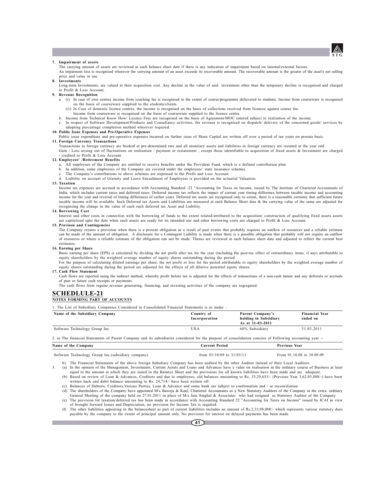

#### **7. Impairment of assets**

The carrying amount of assets are reviewed at each balance sheet date if there is any indication of impairment based on internal/external factors.

An imparment loss is recognised wherever the carrying amount of an asset exceeds its recoverable amount. The recoverable amount is the greater of the asset's net selling price and value in use. **8. Investments**

Long-term Investments, are valued at their acquisition cost. Any decline in the value of said investment other than the temporary decline is recognised and charged to Profit & Loss Account.

### **9. Revenue Recognition**

- a. (i) In case of own centres income from coaching fee is recognised to the extent of course/programme delievered to students. Income from courseware is recognised on the basis of courseware supplied to the students/clients.
	- (ii) In Case of domestic licence centres, the income is recognised on the basis of collections received from licencee against course fee.
	- Income from courseware is recognised on the basis of courseware supplied to the licence centre.
- b. Income from Technical Know How/ Licence Fees are recognised on the basis of Agreement/MOU entered subject to realisation of the income.<br>c. In respect of Software Development/Products and Consultancy activities, the reve
- adopting percentage completion method wherever required.

### **10. Public Issue Expenses and Pre-Operative Expenses**

- Public issue expenditure and pre-operative expenses incurred on further issue of Share Capital are written off over a period of ten years on prorata basis.
- **11. Foreign Currency Transactions** Transactions in foreign currency are booked at pre-determined rate and all monetary assets and liabilities in foreign currency are restated at the year end. Gain / Loss arising out of fluctuations on realisation / payment or restatement , except those identifiable to acquisition of fixed assets & Investment are charged / credited to Profit & Loss Account.

#### **12. Employees' /Retirement Benefits**

- a. All employees of the Company are entitled to receive benefits under the Provident Fund, which is a defined contribution plan.
- b. In addition, some employees of the Company are covered under the employees' state insurance schemes
- The Company's contributions to above schemes are expensed in the Profit and Loss Account.

### d. Liability on account of Gratuity and Leave Encashment of Employees is provided on the actuarial Valuation.

**13. Taxation**

Income tax expenses are accrued in accordance with Accounting Standard -22 "Accounting for Taxes on Income, issued by The Institute of Chartered Accountants of India, which includes current taxes and deferred taxes. Deferred income tax reflects the impact of current year timing difference between taxable income and accounting income for the year and reversal of timing differences of earlier years. Deferred tax assets are recognised only to extent, there is a reasonable certainty that sufficient future<br>taxable income will be available. Such Defe recognising the change in the value of each such deferred tax Asset and Liability.

#### **14. Borrowing Cost**

Interest and other costs in connection with the borrowing of funds to the extent related/attributed to the acquisition/ construction of qualifying fixed assets assets are capitalized upto the date when such assets are ready for its intended use and other borrowing costs are charged to Profit & Loss Account.

### **15. Provison and Contingencies**

The Company creates a provision when there is a present obligation as a result of past events that probably requires an outflow of resources and a reliable estimate can be made of the amount of obligation. A disclosure for a Contingent Liability is made when there is a possible obligation that probably will not require an outflow of resources or where a reliable estimate of the obligation can not be made. Theses are reviewed at each balance sheet date and adjusted to reflect the current best estimates.

#### **16. Earning per Share**

Basic earning per share (EPS) is calculated by dividing the net profit after tax for the year (including the post-tax effect of extraordinary items, if any) attributable to equity shareholders by the weighted average number of equity shares outstanding during the period.

For the purpose of calculating diluted earnings per share, the net profit or loss for the period attributable to equity shareholders by the weighted average number of equity shares outstanding during the period are adjusted for the effects of all dilutive potential equity shares.

### **17. Cash Flow Statement**

Cash flows are reported using the indirect method, whereby profit before tax is adjusted for the effects of transactions of a non-cash nature and any deferrals or accruals of past or future cash receipts or payments.

The cash flows from regular revenue generating, financing, and investing activities of the company are segregated.

## **SCHEDLULE-21**

## **NOTES FORMING PART OF ACCOUNTS**

1. The List of Subsidiary Companies Considered in Consolidated Financial Statements is as under :

| Name of the Subsidiary Company                                                                                                                             | Country of<br>Incorporation | Parent Company's<br>holding in Subsidiary<br>As at 31-03-2011 | <b>Financial Year</b><br>ended on |
|------------------------------------------------------------------------------------------------------------------------------------------------------------|-----------------------------|---------------------------------------------------------------|-----------------------------------|
| Software Technology Group Inc.                                                                                                                             | USA                         | 60% Subsidiary                                                | 31.03.2011                        |
| 2. a) The financial Statements of Parent Company and its subsidiaries considered for the purpose of consolidation consists of Following accounting year :- |                             |                                                               |                                   |

| Name of the Company | <b>Current Period</b> | <b>Previous Year</b> |
|---------------------|-----------------------|----------------------|
|                     |                       |                      |

Software Technology Group Inc.(subsidiary company) from 01/10/09 to 31/03/11 From 01.10.08 to 30.09.09

b) The Financial Statements of the above foreign Subsdiary Company has been audited by the other Auditor instead of their Local Auditors.<br>3. (a) In the opinion of the Management, Investments, Current Assets and Loans and A

equal to the amount at which they are stated in the Balance Sheet and the provisions for all known liabilities have been made and are adequate. (b) Based on review of Loan & Advances, Creditors and due to employees, old balances amounting to Rs. 33,29,653/- (Previous Year 3,62,03,888/-) have been

written back and debit balance amounting to Rs. 24,714/- have been written off.

(c) Balances of Debtors, Creditors,Various Parties, Loan & Advance and some bank are subject to confirmation and / or reconciliation

- (d) The shareholders of the Company have appointed M/s Baweja & Kaul, Chartered Accountants as a New Statutory Auditors of the Company in the extra- ordinary General Meeting of the company held on 27.01.2011 in place of M/s Jain Singhal & Associates who had resigned as Statutory Auditor of the Company
- (e) The provision for taxation/deferred tax has been made in accordance with Accounting Standard 22 "Accounting for Taxes on Income" issued by ICAI in view of brought forward losses and Depreciation, no provision for Income Tax is required.
- (f) The other liabilities appearing in the balancesheet as part of current liabilities includes an amount of Rs.2,33,98,088/- which represents various statutory dues payable by the company to the extent of principal amount only. No provision for interest on delayed payments has been made.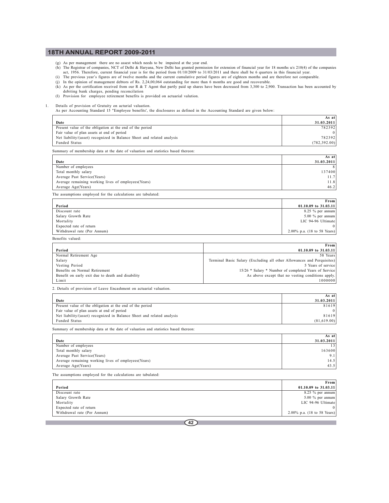- (g) As per management there are no assest which needs to be impaired at the year end.
- (h) The Registrar of companies, NCT of Delhi & Haryana, New Delhi has granted permission for extension of financial year for 18 months u/s 210(4) of the companies act, 1956. Therefore, current financial year is for the per
- (i) The previous year's figures are of twelve months and the current cumulative period figures are of eighteen months and are therefore not comparable.
- (j) In the opinion of management debtors of Rs. 2,24,00,064 outstanding for more than 6 months are good and recoverable.
- (k) As per the certification received from our R & T Agent that partly paid up shares have been decreased from 3,300 to 2,900. Transaction has been accounted by debiting bank charges, pending reconcilation
- (l) Provision for employee retirement benefits is provided on actuarial valution.

1. Details of provision of Gratuity on acturial valuation. As per Accounting Standard 15 "Employee benefits', the disclosures as defined in the Accounting Standard are given below:

|                                                                                   | As at         |
|-----------------------------------------------------------------------------------|---------------|
| Date                                                                              | 31.03.2011    |
| Present value of the obligation at the end of the period                          | 782392        |
| Fair value of plan assets at end of period                                        |               |
| Net liability/(asset) recognized in Balance Sheet and related analysis            | 782392        |
| Funded Status                                                                     | (782, 392.00) |
| Summary of membership data at the date of valuation and statistics based thereon: |               |
|                                                                                   | As atl        |

| Date                                                | 31.03.2011 |
|-----------------------------------------------------|------------|
| Number of employees                                 | 8          |
| Total monthly salary                                | 137400     |
| Average Past Service (Years)                        | 11.7       |
| Average remaining working lives of employees(Years) | 11.8       |
| Average Age(Years)                                  | 46.2       |

The assumptions employed for the calculations are tabulated:

|                             | From                                           |
|-----------------------------|------------------------------------------------|
| Period                      | 01.10.09 to $31.03.11$                         |
| Discount rate               | 8.25 $%$ per annum                             |
| Salary Growth Rate          | $5.00 \%$ per annum                            |
| Mortality                   | LIC 94-96 Ultimate                             |
| Expected rate of return     |                                                |
| Withdrawal rate (Per Annum) | 2.00% p.a. $(18 \text{ to } 58 \text{ Years})$ |

| Benefits valued: |  |
|------------------|--|
|                  |  |

|                                                   | From                                                                   |
|---------------------------------------------------|------------------------------------------------------------------------|
| Period                                            | $01.10.09$ to $31.03.11$                                               |
| Normal Retirement Age                             | 58 Years                                                               |
| Salary                                            | Terminal Basic Salary (Excluding all other Allowances and Perquisites) |
| Vesting Period                                    | 5 Years of service                                                     |
| Benefits on Normal Retirement                     | 15/26 * Salary * Number of completed Years of Service                  |
| Benefit on early exit due to death and disability | As above except that no vesting conditions apply.                      |
| Limit                                             | 1000000                                                                |

2. Details of provision of Leave Encashment on actuarial valuation.

|                                                                        | As at l     |
|------------------------------------------------------------------------|-------------|
| Date                                                                   | 31.03.2011  |
| Present value of the obligation at the end of the period               | 81619       |
| Fair value of plan assets at end of period                             |             |
| Net liability/(asset) recognized in Balance Sheet and related analysis | 81619       |
| Funded Status                                                          | (81,619.00) |

Summary of membership data at the date of valuation and statistics based thereon:

|                                                      | As at      |
|------------------------------------------------------|------------|
| Date                                                 | 31.03.2011 |
| Number of employees                                  | 13         |
| Total monthly salary                                 | 163600     |
| Average Past Service (Years)                         | 9.1        |
| Average remaining working lives of employees (Years) | 14.5       |
| Average Age(Years)                                   | 43.5       |

The assumptions employed for the calculations are tabulated:

|                             | <b>From</b>                 |
|-----------------------------|-----------------------------|
| Period                      | $01.10.09$ to $31.03.11$    |
| Discount rate               | $8.25 \%$ per annum         |
| Salary Growth Rate          | $5.00\%$ per annum          |
| Mortality                   | LIC 94-96 Ultimate          |
| Expected rate of return     | $^{\circ}$                  |
| Withdrawal rate (Per Annum) | 2.00% p.a. (18 to 58 Years) |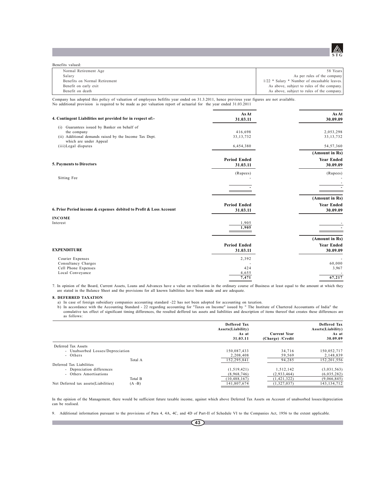

| Benefits valued:              |                                              |
|-------------------------------|----------------------------------------------|
| Normal Retirement Age         | 58 Years                                     |
| Salary                        | As per rules of the company                  |
| Benefits on Normal Retirement | 1/22 * Salary * Number of encashable leaves. |
| Benefit on early exit         | As above, subject to rules of the company.   |
| Benefit on death              | As above, subject to rules of the company.   |

Company has adopted this policy of valuation of employees befifits year ended on 31.3.2011, hence previous year figures are not available. No additional provision is required to be made as per valuation report of actuarial for the year ended 31.03.2011

| 4. Contingent Liabilities not provided for in respect of:-                       | As At<br>31.03.11   | <b>As At</b><br>30.09.09 |
|----------------------------------------------------------------------------------|---------------------|--------------------------|
| (i) Guarantees issued by Banker on behalf of                                     |                     |                          |
| the company                                                                      | 416,698             | 2,053,298                |
| (ii) Additional demands raised by the Income Tax Dept.<br>which are under Appeal | 33, 13, 732         | 33, 13, 732              |
| (iii)Legal disputes                                                              | 6,454,380           | 54, 57, 360              |
|                                                                                  |                     | (Amount in Rs)           |
|                                                                                  | <b>Period Ended</b> | <b>Year Ended</b>        |
| 5. Payments to Directors                                                         | 31.03.11            | 30.09.09                 |
|                                                                                  | (Rupees)            | (Rupees)                 |
| Sitting Fee                                                                      |                     |                          |
|                                                                                  |                     |                          |
|                                                                                  |                     |                          |
|                                                                                  |                     | (Amount in Rs)           |
|                                                                                  | <b>Period Ended</b> | <b>Year Ended</b>        |
| 6. Prior Period income & expenses debited to Profit & Loss Account               | 31.03.11            | 30.09.09                 |
| <b>INCOME</b>                                                                    |                     |                          |
| Interest                                                                         | 1,905               |                          |
|                                                                                  | 1,905               |                          |
|                                                                                  |                     | (Amount in Rs)           |
|                                                                                  | <b>Period Ended</b> | <b>Year Ended</b>        |
| <b>EXPENDITURE</b>                                                               | 31.03.11            | 30.09.09                 |
| Courier Expenses                                                                 | 2,392               |                          |
| Consultancy Charges                                                              |                     | 60,000                   |
| Cell Phone Expenses                                                              | 424                 | 3,967                    |
| Local Conveyance                                                                 | 4,655<br>7,471      | 67,217                   |
|                                                                                  |                     |                          |

7. In opinion of the Board, Current Assets, Loans and Advances have a value on realisation in the ordinary course of Business at least equal to the amount at which they are stated in the Balance Sheet and the provisions fo

### **8. DEFERRED TAXATION**

a) In case of foreign subsidiary companies accounting standard -22 has not been adopted for accounting on taxation.

b) In accordance with the Accounting Standard - 22 regarding accounting for "Taxes on Income" issued by " The Institute of Chartered Accountants of India" the comulative tax effect of significant timing differences, the resulted deffered tax assets and liabilities and description of items thereof that creates these differences are as follows:

|                                       |           | Deffered Tax<br>Assets(Liability)<br>As at<br>31.03.11 | <b>Current Year</b><br>(Charge) /Credit | <b>Deffered Tax</b><br>Assets(Liability)<br>As at<br>30.09.09 |
|---------------------------------------|-----------|--------------------------------------------------------|-----------------------------------------|---------------------------------------------------------------|
| Deferred Tax Assets                   |           |                                                        |                                         |                                                               |
| - Unabsorbed Losses/Depreciation      |           | 150,087,433                                            | 34,716                                  | 150,052,717                                                   |
| - Others                              |           | 2.208.408                                              | 59,569                                  | 2,148,839                                                     |
|                                       | Total A   | 152.295.841                                            | 94.285                                  | 152.201.556                                                   |
| Deferred Tax Liabilities              |           |                                                        |                                         |                                                               |
| - Depreciation differences            |           | (1,519,421)                                            | 1,512,142                               | (3,031,563)                                                   |
| - Others Amortisations                |           | (8.968.746)                                            | (2.933.464)                             | (6,035,282)                                                   |
|                                       | Total B   | (10, 488, 167)                                         | (1, 421, 322)                           | (9,066,845)                                                   |
| Net Deferred tax assets (Liabilities) | $(A - B)$ | 141,807,674                                            | (1,327,037)                             | 143, 134, 712                                                 |

In the opinion of the Management, there would be sufficient future taxable income, against which above Deferred Tax Assets on Account of unabsorbed losses/depreciation can be realised.

9. Additional information pursuant to the provisions of Para 4, 4A, 4C, and 4D of Part-II of Schedule VI to the Companies Act, 1956 to the extent applicable.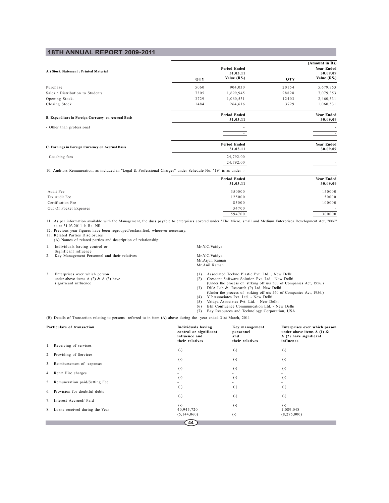|                                                     |      |                                                |       | (Amount in Rs)                        |
|-----------------------------------------------------|------|------------------------------------------------|-------|---------------------------------------|
| A.) Stock Statement: Printed Material               | QTY  | <b>Period Ended</b><br>31.03.11<br>Value (RS.) | QTY   | Year Ended<br>30.09.09<br>Value (RS.) |
| Purchase                                            | 5060 | 904,030                                        | 20154 | 5,679,353                             |
| Sales / Distribution to Students                    | 7305 | 1,699,945                                      | 28828 | 7,079,353                             |
| Opening Stock.                                      | 3729 | 1,060,531                                      | 12403 | 2,460,531                             |
| Closing Stock                                       | 1484 | 264,616                                        | 3729  | 1,060,531                             |
| B. Expenditure in Foreign Currency on Accrual Basis |      | <b>Period Ended</b><br>31.03.11                |       | <b>Year Ended</b><br>30.09.09         |
| - Other than professional                           |      |                                                |       |                                       |
| C. Earnings in Foreign Currency on Accrual Basis    |      | <b>Period Ended</b><br>31.03.11                |       | <b>Year Ended</b><br>30.09.09         |
| - Coaching fees                                     |      | 24,792.00<br>24,792.00                         |       |                                       |

10. Auditors Remuneration, as included in "Legal & Professional Charges" under Schedule No. "19" is as under :-

|                        | <b>Period Ended</b><br>31.03.11 | Year Ended<br>30.09.09 |  |
|------------------------|---------------------------------|------------------------|--|
|                        |                                 |                        |  |
| Audit Fee              | 350000                          | 150000                 |  |
| Tax Audit Fee          | 125000                          | 50000                  |  |
| Certification Fee      | 85000                           | 100000                 |  |
| Out Of Pocket Expenses | 34700                           | $\sim$                 |  |
|                        | 594700                          | 300000                 |  |

11. As per information available with the Management, the dues payable to enterprises covered under "The Micro, small and Medium Enterprises Development Act, 2006" as at 31.03.2011 is Rs. Nil.

12. Previous year figures have been regrouped/reclassified, wherever necessary. 13. Related Parties Disclosures

(A) Names of related parties and description of relationship:

1. Individuals having control or Mr.Y.C.Vaidya

Significant influence

- 2. Key Management Personnel and their relatives
- 3. Enterprises over which person (1) Associated Teckno Plastic Pvt. Ltd., New Delhi under above items A (2) & A (3) have (2) Crescent Software Solution Pvt. Ltd.- New Delhi significant influence (Under the process of strking off u/s 560 of Companies Act, 1956.)
- Mr.Y.C.Vaidya<br>Mr.Arjun Raman Mr.Anil Raman

- 
- (3) DNA Lab & Research (P) Ltd. New Delhi (Under the process of strking off u/s 560 of Companies Act, 1956.) (4) Y.P.Associates Pvt. Ltd. New Delhi
- 
- (5) Vaidya Associates Pvt. Ltd. New Delhi
- 
- (6) BEI Confluence Communication Ltd. New Delhi (7) Bay Resources and Technology Corporation, USA

(B) Details of Transaction relating to persons referred to in item (A) above during the year ended 31st March, 2011

| Particulars of transaction           | Individuals having<br>control or significant<br>influence and<br>their relatives | Key management<br>personnel<br>and<br>their relatives | Enterprises over which person<br>under above items A (1) $&$<br>A (2) have significant<br>influence |
|--------------------------------------|----------------------------------------------------------------------------------|-------------------------------------------------------|-----------------------------------------------------------------------------------------------------|
| 1. Receiving of services             |                                                                                  |                                                       |                                                                                                     |
| 2. Providing of Services             | $\left( -\right)$                                                                | $(\cdot)$<br>$(-)$                                    | $(-)$                                                                                               |
| Reimbursement of expenses<br>3.      | $(-)$                                                                            |                                                       | $(-)$                                                                                               |
| 4. Rent/Hire charges                 | $(\text{-})$                                                                     | $(-)$                                                 | $(-)$                                                                                               |
| 5. Remuneration paid/Setting Fee     | $(-)$                                                                            | $(-)$                                                 | $(-)$                                                                                               |
| Provision for doubtful debts<br>6.   | $(-)$<br>$(\text{-})$                                                            | $(-)$<br>$(\cdot)$                                    | $(-)$<br>$(-)$                                                                                      |
| Interest Accrued/ Paid               |                                                                                  |                                                       |                                                                                                     |
| Loans received during the Year<br>8. | $(-)$<br>40,945,720<br>(5, 144, 060)                                             | $(-)$<br>$(-)$                                        | $(-)$<br>1,089,048<br>(8,275,000)                                                                   |
|                                      | 44                                                                               |                                                       |                                                                                                     |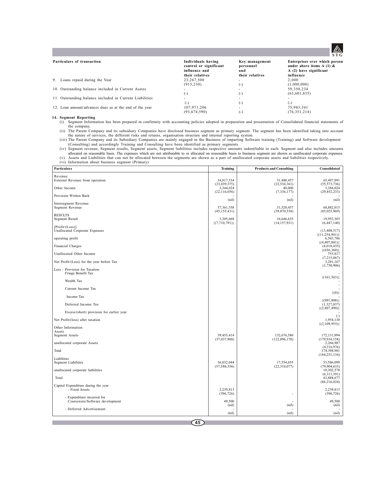

| Particulars of transaction                              | Individuals having<br>control or significant<br>influence and<br>their relatives | Key management<br>personnel<br>and<br>their relatives | Enterprises over which person<br>under above items A $(1)$ &<br>A (2) have significant<br>influence |
|---------------------------------------------------------|----------------------------------------------------------------------------------|-------------------------------------------------------|-----------------------------------------------------------------------------------------------------|
| 9. Loans repaid during the Year                         | 23,267,500                                                                       | -                                                     | 2.000                                                                                               |
|                                                         | (915, 230)                                                                       | $(-)$                                                 | (1,000,000)                                                                                         |
| 10. Outstanding balance included in Current Asstes      |                                                                                  | -                                                     | 59,350,234                                                                                          |
|                                                         | (-)                                                                              | $(-)$                                                 | (63,601,835)                                                                                        |
| 11. Outstanding balance included in Current Liabilities |                                                                                  | -                                                     |                                                                                                     |
|                                                         | ( – )                                                                            | $(-)$                                                 | $(-)$                                                                                               |
| 12. Loan amount/advances dues as at the end of the year | 107,971,206                                                                      | $\blacksquare$                                        | 75.983.341                                                                                          |
|                                                         | (93.674.590)                                                                     | $(-)$                                                 | (76, 351, 214)                                                                                      |

### **14. Segment Reporting**

(i) Segment Information has been prepared in confirmity with accounting policies adopted in preparation and presentation of Consolidated financial statements of

the company.<br>
(ii) The Parent Company and its subsidiary Companies have disclosed business segment as primary segment. The segment has been identified taking into account<br>
the nature of services, the different risks and re

(iv) Segment revenue, Segment results, Segment assets, Segment liabilities includes respective amounts indentfiable to each. Segment and also includes amounts allocated on reasonable basis. The expenses which are not attributable to or allocated on reasonable basis to business segment are shown as unallocated corporate expenses.<br>(v) Assets and Liabilities that can not be allocat

| Particulars                                                   | <b>Training</b>                                  | <b>Products and Consulting</b>               | Consolidated                                |
|---------------------------------------------------------------|--------------------------------------------------|----------------------------------------------|---------------------------------------------|
| Revenue<br>External Revenue from operation<br>Other Income    | 34,017,534<br>(23,039,375)<br>3,344,024          | 31,480,457<br>(32, 534, 361)<br>40,000       | 65,497,991<br>(55, 573, 736)<br>3,384,024   |
| Provision Written Back                                        | (22,116,056)                                     | (7, 336, 177)                                | (29, 452, 233)                              |
| Intersegment Revenue<br>Segment Revenue                       | (nil)<br>37,361,558                              | (nil)<br>31,520,457                          | (nil)<br>68,882,015                         |
| <b>RESULTS</b><br>Segment Result                              | (45, 155, 431)<br>3,305,668<br>$\{(7,710,791)\}$ | (39,870,538)<br>16,646,635<br>(14, 157, 931) | (85,025,969)<br>19,952,303<br>(6, 447, 140) |
| [Profit/(Loss)]<br><b>Unallocated Corporate Expenses</b>      |                                                  |                                              | (13, 408, 517)<br>${(11, 254, 941)}$        |
| operating profit                                              |                                                  |                                              | 6,543,786<br>$\{(4,807,801)\}$              |
| Financial Charges                                             |                                                  |                                              | (4,018,435)<br>$\{(656,360)\}$              |
| Unallocated Other Income                                      |                                                  |                                              | 755,817<br>(7, 215, 067)                    |
| Net Profit/(Loss) for the year before Tax                     |                                                  |                                              | 3,281,167<br>(1,750,906)                    |
| Less : Provision for Taxation<br>Fringe Benefit Tax           |                                                  |                                              | $\{(161, 563)\}$                            |
| Wealth Tax                                                    |                                                  |                                              |                                             |
| Current Income Tax                                            |                                                  |                                              |                                             |
| Income Tax                                                    |                                                  |                                              | $\{(0)\}\$                                  |
| Deferred Income Tax                                           |                                                  |                                              | $\{(891,808)\}$<br>(1,327,037)              |
| Excess/(short) provision for earlier year                     |                                                  |                                              | ${(2,807,490)}$                             |
| Net Profit/(loss) after taxation                              |                                                  |                                              | $(-)$<br>1,954,130                          |
| Other Information<br>Assets                                   |                                                  |                                              | $\{(2,109,955)\}\$                          |
| Segment Assets                                                | 39,455,414<br>(57,037,988)                       | 132,676,580<br>(122, 896, 170)               | 172,131,994<br>(179, 934, 158)              |
| unallocated corporate Assets                                  |                                                  |                                              | 2,266,987<br>(4,316,976)                    |
| Total                                                         |                                                  |                                              | 174,398,981<br>(184, 251, 134)              |
| Liabilities<br><b>Segment Liabilities</b>                     | 36,032,044<br>(57, 586, 556)                     | 17,554,055<br>(22,318,077)                   | 53,586,099<br>(79,904,633)                  |
| unallocated corporate liabilities                             |                                                  |                                              | 10,302,578<br>(6,311,391)                   |
| Total                                                         |                                                  |                                              | 63,888,677<br>(86, 216, 024)                |
| Capital Expenditure during the year<br>- Fixed Assets         | 2,239,813<br>(396, 726)                          |                                              | 2,239,813<br>(396, 726)                     |
| - Expenditure incurred for<br>Courseware/Software development | 49,500<br>(nil)                                  | (nil)                                        | 49.500<br>(nil)                             |
| - Deferred Advertisement                                      | (nil)                                            | (nil)                                        | (nil)                                       |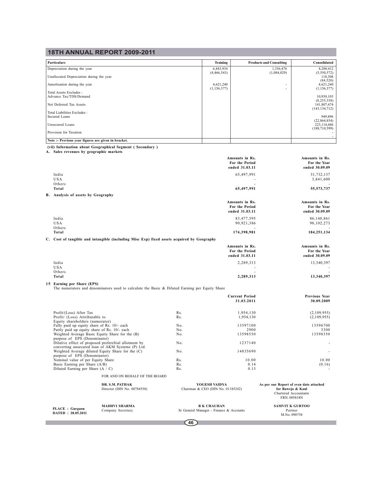| <b>Particulars</b>                       | Training      | <b>Products and Consulting</b> | Consolidated                  |
|------------------------------------------|---------------|--------------------------------|-------------------------------|
| Depreciation during the year             | 6,843,934     | 1,356,478                      | 8,200,412                     |
|                                          | (4,466,543)   | (1,084,029)                    | (5,550,572)                   |
| Unallocated Depreciation during the year |               |                                | 118,308<br>(84, 520)          |
| Amortisation during the year             | 4,621,240     | $\overline{\phantom{a}}$       | 4,621,240                     |
|                                          | (1, 156, 377) | $\overline{\phantom{a}}$       | (1,156,377)                   |
| Total Assets Excludes:                   |               |                                |                               |
| Advance Tax/TDS/Demand                   |               |                                | 10,930,103                    |
| Net Deferred Tax Assets                  |               |                                | (8, 255, 358)<br>141,807,674  |
|                                          |               |                                | (143, 134, 712)               |
| Total Liabilities Excludes:              |               |                                |                               |
| Secured Loans                            |               |                                | 949,896                       |
| Unsecured Loans                          |               |                                | (22, 864, 854)<br>223,114,686 |
|                                          |               |                                | (188, 710, 599)               |
| Provision for Taxation                   |               |                                |                               |
|                                          |               |                                |                               |

**Note :- Previous year figures are given in bracket.**

**PLACE : Gurgaon DATED : 28.05.2011**

**The State** 

 **(vii) Information about Geographical Segment ( Secondary ) A. Sales revenues by geographic markets**

|                                                                                                                              |            | Amounts in Rs.<br>For the Period<br>ended 31.03.11 | Amounts in Rs.<br>For the Year<br>ended 30.09.09                                                      |
|------------------------------------------------------------------------------------------------------------------------------|------------|----------------------------------------------------|-------------------------------------------------------------------------------------------------------|
| India<br><b>USA</b><br>Others                                                                                                |            | 65,497,991                                         | 51,732,137<br>3,841,600                                                                               |
| Total                                                                                                                        |            | 65,497,991                                         | 55, 573, 737                                                                                          |
| <b>B.</b> Analysis of assets by Geography                                                                                    |            |                                                    |                                                                                                       |
|                                                                                                                              |            | Amounts in Rs.                                     | Amounts in Rs.                                                                                        |
|                                                                                                                              |            | For the Period                                     | For the Year                                                                                          |
|                                                                                                                              |            | ended 31.03.11                                     | ended 30.09.09                                                                                        |
| India                                                                                                                        |            | 83,477,595                                         | 86,148,861                                                                                            |
| <b>USA</b>                                                                                                                   |            | 90,921,386                                         | 98, 102, 273                                                                                          |
| Others<br>Total                                                                                                              |            | 174,398,981                                        | 184,251,134                                                                                           |
| C. Cost of tangible and intangible (including Misc Exp) fixed assets acquired by Geography                                   |            |                                                    |                                                                                                       |
|                                                                                                                              |            | Amounts in Rs.<br>For the Period<br>ended 31.03.11 | Amounts in Rs.<br>For the Year<br>ended 30.09.09                                                      |
| India                                                                                                                        |            | 2,289,313                                          | 13,340,397                                                                                            |
| USA<br>Others                                                                                                                |            |                                                    |                                                                                                       |
| Total                                                                                                                        |            | 2,289,313                                          | 13,340,397                                                                                            |
| 15 Earning per Share (EPS)<br>The numerators and denominators used to calculate the Basic & Diluted Earning per Equity Share |            |                                                    |                                                                                                       |
|                                                                                                                              |            | <b>Current Period</b>                              | Previous Year                                                                                         |
|                                                                                                                              |            | 31.03.2011                                         | 30.09.2009                                                                                            |
|                                                                                                                              |            |                                                    |                                                                                                       |
| Profit/(Loss) After Tax<br>Profit/ (Loss) Attributable to                                                                    | Rs.<br>Rs. | 1,954,130                                          | (2,109,955)                                                                                           |
| Equity shareholders (numerator)                                                                                              |            | 1,954,130                                          | (2,109,955)                                                                                           |
| Fully paid up equity share of Rs. 10/- each                                                                                  | No.        | 13597100                                           | 13596700                                                                                              |
| Partly paid up equity share of Rs. 10/- each                                                                                 | No.        | 2900                                               | 3300                                                                                                  |
| Weighted Average Basic Equity Share for the (B)<br>purpose of EPS (Denominator)                                              | No.        | 13598550                                           | 13598350                                                                                              |
| Dilutive effect of proposed prefereltial allotment by                                                                        | No.        | 1237140                                            |                                                                                                       |
| converting unsecured loan of AKM Systems (P) Ltd.<br>Weighted Average diluted Equity Share for the (C)                       | No.        | 14835690                                           |                                                                                                       |
| purpose of EPS (Denominator)                                                                                                 |            |                                                    |                                                                                                       |
| Nominal value of per Equity Share                                                                                            | Rs.        | 10.00                                              | 10.00                                                                                                 |
| Basic Earning per Share (A/B)<br>Diluted Earning per Share $(A / C)$                                                         | Rs.<br>Rs. | 0.14<br>0.13                                       | (0.16)                                                                                                |
|                                                                                                                              |            |                                                    |                                                                                                       |
| FOR AND ON BEHALF OF THE BOARD                                                                                               |            |                                                    |                                                                                                       |
| DR. S.M. PATHAK<br>Director (DIN No. 00784558)                                                                               |            | YOGESH VAIDYA<br>Chairman & CEO (DIN No. 01185242) | As per our Report of even date attached<br>for Baweja & Kaul<br>Chartered Accountants<br>FRN. 005834N |

**MADHVI SHARMA B K CHAUHAN B SAMVIT K GURTOO**<br>Company Secretary Sr General Manager - Finance & Accounts Partner Partner SAMVIT K GURTOO<br>Partner<br>M.No. 090758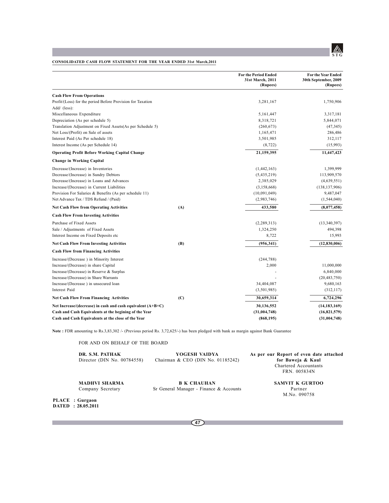

## **CONSOLIDATED CASH FLOW STATEMENT FOR THE YEAR ENDED 31st March,2011**

|                                                                              |     | <b>For the Period Ended</b><br>31st March, 2011<br>(Rupees) | <b>For the Year Ended</b><br>30th September, 2009<br>(Rupees) |
|------------------------------------------------------------------------------|-----|-------------------------------------------------------------|---------------------------------------------------------------|
| <b>Cash Flow From Operations</b>                                             |     |                                                             |                                                               |
| Profit/(Loss) for the period Before Provision for Taxation<br>$Add/$ (less): |     | 3,281,167                                                   | 1,750,906                                                     |
| Miscellaneous Expenditure                                                    |     | 5,161,447                                                   | 3,317,181                                                     |
| Depreciation (As per schedule 5)                                             |     | 8,318,721                                                   | 5,844,071                                                     |
| Translation Adjustment on Fixed Assets(As per Schedule 5)                    |     | (260, 673)                                                  | (47, 345)                                                     |
| Net Loss/(Profit) on Sale of assets                                          |     | 1,165,471                                                   | 286,486                                                       |
| Interest Paid (As Per schedule 18)                                           |     | 3,501,985                                                   | 312,117                                                       |
| Interest Income (As per Schedule 14)                                         |     | (8, 722)                                                    | (15,993)                                                      |
| <b>Operating Profit Before Working Capital Change</b>                        |     | 21,159,395                                                  | 11,447,423                                                    |
| <b>Change in Working Capital</b>                                             |     |                                                             |                                                               |
| Decrease/(Increase) in Inventories                                           |     | (1,442,163)                                                 | 1,399,999                                                     |
| Decrease/(Increase) in Sundry Debtors                                        |     | (5,435,219)                                                 | 113,909,570                                                   |
| Decrease/(Increase) in Loans and Advances                                    |     | 2,385,029                                                   | (4,639,551)                                                   |
| Increase/(Decrease) in Current Liabilities                                   |     | (3,158,668)                                                 | (138, 137, 906)                                               |
| Provision For Salaries & Benefits (As per schedule 11)                       |     | (10,091,049)                                                | 9,487,047                                                     |
| Net Advance Tax / TDS Refund / (Paid)                                        |     | (2,983,746)                                                 | (1, 544, 040)                                                 |
| <b>Net Cash Flow from Operating Activities</b>                               | (A) | 433,580                                                     | (8,077,458)                                                   |
| <b>Cash Flow From Investing Activities</b>                                   |     |                                                             |                                                               |
| Purchase of Fixed Assets                                                     |     | (2, 289, 313)                                               | (13,340,397)                                                  |
| Sale / Adjustments of Fixed Assets                                           |     | 1,324,250                                                   | 494,398                                                       |
| Interest Income on Fixed Deposits etc                                        |     | 8,722                                                       | 15,993                                                        |
| <b>Net Cash Flow From Investing Activities</b>                               | (B) | (956, 341)                                                  | (12, 830, 006)                                                |
| <b>Cash Flow from Financing Activities</b>                                   |     |                                                             |                                                               |
| Increase/(Decrease) in Minority Interest                                     |     | (244, 788)                                                  |                                                               |
| Increase/(Decrease) in share Capital                                         |     | 2,000                                                       | 11,000,000                                                    |
| Increase/(Decrease) in Reserve & Surplus                                     |     |                                                             | 6,840,000                                                     |
| Increase/(Decrease) in Share Warrants                                        |     |                                                             | (20, 483, 750)                                                |
| Increase/(Decrease) in unsecured loan                                        |     | 34,404,087                                                  | 9,680,163                                                     |
| Interest Paid                                                                |     | (3,501,985)                                                 | (312, 117)                                                    |
| <b>Net Cash Flow From Financing Activities</b>                               | (C) | 30,659,314                                                  | 6,724,296                                                     |
| Net Increase/(decrease) in cash and cash equivalent $(A+B+C)$                |     | 30,136,552                                                  | (14, 183, 169)                                                |
| Cash and Cash Equivalents at the begining of the Year                        |     | (31,004,748)                                                | (16,821,579)                                                  |
| Cash and Cash Equivalents at the close of the Year                           |     | (868, 195)                                                  | (31,004,748)                                                  |

**Note :** FDR amounting to Rs.3,83,302 /- (Previous period Rs. 3,72,625/-) has been pledged with bank as margin against Bank Guarantee

FOR AND ON BEHALF OF THE BOARD

| DR. S.M. PATHAK<br>Director (DIN No. $00784558$ ) | YOGESH VAIDYA<br>Chairman & CEO (DIN No. 01185242) | As per our Report of even date attached<br>for Baweja & Kaul<br>Chartered Accountants<br>FRN. 005834N |
|---------------------------------------------------|----------------------------------------------------|-------------------------------------------------------------------------------------------------------|
| <b>MADHVI SHARMA</b>                              | <b>B K CHAUHAN</b>                                 | SAMVIT K GURTOO                                                                                       |

Company Secretary Sr General Manager - Finance & Accounts Partner

M.No. 090758

**PLACE : Gurgaon DATED : 28.05.2011**

П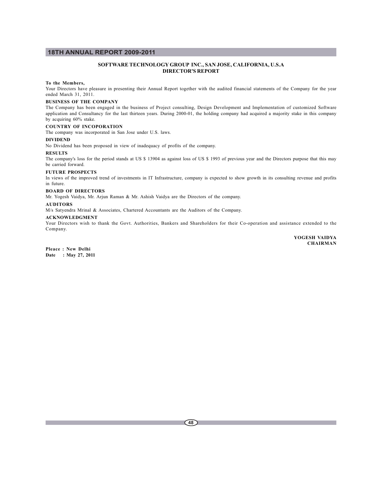## **SOFTWARE TECHNOLOGY GROUP INC., SAN JOSE, CALIFORNIA, U.S.A DIRECTOR'S REPORT**

### **To the Members,**

Your Directors have pleasure in presenting their Annual Report together with the audited financial statements of the Company for the year ended March 31, 2011.

## **BUSINESS OF THE COMPANY**

The Company has been engaged in the business of Project consulting, Design Development and Implementation of customized Software application and Consultancy for the last thirteen years. During 2000-01, the holding company had acquired a majority stake in this company by acquiring 60% stake.

## **COUNTRY OF INCOPORATION**

The company was incorporated in San Jose under U.S. laws.

### **DIVIDEND**

No Dividend has been proposed in view of inadequacy of profits of the company.

**RESULTS**

The company's loss for the period stands at US \$ 13904 as against loss of US \$ 1993 of previous year and the Directors purpose that this may be carried forward.

#### **FUTURE PROSPECTS**

In views of the improved trend of investments in IT Infrastructure, company is expected to show growth in its consulting revenue and profits in future.

### **BOARD OF DIRECTORS**

Mr. Yogesh Vaidya, Mr. Arjun Raman & Mr. Ashish Vaidya are the Directors of the company.

## **AUDITORS**

M/s Satyendra Mrinal & Associates, Chartered Accountants are the Auditors of the Company.

### **ACKNOWLEDGMENT**

Your Directors wish to thank the Govt. Authorities, Bankers and Shareholders for their Co-operation and assistance extended to the Company.

> **YOGESH VAIDYA CHAIRMAN**

**Pleace : New Delhi Date : May 27, 2011**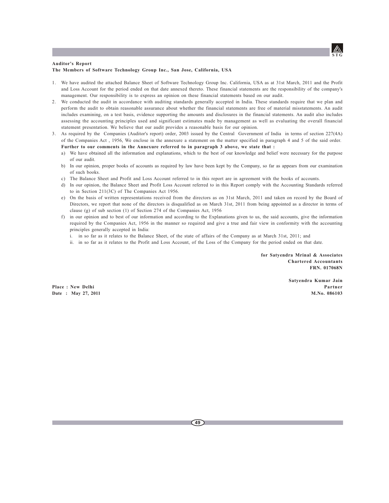

### **Auditor's Report The Members of Software Technology Group Inc., San Jose, California, USA**

- 1. We have audited the attached Balance Sheet of Software Technology Group Inc. California, USA as at 31st March, 2011 and the Profit and Loss Account for the period ended on that date annexed thereto. These financial statements are the responsibility of the company's management. Our responsibility is to express an opinion on these financial statements based on our audit.
- 2. We conducted the audit in accordance with auditing standards generally accepted in India. These standards require that we plan and perform the audit to obtain reasonable assurance about whether the financial statements are free of material misstatements. An audit includes examining, on a test basis, evidence supporting the amounts and disclosures in the financial statements. An audit also includes assessing the accounting principles used and significant estimates made by management as well as evaluating the overall financial statement presentation. We believe that our audit provides a reasonable basis for our opinion.
- 3. As required by the Companies (Auditor's report) order, 2003 issued by the Central Government of India in terms of section 227(4A) of the Companies Act , 1956, We enclose in the annexure a statement on the matter specified in paragraph 4 and 5 of the said order. **Further to our comments in the Annexure referred to in paragraph 3 above, we state that :**
	- a) We have obtained all the information and explanations, which to the best of our knowledge and belief were necessary for the purpose of our audit.
	- b) In our opinion, proper books of accounts as required by law have been kept by the Company, so far as appears from our examination of such books.
	- c) The Balance Sheet and Profit and Loss Account referred to in this report are in agreement with the books of accounts.
	- d) In our opinion, the Balance Sheet and Profit Loss Account referred to in this Report comply with the Accounting Standards referred to in Section 211(3C) of The Companies Act 1956.
	- e) On the basis of written representations received from the directors as on 31st March, 2011 and taken on record by the Board of Directors, we report that none of the directors is disqualified as on March 31st, 2011 from being appointed as a director in terms of clause (g) of sub section (1) of Section 274 of the Companies Act, 1956
	- f) in our opinion and to best of our information and according to the Explanations given to us, the said accounts, give the information required by the Companies Act, 1956 in the manner so required and give a true and fair view in conformity with the accounting principles generally accepted in India:
		- i. in so far as it relates to the Balance Sheet, of the state of affairs of the Company as at March 31st, 2011; and
		- ii. in so far as it relates to the Profit and Loss Account, of the Loss of the Company for the period ended on that date.

**for Satyendra Mrinal & Associates Chartered Accountants FRN. 017068N**

**Satyendra Kumar Jain Place : New Delhi Partner Date : May 27, 2011 M.No. 086103**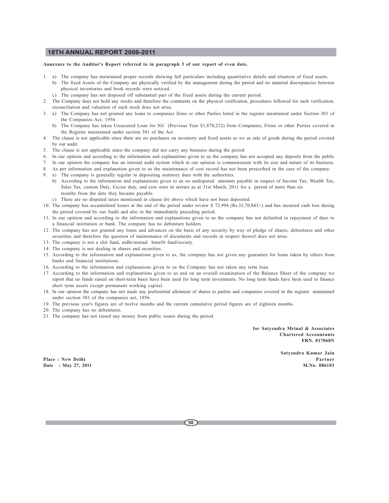### **Annexure to the Auditor's Report referred to in paragraph 3 of our report of even date.**

- 1. a) The company has maintained proper records showing full particulars including quantitative details and situation of fixed assets.
	- b) The fixed Assets of the Company are physically verified by the management during the period and no material discrepancies between physical inventories and book records were noticed.
	- c) The company has not disposed off substantial part of the fixed assets during the current period.
- 2. The Company does not hold any stocks and therefore the comments on the physical verification, procedures followed for such verification, reconciliation and valuation of such stock does not arise.
- 3. a) The Company has not granted any loans to companies firms or other Parties listed in the register maintained under Section 301 of the Companies Act, 1956.
	- b) The Company has taken Unsecured Loan for Nil (Previous Year \$1,878,232) from Companies, Firms or other Parties covered in the Register maintained under section 301 of the Act.
- 4. The clause is not applicable since there are no purchases on inventory and fixed assets as we as sale of goods during the period covered by our audit.
- 5. The clause is not applicable since the company did not carry any business during the period
- 6. In our opinion and according to the information and explanations given to us the company has not accepted any deposits from the public
- 7. In our opinion the company has an internal audit system which in our opinion is commensurate with its size and nature of its business.
- 8. As per information and explanation given to us the maintenance of cost record has not been prescribed in the case of the company.
- 9. a) The company is generally regular in depositing statutory dues with the authorities.
	- b) According to the information and explanations given to us no undisputed amounts payable in respect of Income Tax, Wealth Tax, Sales Tax, custom Duty, Excise duty, and cess were in arrears as at 31st March, 2011 for a period of more than six months from the date they became payable.
	- c) There are no disputed taxes mentioned in clause (b) above which have not been deposited.
- 10. The company has accumulated losses at the end of the period under review \$ 72,994 (Rs.32,70,843/-) and has incurred cash loss during the period covered by our Audit and also in the immediately preceding period.
- 11. In our opinion and according to the information and explanations given to us the company has not defaulted in repayment of dues to a financial institution or bank. The company has no debenture holders.
- 12. The company has not granted any loans and advances on the basis of any security by way of pledge of shares, debentures and other securities and therefore the question of maintenance of documents and records in respect thereof does not arise.
- 13. The company is not a chit fund, nidhi/mutual benefit fund/society.
- 14. The company is not dealing in shares and securities.
- 15. According to the information and explanations given to us, the company has not given any guarantee for loans taken by others from banks and financial institutions.
- 16. According to the information and explanations given to us the Company has not taken any term loan.
- 17. According to the information and explanations given to us and on an overall examination of the Balance Sheet of the company we report that no funds raised on short-term basis have been used for long term investments. No long term funds have been used to finance short term assets except permanent working capital.
- 18. In our opinion the company has not made any preferential allotment of shares to parties and companies covered in the register maintained under section 301 of the companies act, 1956.
- 19. The previous year's figures are of twelve months and the current cumulative period figures are of eighteen months.
- 20. The company has no debentures.
- 21. The company has not raised any money from public issues during the period.

**for Satyendra Mrinal & Associates Chartered Accountants FRN. 017068N**

**Satyendra Kumar Jain Place : New Delhi Partner Date : May 27, 2011 M.No. 086103**

**50**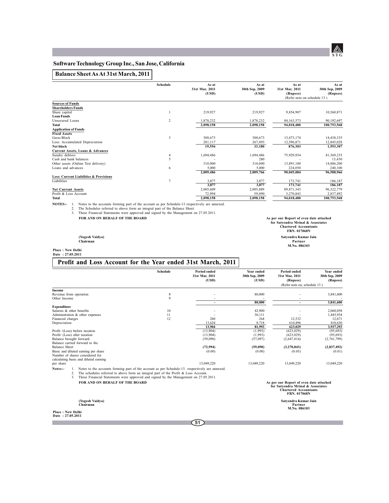## **Software Technology Group Inc., San Jose, California**

## **Balance Sheet As At 31st March, 2011**

|                                                   | Schedule       | As at          | As at          | As at                       | As at          |
|---------------------------------------------------|----------------|----------------|----------------|-----------------------------|----------------|
|                                                   |                | 31st Mar, 2011 | 30th Sep, 2009 | 31st Mar, 2011              | 30th Sep, 2009 |
|                                                   |                | (USD)          | (USD)          | (Rupees)                    | (Rupees)       |
|                                                   |                |                |                | (Refer note on schedule 13) |                |
| <b>Sources of Funds</b>                           |                |                |                |                             |                |
| <b>Shareholders Funds</b>                         |                |                |                |                             |                |
| Share capital                                     |                | 219,927        | 219,927        | 9,854,907                   | 10,560,871     |
| <b>Loan Funds</b>                                 |                |                |                |                             |                |
| Unsecured Loans                                   | 2              | 1,878,232      | 1,878,232      | 84,163,573                  | 90,192,697     |
| Total                                             |                | 2.098.158      | 2,098,158      | 94,018,480                  | 100,753,568    |
| <b>Application of Funds</b>                       |                |                |                |                             |                |
| <b>Fixed Assets</b>                               |                |                |                |                             |                |
| <b>Gross Block</b>                                | 3              | 300.673        | 300,673        | 13,473,174                  | 14,438,335     |
| Less: Accumulated Depreciation                    |                | 281,117        | 267,493        | 12.596.871                  | 12,845,028     |
| Net block                                         |                | 19,556         | 33,180         | 876,303                     | 1,593,307      |
| Current Assets, Loans & Advances                  |                |                |                |                             |                |
| Sundry debtors                                    |                | 1,694,486      | 1,694,486      | 75,929,934                  | 81,369,235     |
| Cash and bank balances                            | 5              |                | 280            |                             | 13,430         |
| Other assets (Online Test delivery)               |                | 310,000        | 310,000        | 13,891,100                  | 14,886,200     |
| Loans and advances                                | 6              | 5,000          | 5,000          | 224,050                     | 240,100        |
|                                                   |                | 2,009,486      | 2,009,766      | 90,045,084                  | 96,508,966     |
| <b>Less: Current Liabilities &amp; Provisions</b> |                |                |                |                             |                |
| Liabilities                                       | $\overline{7}$ | 3,877          | 3,877          | 173,741                     | 186,187        |
|                                                   |                | 3,877          | 3,877          | 173,741                     | 186,187        |
| <b>Net Current Assets</b>                         |                | 2,005,609      | 2,005,889      | 89,871,343                  | 96,322,779     |
| Profit & Loss Account                             |                | 72,994         | 59,090         | 3,270,843                   | 2,837,492      |
| Total                                             |                | 2,098,158      | 2,098,158      | 94,018,480                  | 100,753,568    |

**NOTES:** I. Notes to the accounts forming part of the account as per Schedule-13 respectively are annexed.<br>2. The Schedules referred to above form an integral part of the Balance Sheet.<br>3. These Financial Statements were a

**FOR AND ON BEHALF OF THE BOARD As per our Report of even date attached**

**for Satyendra Mrinal & Associates Chartered Accountants FRN. 017068N (Yogesh Vaidya) Satyendra Kumar Jain Chairman Partner M.No. 086103**

**Place : New Delhi Date : 27.05.2011**

## **Profit and Loss Account for the Year ended 31st March, 2011**

|                               |                                                                                                | Schedule | Period ended<br>31st Mar, 2011<br>(USD) | Year ended<br>30th Sep, 2009<br>(USD) | Period ended<br>31st Mar, 2011<br>(Rupees)                                                                                   | Year ended<br>30th Sep, 2009<br>(Rupees) |
|-------------------------------|------------------------------------------------------------------------------------------------|----------|-----------------------------------------|---------------------------------------|------------------------------------------------------------------------------------------------------------------------------|------------------------------------------|
|                               |                                                                                                |          |                                         |                                       | (Refer note on, schedule 13)                                                                                                 |                                          |
| Income                        |                                                                                                |          |                                         |                                       |                                                                                                                              |                                          |
| Revenue from operation        |                                                                                                | 8        |                                         | 80,000                                |                                                                                                                              | 3,841,600                                |
| Other Income                  |                                                                                                | 9        |                                         |                                       |                                                                                                                              |                                          |
|                               |                                                                                                |          | $\overline{\phantom{0}}$                | 80,000                                | $\overline{\phantom{a}}$                                                                                                     | 3.841.600                                |
| <b>Expenditure</b>            |                                                                                                |          |                                         |                                       |                                                                                                                              |                                          |
| Salaries & other benefits     |                                                                                                | 10       |                                         | 42,900                                |                                                                                                                              | 2,060,058                                |
|                               | Administration & other expenses                                                                | 11       |                                         | 30,111                                |                                                                                                                              | 1,445,934                                |
| Financial charges             |                                                                                                | 12       | 280                                     | 264                                   | 12,532                                                                                                                       | 12,671                                   |
| Depreciation                  |                                                                                                |          | 13.624                                  | 8,718                                 | 610,496                                                                                                                      | 418,630                                  |
|                               |                                                                                                |          | 13.904                                  | 81.993                                | 623.029                                                                                                                      | 3.937.293                                |
|                               | Profit /(Loss) before taxation                                                                 |          | (13,904)                                | (1,993)                               | (623, 029)                                                                                                                   | (95, 693)                                |
| Profit/ (Loss) after taxation |                                                                                                |          | (13,904)                                | (1,993)                               | (623, 029)                                                                                                                   | (95, 693)                                |
| Balance brought forward       |                                                                                                |          | (59,090)                                | (57,097)                              | (2,647,814)                                                                                                                  | (2,741,799)                              |
|                               | Balance carried forward to the                                                                 |          |                                         |                                       |                                                                                                                              |                                          |
| <b>Balance Sheet</b>          |                                                                                                |          | (72, 994)                               | (59,090)                              | (3,270,843)                                                                                                                  | (2,837,492)                              |
|                               | Basic and diluted earning per share                                                            |          | (0.00)                                  | (0.00)                                | (0.05)                                                                                                                       | (0.01)                                   |
|                               | Number of shares considered for                                                                |          |                                         |                                       |                                                                                                                              |                                          |
|                               | calculating basic and diluted earning                                                          |          |                                         |                                       |                                                                                                                              |                                          |
| per share                     |                                                                                                |          | 13.049.220                              | 13.049.220                            | 13.049.220                                                                                                                   | 13.049.220                               |
| Notes:-                       | Notes to the accounts forming part of the account as per Schedule-13 respectively are annexed. |          |                                         |                                       |                                                                                                                              |                                          |
| 2.                            | The schedules referred to above form an integral part of the Profit $\&$ Loss Account.         |          |                                         |                                       |                                                                                                                              |                                          |
| 3.                            | These Financial Statements were approved and signed by the Management on 27.05.2011.           |          |                                         |                                       |                                                                                                                              |                                          |
|                               | FOR AND ON BEHALF OF THE BOARD                                                                 |          |                                         |                                       |                                                                                                                              |                                          |
|                               |                                                                                                |          |                                         |                                       | As per our Report of even date attached<br>for Satvendra Mrinal & Associates<br><b>Chartered Accountants</b><br>FRN. 017068N |                                          |

**(Yogesh Vaidya) Satyendra Kumar Jain Chairman Partner M.No. 086103**

**Place : New Delhi Date : 27.05.2011**

Г

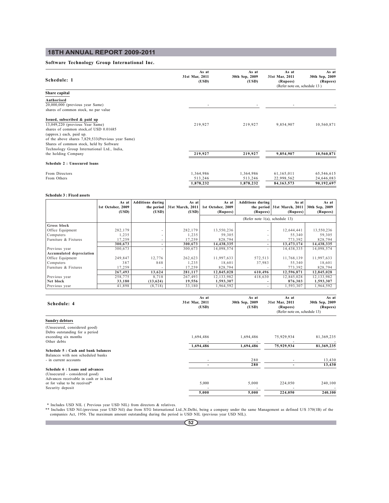## **Software Technology Group International Inc.**

| Schedule: 1                                                                                                                                                                                                                            | As at<br>31st Mar, 2011<br>(USD)  | As at<br>30th Sep, 2009<br>(USD)  | As at<br>31st Mar, 2011<br>(Rupees)<br>(Refer note on, schedule 13) | As at<br>30th Sep, 2009<br>(Rupees)    |
|----------------------------------------------------------------------------------------------------------------------------------------------------------------------------------------------------------------------------------------|-----------------------------------|-----------------------------------|---------------------------------------------------------------------|----------------------------------------|
| Share capital                                                                                                                                                                                                                          |                                   |                                   |                                                                     |                                        |
| Authorised<br>20,000,000 (previous year Same)<br>shares of common stock, no par value                                                                                                                                                  |                                   |                                   |                                                                     |                                        |
| Issued, subscribed & paid up<br>13,049,220 (previous Year Same)<br>shares of common stock, of USD 0.01685<br>(approx.) each, paid up.<br>of the above shares 7,829,533(Previous year Same)<br>Shares of common stock, held by Software | 219,927                           | 219,927                           | 9,854,907                                                           | 10,560,871                             |
| Technology Group International Ltd., India,<br>the holding Company                                                                                                                                                                     | 219,927                           | 219,927                           | 9,854,907                                                           | 10,560,871                             |
| Schedule 2: Unsecured loans                                                                                                                                                                                                            |                                   |                                   |                                                                     |                                        |
| From Directors<br>From Others                                                                                                                                                                                                          | 1,364,986<br>513,246<br>1,878,232 | 1,364,986<br>513,246<br>1,878,232 | 61,165,011<br>22,998,562<br>84, 163, 573                            | 65,546,615<br>24,646,083<br>90,192,697 |

### **Schedule 3 : Fixed assets**

 $\mathcal{L}^{\text{max}}$ 

|                          | As at<br>1st October, 2009<br>(USD) | <b>Additions during</b><br>the period<br>(USD) | As at $ $<br>31st March, 2011<br>(USD) | As at<br>1st October, 2009<br>(Rupees) | <b>Additions during</b><br>(Rupees) | As at<br>the period 31st March, 2011<br>(Rupees) | As at<br>30th Sep, 2009<br>(Rupees) |
|--------------------------|-------------------------------------|------------------------------------------------|----------------------------------------|----------------------------------------|-------------------------------------|--------------------------------------------------|-------------------------------------|
|                          |                                     |                                                |                                        |                                        | (Refer note $1(a)$ , schedule 13)   |                                                  |                                     |
| Gross block              |                                     |                                                |                                        |                                        |                                     |                                                  |                                     |
| Office Equipment         | 282,179                             |                                                | 282,179                                | 13,550,236                             |                                     | 12,644,441                                       | 13,550,236                          |
| Computers                | 1,235                               |                                                | 1,235                                  | 59,305                                 |                                     | 55,340                                           | 59,305                              |
| Furniture & Fixtures     | 17,259                              |                                                | 17,259                                 | 828,794                                |                                     | 773,392                                          | 828,794                             |
|                          | 300.673                             |                                                | 300.673                                | 14,438,335                             |                                     | 13,473,174                                       | 14,438,335                          |
| Previous year            | 300,673                             |                                                | 300.673                                | 14.098.574                             |                                     | 14,438,335                                       | 14,098,574                          |
| Accumulated depreciation |                                     |                                                |                                        |                                        |                                     |                                                  |                                     |
| Office Equipment         | 249,847                             | 12,776                                         | 262,623                                | 11,997,633                             | 572,513                             | 11,768,139                                       | 11,997,633                          |
| Computers                | 387                                 | 848                                            | 1,235                                  | 18.601                                 | 37,983                              | 55,340                                           | 18,601                              |
| Furniture & Fixtures     | 17,259                              |                                                | 17,259                                 | 828.794                                |                                     | 773,392                                          | 828,794                             |
|                          | 267,493                             | 13,624                                         | 281,117                                | 12,845,028                             | 610,496                             | 12,596,871                                       | 12,845,028                          |
| Previous year            | 258,775                             | 8,718                                          | 267,493                                | 12,133,982                             | 418,630                             | 12,845,028                                       | 12,133,982                          |
| Net block                | 33,180                              | (13, 624)                                      | 19,556                                 | 1,593,307                              |                                     | 876,303                                          | 1,593,307                           |
| Previous year            | 41,898                              | (8, 718)                                       | 33,180                                 | 1,964,592                              |                                     | 1,593,307                                        | 1,964,592                           |

| Schedule: 4                                                                                                | As at<br>31st Mar, 2011<br>(USD) | As at<br>30th Sep, 2009<br>(USD) | As at<br>31st Mar, 2011<br>(Rupees)<br>(Refer note on, schedule 13) | As at<br>30th Sep, 2009<br>(Rupees) |
|------------------------------------------------------------------------------------------------------------|----------------------------------|----------------------------------|---------------------------------------------------------------------|-------------------------------------|
| <b>Sundry debtors</b>                                                                                      |                                  |                                  |                                                                     |                                     |
| (Unsecured, considered good)<br>Debts outstanding for a period                                             |                                  |                                  |                                                                     |                                     |
| exceeding six months<br>Other debts                                                                        | 1,694,486                        | 1,694,486                        | 75,929,934                                                          | 81,369,235                          |
|                                                                                                            | 1,694,486                        | 1,694,486                        | 75,929,934                                                          | 81,369,235                          |
| Schedule 5: Cash and bank balances<br>Balances with non scheduled banks                                    |                                  |                                  |                                                                     |                                     |
| - in current accounts                                                                                      |                                  | 280                              |                                                                     | 13,430                              |
|                                                                                                            |                                  | 280                              |                                                                     | 13,430                              |
| Schedule 6 : Loans and advances<br>(Unsecured - considered good)<br>Advances receivable in cash or in kind |                                  |                                  |                                                                     |                                     |
| or for value to be received*                                                                               | 5,000                            | 5,000                            | 224,050                                                             | 240,100                             |
| Security deposit                                                                                           | 5,000                            | 5,000                            | 224,050                                                             | 240,100                             |
|                                                                                                            |                                  |                                  |                                                                     |                                     |

fincludes USD NIL (Previous year USD NIL) from directors & relatives.<br>\*\* Includes USD Nil.(previous year USD Nil) due from STG International Ltd.,N.Delhi, being a company under the same Management as defined U/S 370(1B) of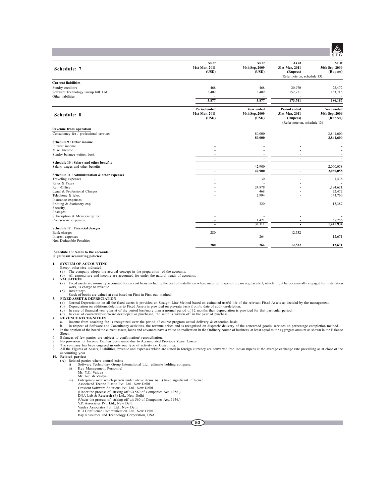| Schedule: 7                                                        | As at<br>31st Mar, 2011<br>(USD) | As at<br>30th Sep, 2009<br>(USD) | As at<br>31st Mar, 2011<br>(Rupees) | As at<br>30th Sep, 2009<br>(Rupees) |
|--------------------------------------------------------------------|----------------------------------|----------------------------------|-------------------------------------|-------------------------------------|
|                                                                    |                                  |                                  | (Refer note on, schedule 13)        |                                     |
| <b>Current liabilities</b>                                         |                                  |                                  |                                     |                                     |
| Sundry creditors                                                   | 468                              | 468                              | 20,970                              | 22,472                              |
| Software Technology Group Intl. Ltd.                               | 3,409                            | 3,409                            | 152,771                             | 163,715                             |
| Other liabilities                                                  |                                  |                                  |                                     |                                     |
|                                                                    | 3,877                            | 3,877                            | 173,741                             | 186,187                             |
|                                                                    | <b>Period ended</b>              | Year ended                       | Period ended                        | Year ended                          |
| Schedule: 8                                                        | 31st Mar, 2011                   | 30th Sep, 2009                   | 31st Mar, 2011                      | 30th Sep, 2009                      |
|                                                                    | (USD)                            | (USD)                            | (Rupees)                            | (Rupees)                            |
|                                                                    |                                  |                                  | (Refer note on, schedule 13)        |                                     |
| Revenue from operation                                             |                                  |                                  |                                     |                                     |
| Consultancy fee / professional services                            |                                  | 80,000                           |                                     | 3,841,600                           |
|                                                                    | $\overline{\phantom{0}}$         | 80,000                           | $\overline{\phantom{a}}$            | 3,841,600                           |
| Schedule 9 : Other income                                          |                                  |                                  |                                     |                                     |
| Interest income                                                    |                                  |                                  |                                     |                                     |
| Misc. Income<br>Sundry balance written back                        |                                  |                                  |                                     |                                     |
|                                                                    | $\blacksquare$                   | ż.                               | $\overline{\phantom{a}}$            |                                     |
| Schedule 10 : Salary and other benefits                            |                                  |                                  |                                     |                                     |
| Salary, wages and other benefits                                   | ٠                                | 42,900                           |                                     | 2,060,058                           |
|                                                                    | $\blacksquare$                   | 42,900                           | $\blacksquare$                      | 2,060,058                           |
| Schedule 11: Administration & other expenses<br>Traveling expenses |                                  | 30                               |                                     | 1,438                               |
| Rates & Taxes                                                      |                                  |                                  |                                     |                                     |
| Rent-Office                                                        |                                  | 24,878                           |                                     | 1,194,621                           |
| Legal & Professional Charges                                       |                                  | 468                              |                                     | 22,472                              |
| Telephone & telex                                                  |                                  | 2,994                            |                                     | 143,760                             |
| Insurance expenses                                                 |                                  |                                  |                                     |                                     |
| Printing & Stationery exp.<br>Security                             |                                  | 320                              |                                     | 15,387                              |
| Postages                                                           |                                  |                                  |                                     |                                     |
| Subscription & Membership fee                                      |                                  |                                  |                                     |                                     |
| Courseware expenses                                                | ÷                                | 1,421                            |                                     | 68,256                              |
|                                                                    | ٠                                | 30,111                           | $\overline{\phantom{a}}$            | 1,445,934                           |
| Schedule 12 : Financial charges                                    |                                  |                                  |                                     |                                     |
| Bank charges<br>Interest expenses                                  | 280                              | 264                              | 12,532                              | 12,671                              |
| Non Deductible Penalties                                           |                                  |                                  |                                     | $\sim$                              |

#### **Schedule 13: Notes to the accounts Significant accounting policies:**

**1. SYSTEM OF ACCOUNTING**

Except otherwise indicated:<br>(a) The company adopts the accrual concept in the preparation of the accounts.<br>(b) All expenditure and income are accounted for under the natural heads of accounts.

- **2. VALUATION**
	- (a) Fixed assets are normally accounted for on cost basis including the cost of installation where incurred. Expenditure on regular staff, which might be occasionally engaged for installation work, is charge to revenue.

**280 264 12,532 12,671**

- 
- 
- (b) Inventory:<br>
Stock of books are valued at cost based on First-in First-out method.<br>
3. FIXED ASSET & DEPRECIATION<br>
(a) Normal Depreciation on all the fixed assets is provided on Straight Line Method based on estimated u
	-
	-
- -
- a. Income from coaching fee is recognized over the period of course program actual delivery & execution basis.<br>b. In respect of Software and Consultancy activities, the revenue arises and is recognised on dispatch/ deliver
- Sheet.
- 
- 
- 
- 6. Balances of few parties are subject to confirmation/ reconciliation.<br>7. No provision for Income Tax has been made due to Accumulated Previous Years' Losses.<br>8. The company has been engaged in only one type of activity i accounting year. **10. Related parties:** (A) Related parties where control exists

- 
- i) Software Technology Group International Ltd., ultimate holding company. ii) Key Management Personnel Mr. Y.C. Vaidya
- 
- 
- Mr. Ashish Vaidya<br>
iii) Enterprises over which person under above items A(iii) have significant influence<br>
Associated Techno Plastic Pvt. Ltd., New Delhi<br>
Crescent Software Solutions Pvt. Ltd., New Delhi.<br>
(Under the proce
	-
	-
	-
	-
	-
	- Y.P. Associates Pvt. Ltd., New Delhi Vaidya Associates Pvt. Ltd., New Delhi BEI Confluence Communication Ltd., New Delhi Bay Resources and Technology Corporation, USA
	-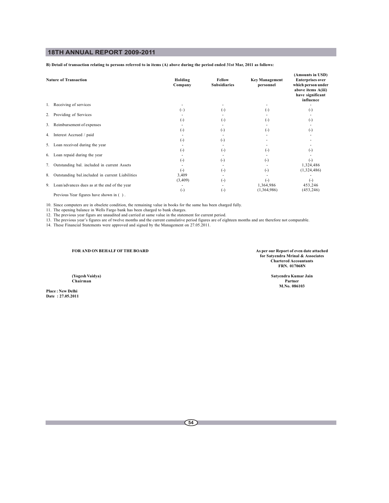**B) Detail of transaction relating to persons referred to in items (A) above during the period ended 31st Mar, 2011 as follows:**

|    | <b>Nature of Transaction</b>                    | Holding<br>Company | Fellow<br><b>Subsidiaries</b> | <b>Key Management</b><br>personnel | (Amounts in USD)<br><b>Enterprises over</b><br>which person under<br>above items A(iii)<br>have significant<br>influence |
|----|-------------------------------------------------|--------------------|-------------------------------|------------------------------------|--------------------------------------------------------------------------------------------------------------------------|
|    | 1. Receiving of services                        |                    |                               |                                    |                                                                                                                          |
|    |                                                 | ( - )              | (-)                           | (-)                                | (-)                                                                                                                      |
|    | 2. Providing of Services                        |                    |                               |                                    |                                                                                                                          |
|    |                                                 | $_{(\text{-})}$    | (-)                           | (-)                                | (-)                                                                                                                      |
|    | 3. Reimbursement of expenses                    |                    |                               |                                    |                                                                                                                          |
|    |                                                 | $_{(\text{-})}$    | $(-)$                         | $(-)$                              | (-)                                                                                                                      |
|    | 4. Interest Accrued / paid                      |                    |                               |                                    |                                                                                                                          |
|    |                                                 | $_{(-)}$           | ( – )                         |                                    |                                                                                                                          |
|    | 5. Loan received during the year                |                    |                               |                                    |                                                                                                                          |
|    |                                                 | (-)                | $(\textnormal{-})$            | (-)                                |                                                                                                                          |
|    | 6. Loan repaid during the year                  |                    |                               |                                    |                                                                                                                          |
|    |                                                 | (-)                | ( – )                         | (-)                                | ( – )                                                                                                                    |
| 7. | Outstanding bal. included in current Assets     |                    |                               |                                    | 1,324,486                                                                                                                |
|    |                                                 | $_{(-)}$           | $(\textnormal{-})$            | $(-)$                              | (1,324,486)                                                                                                              |
| 8. | Outstanding bal.included in current Liabilities | 3,409              |                               |                                    |                                                                                                                          |
|    |                                                 | (3,409)            | $(-)$                         | $(-)$                              | $(-)$                                                                                                                    |
| 9. | Loan/advances dues as at the end of the year    |                    |                               | 1,364,986                          | 453,246                                                                                                                  |
|    |                                                 | $(-)$              | $(-)$                         | (1,364,986)                        | (453, 246)                                                                                                               |
|    | Previous Year figures have shown in ().         |                    |                               |                                    |                                                                                                                          |

10. Since computers are in obselete condition, the remaining value in books for the same has been charged fully.<br>11. The opening balance in Wells Fargo bank has been charged to bank charges.<br>12. The previous year figures a

**FOR AND ON BEHALF OF THE BOARD As per our Report of even date attached for Satyendra Mrinal & Associates Chartered Accountants FRN. 017068N**

**(Yogesh Vaidya) Satyendra Kumar Jain Chairman Partner M.No. 086103**

**Place : New Delhi Date : 27.05.2011**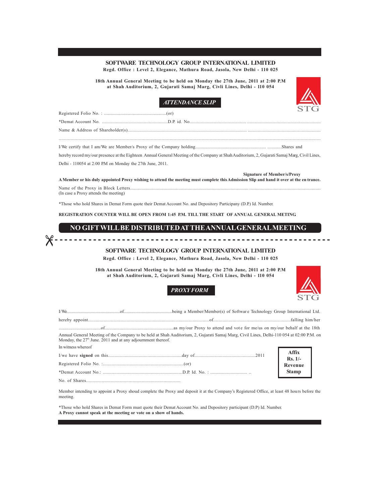## **SOFTWARE TECHNOLOGY GROUP INTERNATIONAL LIMITED Regd. Office : Level 2, Elegance, Mathura Road, Jasola, New Delhi - 110 025**

**18th Annual General Meeting to be held on Monday the 27th June, 2011 at 2:00 P.M at Shah Auditorium, 2, Gujarati Samaj Marg, Civli Lines, Delhi - 110 054**



## *ATTENDANCE SLIP*

| hereby record my/our presence at the Eighteen Annual General Meeting of the Company at Shah Auditorium, 2, Gujarati Samaj Marg, Civil Lines,        |  |
|-----------------------------------------------------------------------------------------------------------------------------------------------------|--|
| Delhi - 110054 at 2:00 P.M on Monday the 27th June, 2011.                                                                                           |  |
| <b>Signature of Member/s/Proxy</b><br>the states of the state of the state of the states of the states of the states of the states of the states of |  |

**A Member or his duly appointed Proxy wishing to attend the meeting must complete this Admission Slip and hand it over at the en trance.** Name of the Proxy in Block Letters............................................................................................. ........................................................

(In case a Proxy attends the meeting)

\*Those who hold Shares in Demat Form quote their Demat Account No. and Depository Participany (D.P.) Id. Number.

**REGISTRATION COUNTER WILL BE OPEN FROM 1:45 P.M. TILL THE START OF ANNUAL GENERAL METING.**

## **NO GIFT WILL BE DISTRIBUTEDATTHEANNUAL GENERAL MEETING**

# 

**SOFTWARE TECHNOLOGY GROUP INTERNATIONAL LIMITED**

**Regd. Office : Level 2, Elegance, Mathura Road, Jasola, New Delhi - 110 025**

**18th Annual General Meeting to be held on Monday the 27th June, 2011 at 2:00 P.M at Shah Auditorium, 2, Gujarati Samaj Marg, Civli Lines, Delhi - 110 054**



*PROXY FORM*

| Annual General Meeting of the Company to be held at Shah Auditorium, 2, Gujarati Samaj Marg, Civil Lines, Delhi-110 054 at 02:00 P.M. on<br>Monday, the $27th$ June. 2011 and at any adjournment thereof. |                    |
|-----------------------------------------------------------------------------------------------------------------------------------------------------------------------------------------------------------|--------------------|
| In witness whereof                                                                                                                                                                                        |                    |
|                                                                                                                                                                                                           | Affix<br>$Rs. 1/-$ |
|                                                                                                                                                                                                           | Revenue            |
|                                                                                                                                                                                                           | <b>Stamp</b>       |
|                                                                                                                                                                                                           |                    |

Member intending to appoint a Proxy shoud complete the Proxy and deposit it at the Company's Registered Office, at least 48 hours before the meeting.

\*Those who hold Shares in Demat Form must quote their Demat Account No. and Depository participant (D.P) Id. Number. **A Proxy cannot speak at the meeting or vote on a show of hands.**